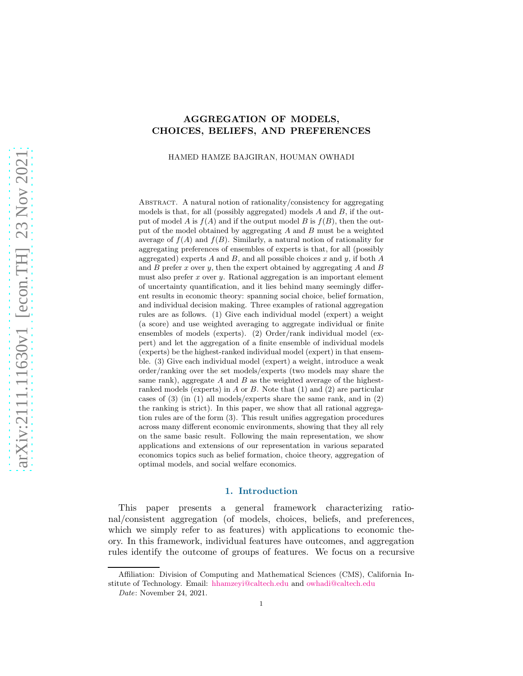# AGGREGATION OF MODELS, CHOICES, BELIEFS, AND PREFERENCES

HAMED HAMZE BAJGIRAN, HOUMAN OWHADI

Abstract. A natural notion of rationality/consistency for aggregating models is that, for all (possibly aggregated) models  $A$  and  $B$ , if the output of model A is  $f(A)$  and if the output model B is  $f(B)$ , then the output of the model obtained by aggregating A and B must be a weighted average of  $f(A)$  and  $f(B)$ . Similarly, a natural notion of rationality for aggregating preferences of ensembles of experts is that, for all (possibly aggregated) experts  $A$  and  $B$ , and all possible choices  $x$  and  $y$ , if both  $A$ and  $B$  prefer  $x$  over  $y$ , then the expert obtained by aggregating  $A$  and  $B$ must also prefer x over y. Rational aggregation is an important element of uncertainty quantification, and it lies behind many seemingly different results in economic theory: spanning social choice, belief formation, and individual decision making. Three examples of rational aggregation rules are as follows. (1) Give each individual model (expert) a weight (a score) and use weighted averaging to aggregate individual or finite ensembles of models (experts). (2) Order/rank individual model (expert) and let the aggregation of a finite ensemble of individual models (experts) be the highest-ranked individual model (expert) in that ensemble. (3) Give each individual model (expert) a weight, introduce a weak order/ranking over the set models/experts (two models may share the same rank), aggregate  $A$  and  $B$  as the weighted average of the highestranked models (experts) in A or B. Note that (1) and (2) are particular cases of (3) (in (1) all models/experts share the same rank, and in (2) the ranking is strict). In this paper, we show that all rational aggregation rules are of the form (3). This result unifies aggregation procedures across many different economic environments, showing that they all rely on the same basic result. Following the main representation, we show applications and extensions of our representation in various separated economics topics such as belief formation, choice theory, aggregation of optimal models, and social welfare economics.

#### 1. Introduction

This paper presents a general framework characterizing rational/consistent aggregation (of models, choices, beliefs, and preferences, which we simply refer to as features) with applications to economic theory. In this framework, individual features have outcomes, and aggregation rules identify the outcome of groups of features. We focus on a recursive

Affiliation: Division of Computing and Mathematical Sciences (CMS), California Institute of Technology. Email: [hhamzeyi@caltech.edu](mailto:hhamzeyi@caltech.edu) and [owhadi@caltech.edu](mailto:owshadi@caltech.edu)

Date: November 24, 2021.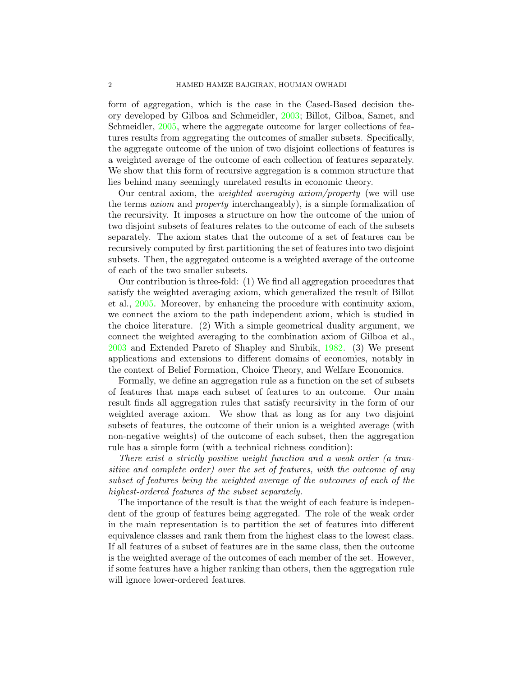form of aggregation, which is the case in the Cased-Based decision theory developed by Gilboa and Schmeidler, [2003](#page-31-0); Billot, Gilboa, Samet, and Schmeidler, [2005,](#page-30-0) where the aggregate outcome for larger collections of features results from aggregating the outcomes of smaller subsets. Specifically, the aggregate outcome of the union of two disjoint collections of features is a weighted average of the outcome of each collection of features separately. We show that this form of recursive aggregation is a common structure that lies behind many seemingly unrelated results in economic theory.

Our central axiom, the weighted averaging axiom/property (we will use the terms axiom and property interchangeably), is a simple formalization of the recursivity. It imposes a structure on how the outcome of the union of two disjoint subsets of features relates to the outcome of each of the subsets separately. The axiom states that the outcome of a set of features can be recursively computed by first partitioning the set of features into two disjoint subsets. Then, the aggregated outcome is a weighted average of the outcome of each of the two smaller subsets.

Our contribution is three-fold: (1) We find all aggregation procedures that satisfy the weighted averaging axiom, which generalized the result of Billot et al., [2005.](#page-30-0) Moreover, by enhancing the procedure with continuity axiom, we connect the axiom to the path independent axiom, which is studied in the choice literature. (2) With a simple geometrical duality argument, we connect the weighted averaging to the combination axiom of Gilboa et al., [2003](#page-31-0) and Extended Pareto of Shapley and Shubik, [1982](#page-32-0). (3) We present applications and extensions to different domains of economics, notably in the context of Belief Formation, Choice Theory, and Welfare Economics.

Formally, we define an aggregation rule as a function on the set of subsets of features that maps each subset of features to an outcome. Our main result finds all aggregation rules that satisfy recursivity in the form of our weighted average axiom. We show that as long as for any two disjoint subsets of features, the outcome of their union is a weighted average (with non-negative weights) of the outcome of each subset, then the aggregation rule has a simple form (with a technical richness condition):

There exist a strictly positive weight function and a weak order (a transitive and complete order) over the set of features, with the outcome of any subset of features being the weighted average of the outcomes of each of the highest-ordered features of the subset separately.

The importance of the result is that the weight of each feature is independent of the group of features being aggregated. The role of the weak order in the main representation is to partition the set of features into different equivalence classes and rank them from the highest class to the lowest class. If all features of a subset of features are in the same class, then the outcome is the weighted average of the outcomes of each member of the set. However, if some features have a higher ranking than others, then the aggregation rule will ignore lower-ordered features.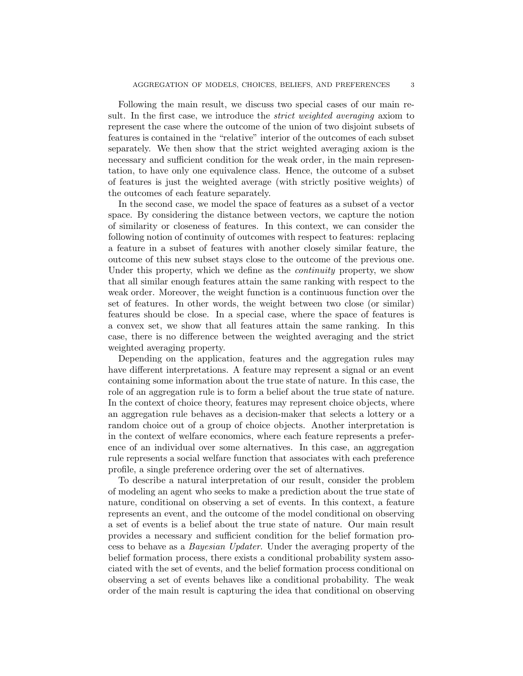Following the main result, we discuss two special cases of our main result. In the first case, we introduce the *strict weighted averaging* axiom to represent the case where the outcome of the union of two disjoint subsets of features is contained in the "relative" interior of the outcomes of each subset separately. We then show that the strict weighted averaging axiom is the necessary and sufficient condition for the weak order, in the main representation, to have only one equivalence class. Hence, the outcome of a subset of features is just the weighted average (with strictly positive weights) of the outcomes of each feature separately.

In the second case, we model the space of features as a subset of a vector space. By considering the distance between vectors, we capture the notion of similarity or closeness of features. In this context, we can consider the following notion of continuity of outcomes with respect to features: replacing a feature in a subset of features with another closely similar feature, the outcome of this new subset stays close to the outcome of the previous one. Under this property, which we define as the *continuity* property, we show that all similar enough features attain the same ranking with respect to the weak order. Moreover, the weight function is a continuous function over the set of features. In other words, the weight between two close (or similar) features should be close. In a special case, where the space of features is a convex set, we show that all features attain the same ranking. In this case, there is no difference between the weighted averaging and the strict weighted averaging property.

Depending on the application, features and the aggregation rules may have different interpretations. A feature may represent a signal or an event containing some information about the true state of nature. In this case, the role of an aggregation rule is to form a belief about the true state of nature. In the context of choice theory, features may represent choice objects, where an aggregation rule behaves as a decision-maker that selects a lottery or a random choice out of a group of choice objects. Another interpretation is in the context of welfare economics, where each feature represents a preference of an individual over some alternatives. In this case, an aggregation rule represents a social welfare function that associates with each preference profile, a single preference ordering over the set of alternatives.

To describe a natural interpretation of our result, consider the problem of modeling an agent who seeks to make a prediction about the true state of nature, conditional on observing a set of events. In this context, a feature represents an event, and the outcome of the model conditional on observing a set of events is a belief about the true state of nature. Our main result provides a necessary and sufficient condition for the belief formation process to behave as a Bayesian Updater. Under the averaging property of the belief formation process, there exists a conditional probability system associated with the set of events, and the belief formation process conditional on observing a set of events behaves like a conditional probability. The weak order of the main result is capturing the idea that conditional on observing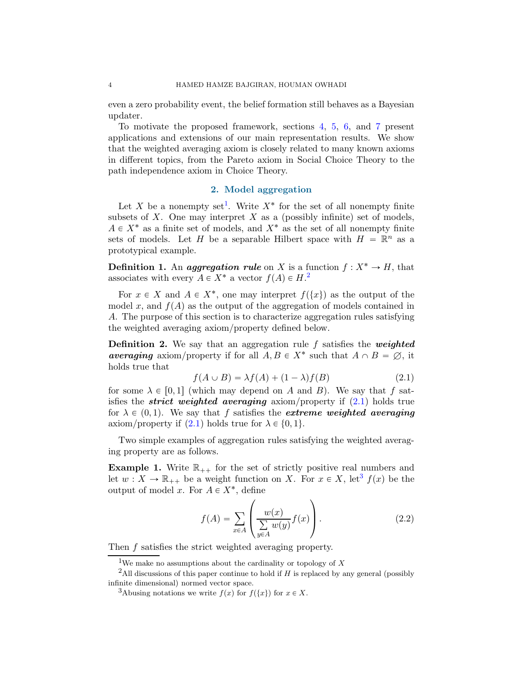even a zero probability event, the belief formation still behaves as a Bayesian updater.

To motivate the proposed framework, sections [4,](#page-8-0) [5,](#page-12-0) [6,](#page-17-0) and [7](#page-23-0) present applications and extensions of our main representation results. We show that the weighted averaging axiom is closely related to many known axioms in different topics, from the Pareto axiom in Social Choice Theory to the path independence axiom in Choice Theory.

## 2. Model aggregation

Let X be a nonempty set<sup>[1](#page-3-0)</sup>. Write  $X^*$  for the set of all nonempty finite subsets of  $X$ . One may interpret  $X$  as a (possibly infinite) set of models,  $A \in X^*$  as a finite set of models, and  $X^*$  as the set of all nonempty finite sets of models. Let H be a separable Hilbert space with  $H = \mathbb{R}^n$  as a prototypical example.

**Definition 1.** An *aggregation rule* on X is a function  $f: X^* \to H$ , that associates with every  $A \in X^*$  a vector  $f(A) \in H$ <sup>[2](#page-3-1)</sup>

For  $x \in X$  and  $A \in X^*$ , one may interpret  $f(\lbrace x \rbrace)$  as the output of the model x, and  $f(A)$  as the output of the aggregation of models contained in A. The purpose of this section is to characterize aggregation rules satisfying the weighted averaging axiom/property defined below.

**Definition 2.** We say that an aggregation rule f satisfies the weighted averaging axiom/property if for all  $A, B \in X^*$  such that  $A \cap B = \emptyset$ , it holds true that

<span id="page-3-2"></span>
$$
f(A \cup B) = \lambda f(A) + (1 - \lambda)f(B) \tag{2.1}
$$

for some  $\lambda \in [0, 1]$  (which may depend on A and B). We say that f satisfies the *strict weighted averaging* axiom/property if  $(2.1)$  holds true for  $\lambda \in (0, 1)$ . We say that f satisfies the *extreme weighted averaging* axiom/property if  $(2.1)$  holds true for  $\lambda \in \{0, 1\}.$ 

Two simple examples of aggregation rules satisfying the weighted averaging property are as follows.

<span id="page-3-4"></span>**Example 1.** Write  $\mathbb{R}_{++}$  for the set of strictly positive real numbers and let  $w: X \to \mathbb{R}_{++}$  be a weight function on X. For  $x \in X$ , let<sup>[3](#page-3-3)</sup>  $f(x)$  be the output of model x. For  $A \in X^*$ , define

$$
f(A) = \sum_{x \in A} \left( \frac{w(x)}{\sum_{y \in A} w(y)} f(x) \right).
$$
 (2.2)

Then f satisfies the strict weighted averaging property.

<span id="page-3-0"></span><sup>&</sup>lt;sup>1</sup>We make no assumptions about the cardinality or topology of X

<sup>&</sup>lt;sup>2</sup>All discussions of this paper continue to hold if  $H$  is replaced by any general (possibly infinite dimensional) normed vector space.

<span id="page-3-3"></span><span id="page-3-1"></span><sup>&</sup>lt;sup>3</sup>Abusing notations we write  $f(x)$  for  $f(\lbrace x \rbrace)$  for  $x \in X$ .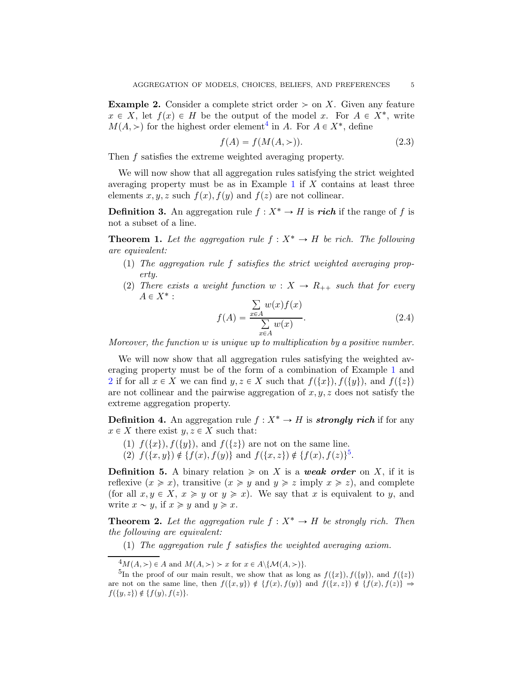<span id="page-4-1"></span>**Example 2.** Consider a complete strict order  $>$  on X. Given any feature  $x \in X$ , let  $f(x) \in H$  be the output of the model x. For  $A \in X^*$ , write  $M(A,>)$  for the highest order element<sup>[4](#page-4-0)</sup> in A. For  $A \in X^*$ , define

$$
f(A) = f(M(A, >)).
$$
\n(2.3)

Then f satisfies the extreme weighted averaging property.

We will now show that all aggregation rules satisfying the strict weighted averaging property must be as in Example [1](#page-3-4) if  $X$  contains at least three elements x, y, z such  $f(x)$ ,  $f(y)$  and  $f(z)$  are not collinear.

**Definition 3.** An aggregation rule  $f : X^* \to H$  is rich if the range of f is not a subset of a line.

<span id="page-4-3"></span>**Theorem 1.** Let the aggregation rule  $f : X^* \to H$  be rich. The following are equivalent:

- (1) The aggregation rule f satisfies the strict weighted averaging property.
- (2) There exists a weight function  $w : X \to R_{++}$  such that for every  $A \in X^*$ :

<span id="page-4-5"></span>
$$
f(A) = \frac{\sum_{x \in A} w(x) f(x)}{\sum_{x \in A} w(x)}.
$$
 (2.4)

Moreover, the function  $w$  is unique up to multiplication by a positive number.

We will now show that all aggregation rules satisfying the weighted averaging property must be of the form of a combination of Example [1](#page-3-4) and [2](#page-4-1) if for all  $x \in X$  we can find  $y, z \in X$  such that  $f(\lbrace x \rbrace), f(\lbrace y \rbrace)$ , and  $f(\lbrace z \rbrace)$ are not collinear and the pairwise aggregation of  $x, y, z$  does not satisfy the extreme aggregation property.

**Definition 4.** An aggregation rule  $f : X^* \to H$  is **strongly rich** if for any  $x \in X$  there exist  $y, z \in X$  such that:

- (1)  $f({x}), f({y}),$  and  $f({z})$  are not on the same line.
- (2)  $f(\{x, y\}) \notin \{f(x), f(y)\}\$  and  $f(\{x, z\}) \notin \{f(x), f(z)\}^5$  $f(\{x, z\}) \notin \{f(x), f(z)\}^5$ .

**Definition 5.** A binary relation  $\geq$  on X is a weak order on X, if it is reflexive  $(x \geq x)$ , transitive  $(x \geq y$  and  $y \geq z$  imply  $x \geq z$ ), and complete (for all  $x, y \in X$ ,  $x \geq y$  or  $y \geq x$ ). We say that x is equivalent to y, and write  $x \sim y$ , if  $x \geq y$  and  $y \geq x$ .

<span id="page-4-4"></span>**Theorem 2.** Let the aggregation rule  $f : X^* \to H$  be strongly rich. Then the following are equivalent:

(1) The aggregation rule f satisfies the weighted averaging axiom.

<span id="page-4-0"></span> ${}^4M(A,\rightarrow) \in A$  and  $M(A,\rightarrow) \succ x$  for  $x \in A \setminus \{ \mathcal{M}(A,\rightarrow) \}.$ 

<span id="page-4-2"></span><sup>&</sup>lt;sup>5</sup>In the proof of our main result, we show that as long as  $f(\lbrace x \rbrace), f(\lbrace y \rbrace)$ , and  $f(\lbrace z \rbrace)$ are not on the same line, then  $f(\{x, y\}) \notin \{f(x), f(y)\}\$  and  $f(\{x, z\}) \notin \{f(x), f(z)\} \implies$  $f({y,z}) \notin {f(y), f(z)}.$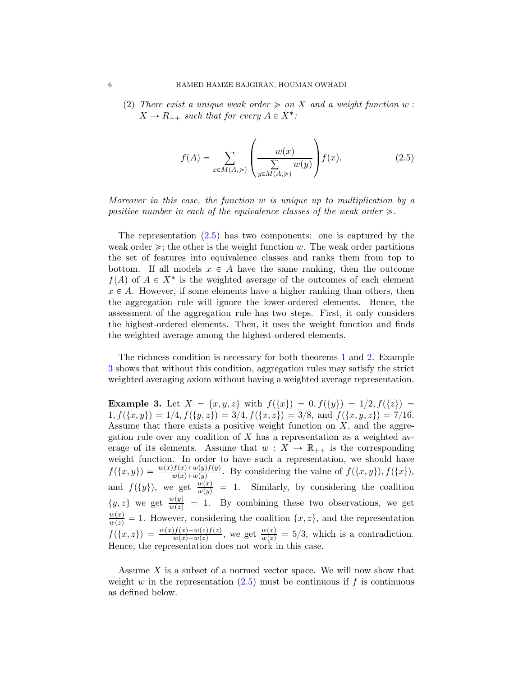(2) There exist a unique weak order  $\geq$  on X and a weight function w:  $X \to R_{++}$  such that for every  $A \in X^*$ :

<span id="page-5-0"></span>
$$
f(A) = \sum_{x \in M(A, \geqslant)} \left( \frac{w(x)}{\sum\limits_{y \in M(A, \geqslant)}} w(y) \right) f(x).
$$
 (2.5)

Moreover in this case, the function w is unique up to multiplication by a positive number in each of the equivalence classes of the weak order  $\geq$ .

The representation  $(2.5)$  has two components: one is captured by the weak order  $\geq$ ; the other is the weight function w. The weak order partitions the set of features into equivalence classes and ranks them from top to bottom. If all models  $x \in A$  have the same ranking, then the outcome  $f(A)$  of  $A \in X^*$  is the weighted average of the outcomes of each element  $x \in A$ . However, if some elements have a higher ranking than others, then the aggregation rule will ignore the lower-ordered elements. Hence, the assessment of the aggregation rule has two steps. First, it only considers the highest-ordered elements. Then, it uses the weight function and finds the weighted average among the highest-ordered elements.

The richness condition is necessary for both theorems [1](#page-4-3) and [2.](#page-4-4) Example [3](#page-5-1) shows that without this condition, aggregation rules may satisfy the strict weighted averaging axiom without having a weighted average representation.

<span id="page-5-1"></span>**Example 3.** Let  $X = \{x, y, z\}$  with  $f(\{x\}) = 0, f(\{y\}) = 1/2, f(\{z\}) = 1/2$  $1, f({x, y}) = 1/4, f({y, z}) = 3/4, f({x, z}) = 3/8, \text{ and } f({x, y, z}) = 7/16.$ Assume that there exists a positive weight function on  $X$ , and the aggregation rule over any coalition of  $X$  has a representation as a weighted average of its elements. Assume that  $w : X \to \mathbb{R}_{++}$  is the corresponding weight function. In order to have such a representation, we should have  $f(\lbrace x, y \rbrace) = \frac{w(x)f(x)+w(y)f(y)}{w(x)+w(y)}$ . By considering the value of  $f(\lbrace x, y \rbrace)$ ,  $f(\lbrace x \rbrace)$ , and  $f({y})$ , we get  $\frac{w(x)}{w(y)} = 1$ . Similarly, by considering the coalition  $\{y, z\}$  we get  $\frac{w(y)}{w(z)} = 1$ . By combining these two observations, we get  $\frac{w(x)}{w(z)} = 1$ . However, considering the coalition  $\{x, z\}$ , and the representation  $f(\lbrace x, z \rbrace) = \frac{w(x)f(x)+w(z)f(z)}{w(x)+w(z)}$ , we get  $\frac{w(x)}{w(z)} = 5/3$ , which is a contradiction. Hence, the representation does not work in this case.

Assume  $X$  is a subset of a normed vector space. We will now show that weight w in the representation  $(2.5)$  must be continuous if f is continuous as defined below.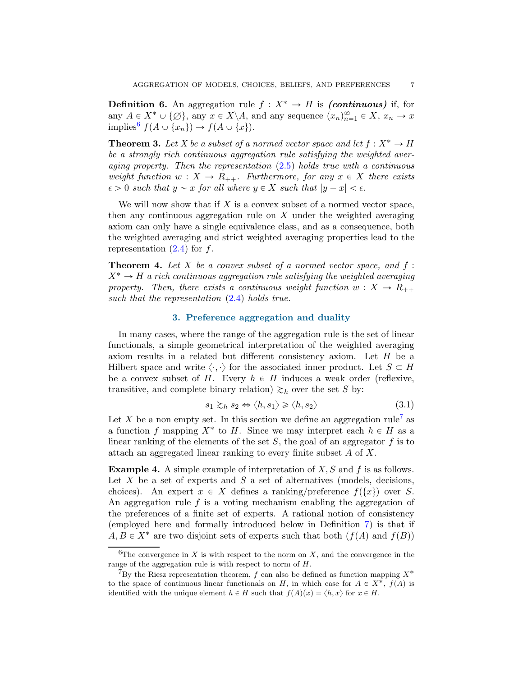**Definition 6.** An aggregation rule  $f : X^* \to H$  is *(continuous)* if, for any  $A \in X^* \cup \{\emptyset\}$ , any  $x \in X \backslash A$ , and any sequence  $(x_n)_{n=1}^{\infty} \in X$ ,  $x_n \to x$ implies<sup>[6](#page-6-0)</sup>  $f(A \cup \{x_n\}) \to f(A \cup \{x\}).$ 

<span id="page-6-5"></span>**Theorem 3.** Let X be a subset of a normed vector space and let  $f: X^* \to H$ be a strongly rich continuous aggregation rule satisfying the weighted averaging property. Then the representation  $(2.5)$  holds true with a continuous weight function  $w : X \to R_{++}$ . Furthermore, for any  $x \in X$  there exists  $\epsilon > 0$  such that  $y \sim x$  for all where  $y \in X$  such that  $|y - x| < \epsilon$ .

We will now show that if  $X$  is a convex subset of a normed vector space, then any continuous aggregation rule on  $X$  under the weighted averaging axiom can only have a single equivalence class, and as a consequence, both the weighted averaging and strict weighted averaging properties lead to the representation  $(2.4)$  for f.

<span id="page-6-3"></span>**Theorem 4.** Let X be a convex subset of a normed vector space, and  $f$ :  $X^* \to H$  a rich continuous aggregation rule satisfying the weighted averaging property. Then, there exists a continuous weight function  $w : X \to R_{++}$ such that the representation  $(2.4)$  holds true.

### 3. Preference aggregation and duality

<span id="page-6-4"></span>In many cases, where the range of the aggregation rule is the set of linear functionals, a simple geometrical interpretation of the weighted averaging axiom results in a related but different consistency axiom. Let H be a Hilbert space and write  $\langle \cdot, \cdot \rangle$  for the associated inner product. Let  $S \subset H$ be a convex subset of H. Every  $h \in H$  induces a weak order (reflexive, transitive, and complete binary relation)  $\gtrsim_h$  over the set S by:

<span id="page-6-2"></span>
$$
s_1 \gtrsim_h s_2 \Leftrightarrow \langle h, s_1 \rangle \ge \langle h, s_2 \rangle \tag{3.1}
$$

Let X be a non empty set. In this section we define an aggregation rule<sup>[7](#page-6-1)</sup> as a function f mapping  $X^*$  to H. Since we may interpret each  $h \in H$  as a linear ranking of the elements of the set  $S$ , the goal of an aggregator  $f$  is to attach an aggregated linear ranking to every finite subset A of X.

**Example 4.** A simple example of interpretation of  $X, S$  and  $f$  is as follows. Let  $X$  be a set of experts and  $S$  a set of alternatives (models, decisions, choices). An expert  $x \in X$  defines a ranking/preference  $f(\lbrace x \rbrace)$  over S. An aggregation rule  $f$  is a voting mechanism enabling the aggregation of the preferences of a finite set of experts. A rational notion of consistency (employed here and formally introduced below in Definition [7\)](#page-7-0) is that if  $A, B \in X^*$  are two disjoint sets of experts such that both  $(f(A)$  and  $f(B))$ 

<span id="page-6-0"></span><sup>&</sup>lt;sup>6</sup>The convergence in X is with respect to the norm on X, and the convergence in the range of the aggregation rule is with respect to norm of H.

<span id="page-6-1"></span><sup>&</sup>lt;sup>7</sup>By the Riesz representation theorem,  $f$  can also be defined as function mapping  $X^*$ to the space of continuous linear functionals on H, in which case for  $A \in X^*$ ,  $f(A)$  is identified with the unique element  $h \in H$  such that  $f(A)(x) = \langle h, x \rangle$  for  $x \in H$ .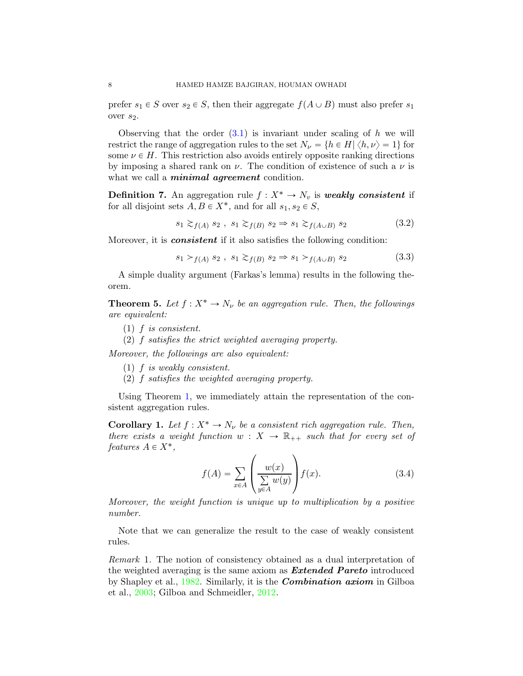prefer  $s_1 \in S$  over  $s_2 \in S$ , then their aggregate  $f(A \cup B)$  must also prefer  $s_1$ over  $s_2$ .

Observing that the order  $(3.1)$  is invariant under scaling of h we will restrict the range of aggregation rules to the set  $N_{\nu} = \{h \in H | \langle h, \nu \rangle = 1\}$  for some  $\nu \in H$ . This restriction also avoids entirely opposite ranking directions by imposing a shared rank on  $\nu$ . The condition of existence of such a  $\nu$  is what we call a *minimal agreement* condition.

<span id="page-7-0"></span>**Definition 7.** An aggregation rule  $f : X^* \to N_v$  is weakly consistent if for all disjoint sets  $A, B \in X^*$ , and for all  $s_1, s_2 \in S$ ,

$$
s_1 \gtrsim_{f(A)} s_2, \ s_1 \gtrsim_{f(B)} s_2 \Rightarrow s_1 \gtrsim_{f(A \cup B)} s_2 \tag{3.2}
$$

Moreover, it is *consistent* if it also satisfies the following condition:

$$
s_1 >_{f(A)} s_2, \ s_1 \gtrsim_{f(B)} s_2 \Rightarrow s_1 >_{f(A \cup B)} s_2 \tag{3.3}
$$

A simple duality argument (Farkas's lemma) results in the following theorem.

<span id="page-7-1"></span>**Theorem 5.** Let  $f: X^* \to N_{\nu}$  be an aggregation rule. Then, the followings are equivalent:

- $(1)$  f is consistent.
- (2) f satisfies the strict weighted averaging property.

Moreover, the followings are also equivalent:

- (1) f is weakly consistent.
- (2) f satisfies the weighted averaging property.

Using Theorem [1,](#page-4-3) we immediately attain the representation of the consistent aggregation rules.

**Corollary 1.** Let  $f: X^* \to N_{\nu}$  be a consistent rich aggregation rule. Then, there exists a weight function  $w : X \to \mathbb{R}_{++}$  such that for every set of features  $A \in X^*$ ,

$$
f(A) = \sum_{x \in A} \left( \frac{w(x)}{\sum\limits_{y \in A} w(y)} \right) f(x).
$$
 (3.4)

Moreover, the weight function is unique up to multiplication by a positive number.

Note that we can generalize the result to the case of weakly consistent rules.

Remark 1. The notion of consistency obtained as a dual interpretation of the weighted averaging is the same axiom as **Extended Pareto** introduced by Shapley et al., [1982.](#page-32-0) Similarly, it is the Combination axiom in Gilboa et al., [2003](#page-31-0); Gilboa and Schmeidler, [2012](#page-31-1).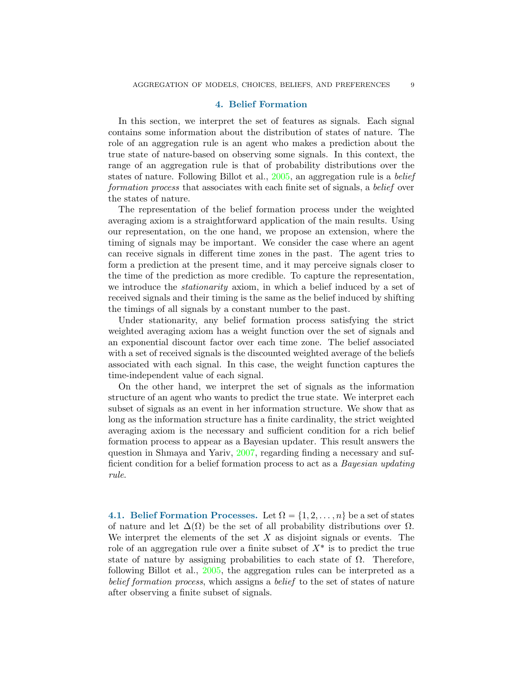## 4. Belief Formation

<span id="page-8-0"></span>In this section, we interpret the set of features as signals. Each signal contains some information about the distribution of states of nature. The role of an aggregation rule is an agent who makes a prediction about the true state of nature-based on observing some signals. In this context, the range of an aggregation rule is that of probability distributions over the states of nature. Following Billot et al., [2005](#page-30-0), an aggregation rule is a belief formation process that associates with each finite set of signals, a belief over the states of nature.

The representation of the belief formation process under the weighted averaging axiom is a straightforward application of the main results. Using our representation, on the one hand, we propose an extension, where the timing of signals may be important. We consider the case where an agent can receive signals in different time zones in the past. The agent tries to form a prediction at the present time, and it may perceive signals closer to the time of the prediction as more credible. To capture the representation, we introduce the *stationarity* axiom, in which a belief induced by a set of received signals and their timing is the same as the belief induced by shifting the timings of all signals by a constant number to the past.

Under stationarity, any belief formation process satisfying the strict weighted averaging axiom has a weight function over the set of signals and an exponential discount factor over each time zone. The belief associated with a set of received signals is the discounted weighted average of the beliefs associated with each signal. In this case, the weight function captures the time-independent value of each signal.

On the other hand, we interpret the set of signals as the information structure of an agent who wants to predict the true state. We interpret each subset of signals as an event in her information structure. We show that as long as the information structure has a finite cardinality, the strict weighted averaging axiom is the necessary and sufficient condition for a rich belief formation process to appear as a Bayesian updater. This result answers the question in Shmaya and Yariv, [2007](#page-32-1), regarding finding a necessary and sufficient condition for a belief formation process to act as a Bayesian updating rule.

<span id="page-8-1"></span>4.1. Belief Formation Processes. Let  $\Omega = \{1, 2, \ldots, n\}$  be a set of states of nature and let  $\Delta(\Omega)$  be the set of all probability distributions over  $\Omega$ . We interpret the elements of the set  $X$  as disjoint signals or events. The role of an aggregation rule over a finite subset of  $X^*$  is to predict the true state of nature by assigning probabilities to each state of  $\Omega$ . Therefore, following Billot et al., [2005,](#page-30-0) the aggregation rules can be interpreted as a belief formation process, which assigns a belief to the set of states of nature after observing a finite subset of signals.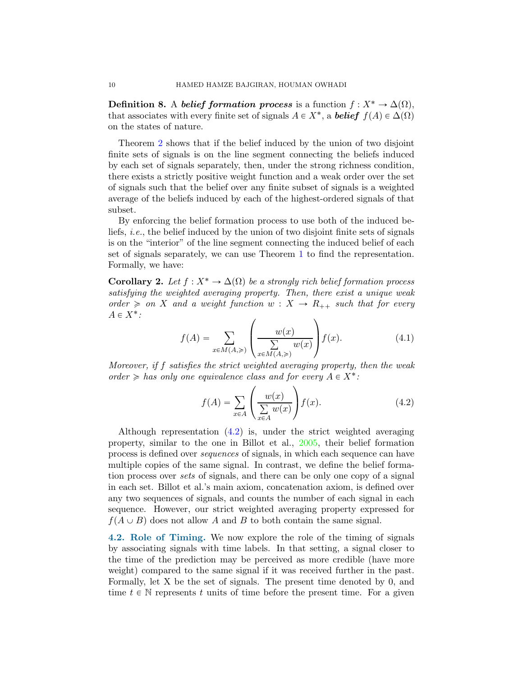**Definition 8.** A belief formation process is a function  $f: X^* \to \Delta(\Omega)$ , that associates with every finite set of signals  $A \in X^*$ , a **belief**  $f(A) \in \Delta(\Omega)$ on the states of nature.

Theorem [2](#page-4-4) shows that if the belief induced by the union of two disjoint finite sets of signals is on the line segment connecting the beliefs induced by each set of signals separately, then, under the strong richness condition, there exists a strictly positive weight function and a weak order over the set of signals such that the belief over any finite subset of signals is a weighted average of the beliefs induced by each of the highest-ordered signals of that subset.

By enforcing the belief formation process to use both of the induced beliefs, i.e., the belief induced by the union of two disjoint finite sets of signals is on the "interior" of the line segment connecting the induced belief of each set of signals separately, we can use Theorem [1](#page-4-3) to find the representation. Formally, we have:

<span id="page-9-1"></span>Corollary 2. Let  $f : X^* \to \Delta(\Omega)$  be a strongly rich belief formation process satisfying the weighted averaging property. Then, there exist a unique weak order  $\geq$  on X and a weight function  $w : X \to R_{++}$  such that for every  $A \in X^*$ : ¨

$$
f(A) = \sum_{x \in M(A, \geqslant)} \left( \frac{w(x)}{\sum\limits_{x \in M(A, \geqslant)}} w(x) \right) f(x). \tag{4.1}
$$

Moreover, if f satisfies the strict weighted averaging property, then the weak order  $\geq$  has only one equivalence class and for every  $A \in X^*$ :

<span id="page-9-0"></span>
$$
f(A) = \sum_{x \in A} \left( \frac{w(x)}{\sum_{x \in A} w(x)} \right) f(x).
$$
 (4.2)

Although representation [\(4.2\)](#page-9-0) is, under the strict weighted averaging property, similar to the one in Billot et al., [2005](#page-30-0), their belief formation process is defined over sequences of signals, in which each sequence can have multiple copies of the same signal. In contrast, we define the belief formation process over sets of signals, and there can be only one copy of a signal in each set. Billot et al.'s main axiom, concatenation axiom, is defined over any two sequences of signals, and counts the number of each signal in each sequence. However, our strict weighted averaging property expressed for  $f(A \cup B)$  does not allow A and B to both contain the same signal.

4.2. Role of Timing. We now explore the role of the timing of signals by associating signals with time labels. In that setting, a signal closer to the time of the prediction may be perceived as more credible (have more weight) compared to the same signal if it was received further in the past. Formally, let X be the set of signals. The present time denoted by 0, and time  $t \in \mathbb{N}$  represents t units of time before the present time. For a given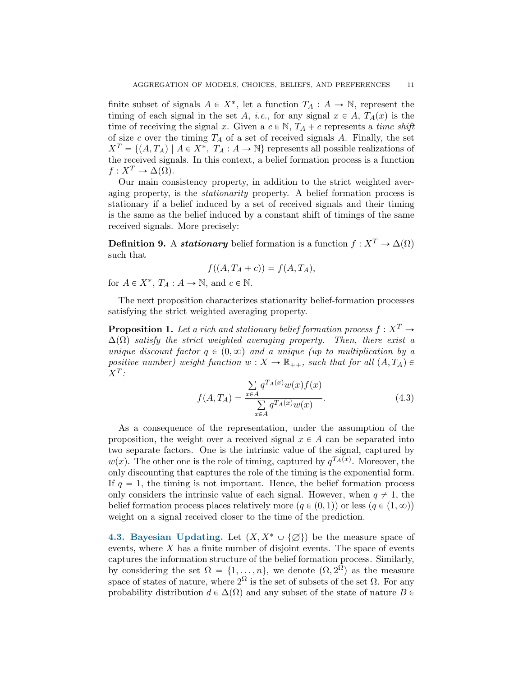finite subset of signals  $A \in X^*$ , let a function  $T_A : A \to \mathbb{N}$ , represent the timing of each signal in the set A, i.e., for any signal  $x \in A$ ,  $T_A(x)$  is the time of receiving the signal x. Given a  $c \in \mathbb{N}$ ,  $T_A + c$  represents a time shift of size c over the timing  $T_A$  of a set of received signals A. Finally, the set  $X^T = \{(A, T_A) \mid A \in X^*$ ,  $T_A : A \to \mathbb{N}\}$  represents all possible realizations of the received signals. In this context, a belief formation process is a function  $f: X^T \to \Delta(\Omega)$ .

Our main consistency property, in addition to the strict weighted averaging property, is the stationarity property. A belief formation process is stationary if a belief induced by a set of received signals and their timing is the same as the belief induced by a constant shift of timings of the same received signals. More precisely:

**Definition 9.** A *stationary* belief formation is a function  $f : X^T \to \Delta(\Omega)$ such that

$$
f((A, T_A + c)) = f(A, T_A),
$$

for  $A \in X^*$ ,  $T_A : A \to \mathbb{N}$ , and  $c \in \mathbb{N}$ .

The next proposition characterizes stationarity belief-formation processes satisfying the strict weighted averaging property.

<span id="page-10-1"></span>**Proposition 1.** Let a rich and stationary belief formation process  $f: X^T \to Y$  $\Delta(\Omega)$  satisfy the strict weighted averaging property. Then, there exist a unique discount factor  $q \in (0, \infty)$  and a unique (up to multiplication by a positive number) weight function  $w: X \to \mathbb{R}_{++}$ , such that for all  $(A, T_A) \in$  $X^T$ :

$$
f(A, T_A) = \frac{\sum_{x \in A} q^{T_A(x)} w(x) f(x)}{\sum_{x \in A} q^{T_A(x)} w(x)}.
$$
 (4.3)

As a consequence of the representation, under the assumption of the proposition, the weight over a received signal  $x \in A$  can be separated into two separate factors. One is the intrinsic value of the signal, captured by  $w(x)$ . The other one is the role of timing, captured by  $q^{T_A(x)}$ . Moreover, the only discounting that captures the role of the timing is the exponential form. If  $q = 1$ , the timing is not important. Hence, the belief formation process only considers the intrinsic value of each signal. However, when  $q \neq 1$ , the belief formation process places relatively more  $(q \in (0, 1))$  or less  $(q \in (1, \infty))$ weight on a signal received closer to the time of the prediction.

<span id="page-10-0"></span>4.3. Bayesian Updating. Let  $(X, X^* \cup \{\emptyset\})$  be the measure space of events, where  $X$  has a finite number of disjoint events. The space of events captures the information structure of the belief formation process. Similarly, by considering the set  $\Omega = \{1, \ldots, n\}$ , we denote  $(\Omega, 2^{\Omega})$  as the measure space of states of nature, where  $2^{\Omega}$  is the set of subsets of the set  $\Omega$ . For any probability distribution  $d \in \Delta(\Omega)$  and any subset of the state of nature  $B \in$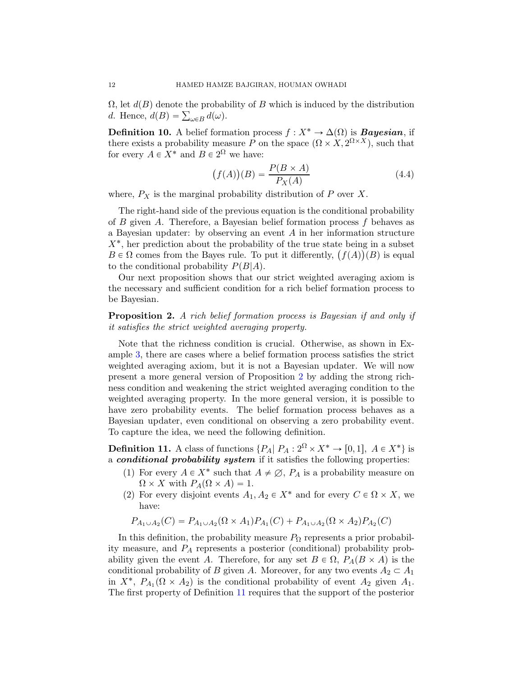$\Omega$ , let  $d(B)$  denote the probability of B which is induced by the distribution *d*. Hence,  $d(B) = \sum_{\omega \in B} d(\omega)$ .

**Definition 10.** A belief formation process  $f : X^* \to \Delta(\Omega)$  is **Bayesian**, if there exists a probability measure P on the space  $(\Omega \times X, 2^{\Omega \times X})$ , such that for every  $A \in X^*$  and  $B \in 2^{\Omega}$  we have:

$$
(f(A))(B) = \frac{P(B \times A)}{P_X(A)}\tag{4.4}
$$

where,  $P_X$  is the marginal probability distribution of P over X.

The right-hand side of the previous equation is the conditional probability of B given A. Therefore, a Bayesian belief formation process  $f$  behaves as a Bayesian updater: by observing an event A in her information structure  $X^*$ , her prediction about the probability of the true state being in a subset  $B \in \Omega$  comes from the Bayes rule. To put it differently,  $(f(A))(B)$  is equal to the conditional probability  $P(B|A)$ .

Our next proposition shows that our strict weighted averaging axiom is the necessary and sufficient condition for a rich belief formation process to be Bayesian.

<span id="page-11-0"></span>**Proposition 2.** A rich belief formation process is Bayesian if and only if it satisfies the strict weighted averaging property.

Note that the richness condition is crucial. Otherwise, as shown in Example [3,](#page-5-1) there are cases where a belief formation process satisfies the strict weighted averaging axiom, but it is not a Bayesian updater. We will now present a more general version of Proposition [2](#page-11-0) by adding the strong richness condition and weakening the strict weighted averaging condition to the weighted averaging property. In the more general version, it is possible to have zero probability events. The belief formation process behaves as a Bayesian updater, even conditional on observing a zero probability event. To capture the idea, we need the following definition.

<span id="page-11-1"></span>**Definition 11.** A class of functions  $\{P_A | P_A : 2^{\Omega} \times X^* \to [0, 1], A \in X^*\}$  is a conditional probability system if it satisfies the following properties:

- (1) For every  $A \in X^*$  such that  $A \neq \emptyset$ ,  $P_A$  is a probability measure on  $\Omega \times X$  with  $P_A(\Omega \times A) = 1$ .
- (2) For every disjoint events  $A_1, A_2 \in X^*$  and for every  $C \in \Omega \times X$ , we have:

$$
P_{A_1 \cup A_2}(C) = P_{A_1 \cup A_2}(\Omega \times A_1) P_{A_1}(C) + P_{A_1 \cup A_2}(\Omega \times A_2) P_{A_2}(C)
$$

In this definition, the probability measure  $P_{\Omega}$  represents a prior probability measure, and  $P_A$  represents a posterior (conditional) probability probability given the event A. Therefore, for any set  $B \in \Omega$ ,  $P_A(B \times A)$  is the conditional probability of B given A. Moreover, for any two events  $A_2 \subset A_1$ in  $X^*$ ,  $P_{A_1}(\Omega \times A_2)$  is the conditional probability of event  $A_2$  given  $A_1$ . The first property of Definition [11](#page-11-1) requires that the support of the posterior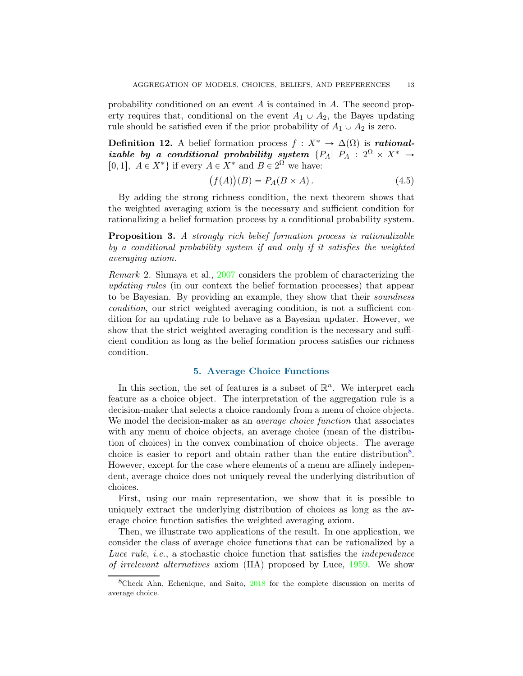probability conditioned on an event  $A$  is contained in  $A$ . The second property requires that, conditional on the event  $A_1 \cup A_2$ , the Bayes updating rule should be satisfied even if the prior probability of  $A_1 \cup A_2$  is zero.

Definition 12. A belief formation process  $f : X^* \to \Delta(\Omega)$  is rationalizable by a conditional probability system  ${P_A | P_A : 2^{\Omega} \times X^* \rightarrow \Omega}$ [0, 1],  $A \in X^*$  if every  $A \in X^*$  and  $B \in 2^{\Omega}$  we have:

$$
(f(A))(B) = P_A(B \times A). \tag{4.5}
$$

By adding the strong richness condition, the next theorem shows that the weighted averaging axiom is the necessary and sufficient condition for rationalizing a belief formation process by a conditional probability system.

Proposition 3. A strongly rich belief formation process is rationalizable by a conditional probability system if and only if it satisfies the weighted averaging axiom.

Remark 2. Shmaya et al., [2007](#page-32-1) considers the problem of characterizing the updating rules (in our context the belief formation processes) that appear to be Bayesian. By providing an example, they show that their soundness condition, our strict weighted averaging condition, is not a sufficient condition for an updating rule to behave as a Bayesian updater. However, we show that the strict weighted averaging condition is the necessary and sufficient condition as long as the belief formation process satisfies our richness condition.

# 5. Average Choice Functions

<span id="page-12-0"></span>In this section, the set of features is a subset of  $\mathbb{R}^n$ . We interpret each feature as a choice object. The interpretation of the aggregation rule is a decision-maker that selects a choice randomly from a menu of choice objects. We model the decision-maker as an *average choice function* that associates with any menu of choice objects, an average choice (mean of the distribution of choices) in the convex combination of choice objects. The average choice is easier to report and obtain rather than the entire distribution<sup>[8](#page-12-1)</sup>. However, except for the case where elements of a menu are affinely independent, average choice does not uniquely reveal the underlying distribution of choices.

First, using our main representation, we show that it is possible to uniquely extract the underlying distribution of choices as long as the average choice function satisfies the weighted averaging axiom.

Then, we illustrate two applications of the result. In one application, we consider the class of average choice functions that can be rationalized by a Luce rule, i.e., a stochastic choice function that satisfies the independence of irrelevant alternatives axiom (IIA) proposed by Luce, [1959](#page-31-2). We show

<span id="page-12-1"></span> ${}^{8}$ Check Ahn, Echenique, and Saito,  $2018$  for the complete discussion on merits of average choice.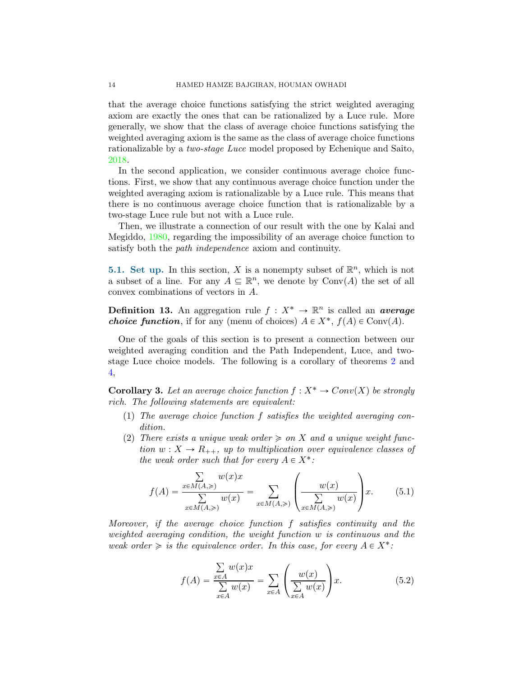that the average choice functions satisfying the strict weighted averaging axiom are exactly the ones that can be rationalized by a Luce rule. More generally, we show that the class of average choice functions satisfying the weighted averaging axiom is the same as the class of average choice functions rationalizable by a two-stage Luce model proposed by Echenique and Saito, [2018](#page-31-3).

In the second application, we consider continuous average choice functions. First, we show that any continuous average choice function under the weighted averaging axiom is rationalizable by a Luce rule. This means that there is no continuous average choice function that is rationalizable by a two-stage Luce rule but not with a Luce rule.

Then, we illustrate a connection of our result with the one by Kalai and Megiddo, [1980](#page-31-4), regarding the impossibility of an average choice function to satisfy both the path independence axiom and continuity.

**5.1. Set up.** In this section, X is a nonempty subset of  $\mathbb{R}^n$ , which is not a subset of a line. For any  $A \subseteq \mathbb{R}^n$ , we denote by  $Conv(A)$  the set of all convex combinations of vectors in A.

**Definition 13.** An aggregation rule  $f: X^* \to \mathbb{R}^n$  is called an *average choice function*, if for any (menu of choices)  $A \in X^*$ ,  $f(A) \in Conv(A)$ .

One of the goals of this section is to present a connection between our weighted averaging condition and the Path Independent, Luce, and twostage Luce choice models. The following is a corollary of theorems [2](#page-4-4) and [4,](#page-6-3)

<span id="page-13-0"></span>**Corollary 3.** Let an average choice function  $f : X^* \to Conv(X)$  be strongly rich. The following statements are equivalent:

- (1) The average choice function f satisfies the weighted averaging condition.
- (2) There exists a unique weak order  $\geq$  on X and a unique weight function  $w: X \to R_{++}$ , up to multiplication over equivalence classes of the weak order such that for every  $A \in X^*$ :

$$
f(A) = \frac{\sum\limits_{x \in M(A, \geqslant)} w(x)x}{\sum\limits_{x \in M(A, \geqslant)} w(x)} = \sum\limits_{x \in M(A, \geqslant)} \left(\frac{w(x)}{\sum\limits_{x \in M(A, \geqslant)} w(x)}\right)x.
$$
 (5.1)

Moreover, if the average choice function f satisfies continuity and the weighted averaging condition, the weight function w is continuous and the weak order  $\geq$  is the equivalence order. In this case, for every  $A \in X^*$ :

$$
f(A) = \frac{\sum_{x \in A} w(x)x}{\sum_{x \in A} w(x)} = \sum_{x \in A} \left( \frac{w(x)}{\sum_{x \in A} w(x)} \right) x.
$$
 (5.2)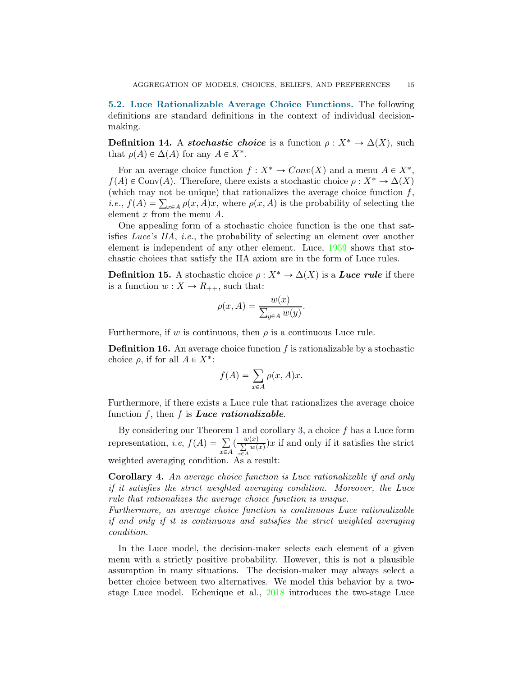<span id="page-14-0"></span>5.2. Luce Rationalizable Average Choice Functions. The following definitions are standard definitions in the context of individual decisionmaking.

**Definition 14.** A *stochastic choice* is a function  $\rho : X^* \to \Delta(X)$ , such that  $\rho(A) \in \Delta(A)$  for any  $A \in X^*$ .

For an average choice function  $f: X^* \to Conv(X)$  and a menu  $A \in X^*$ ,  $f(A) \in Conv(A)$ . Therefore, there exists a stochastic choice  $\rho : X^* \to \Delta(X)$ (which may not be unique) that rationalizes the average choice function  $f$ , *i.e.*,  $f(A) = \sum_{x \in A} \rho(x, A)x$ , where  $\rho(x, A)$  is the probability of selecting the element x from the menu A.

One appealing form of a stochastic choice function is the one that satisfies Luce's IIA, i.e., the probability of selecting an element over another element is independent of any other element. Luce, [1959](#page-31-2) shows that stochastic choices that satisfy the IIA axiom are in the form of Luce rules.

**Definition 15.** A stochastic choice  $\rho : X^* \to \Delta(X)$  is a *Luce rule* if there is a function  $w: X \to R_{++}$ , such that:

$$
\rho(x, A) = \frac{w(x)}{\sum_{y \in A} w(y)}.
$$

Furthermore, if w is continuous, then  $\rho$  is a continuous Luce rule.

**Definition 16.** An average choice function  $f$  is rationalizable by a stochastic choice  $\rho$ , if for all  $A \in X^*$ :

$$
f(A) = \sum_{x \in A} \rho(x, A)x.
$$

Furthermore, if there exists a Luce rule that rationalizes the average choice function f, then f is **Luce rationalizable**.

By considering our Theorem [1](#page-4-3) and corollary [3,](#page-13-0) a choice  $f$  has a Luce form representation, *i.e.*,  $f(A) = \sum$  $\sum_{x \in A} \left( \frac{w(x)}{\sum w(x)} \right) x$  if and only if it satisfies the strict weighted averaging condition. As a result:

Corollary 4. An average choice function is Luce rationalizable if and only if it satisfies the strict weighted averaging condition. Moreover, the Luce rule that rationalizes the average choice function is unique.

Furthermore, an average choice function is continuous Luce rationalizable if and only if it is continuous and satisfies the strict weighted averaging condition.

In the Luce model, the decision-maker selects each element of a given menu with a strictly positive probability. However, this is not a plausible assumption in many situations. The decision-maker may always select a better choice between two alternatives. We model this behavior by a twostage Luce model. Echenique et al., [2018](#page-31-3) introduces the two-stage Luce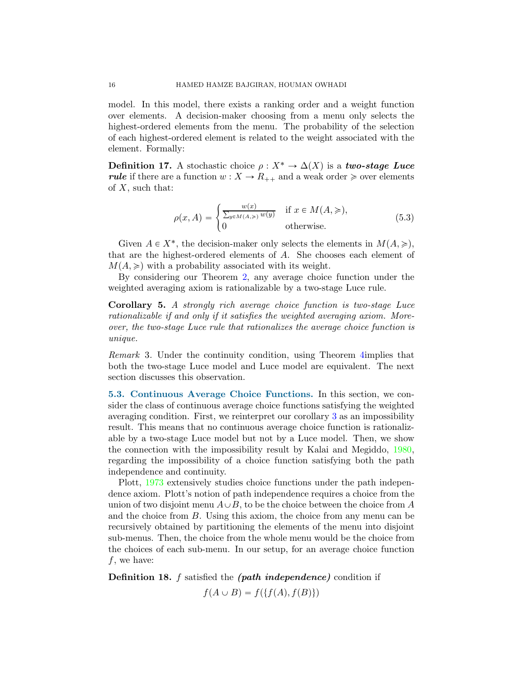model. In this model, there exists a ranking order and a weight function over elements. A decision-maker choosing from a menu only selects the highest-ordered elements from the menu. The probability of the selection of each highest-ordered element is related to the weight associated with the element. Formally:

Definition 17. A stochastic choice  $\rho : X^* \to \Delta(X)$  is a two-stage Luce rule if there are a function  $w: X \to R_{++}$  and a weak order  $\geq$  over elements of  $X$ , such that:

$$
\rho(x, A) = \begin{cases} \frac{w(x)}{\sum_{y \in M(A, \geq)} w(y)} & \text{if } x \in M(A, \geq), \\ 0 & \text{otherwise.} \end{cases}
$$
(5.3)

Given  $A \in X^*$ , the decision-maker only selects the elements in  $M(A, \geqslant)$ , that are the highest-ordered elements of A. She chooses each element of  $M(A, \geq)$  with a probability associated with its weight.

By considering our Theorem [2,](#page-4-4) any average choice function under the weighted averaging axiom is rationalizable by a two-stage Luce rule.

Corollary 5. A strongly rich average choice function is two-stage Luce rationalizable if and only if it satisfies the weighted averaging axiom. Moreover, the two-stage Luce rule that rationalizes the average choice function is unique.

Remark 3. Under the continuity condition, using Theorem [4i](#page-6-3)mplies that both the two-stage Luce model and Luce model are equivalent. The next section discusses this observation.

5.3. Continuous Average Choice Functions. In this section, we consider the class of continuous average choice functions satisfying the weighted averaging condition. First, we reinterpret our corollary [3](#page-13-0) as an impossibility result. This means that no continuous average choice function is rationalizable by a two-stage Luce model but not by a Luce model. Then, we show the connection with the impossibility result by Kalai and Megiddo, [1980](#page-31-4), regarding the impossibility of a choice function satisfying both the path independence and continuity.

Plott, [1973](#page-32-2) extensively studies choice functions under the path independence axiom. Plott's notion of path independence requires a choice from the union of two disjoint menu  $A \cup B$ , to be the choice between the choice from A and the choice from B. Using this axiom, the choice from any menu can be recursively obtained by partitioning the elements of the menu into disjoint sub-menus. Then, the choice from the whole menu would be the choice from the choices of each sub-menu. In our setup, for an average choice function  $f$ , we have:

Definition 18. f satisfied the *(path independence)* condition if

 $f(A \cup B) = f({f(A), f(B)})$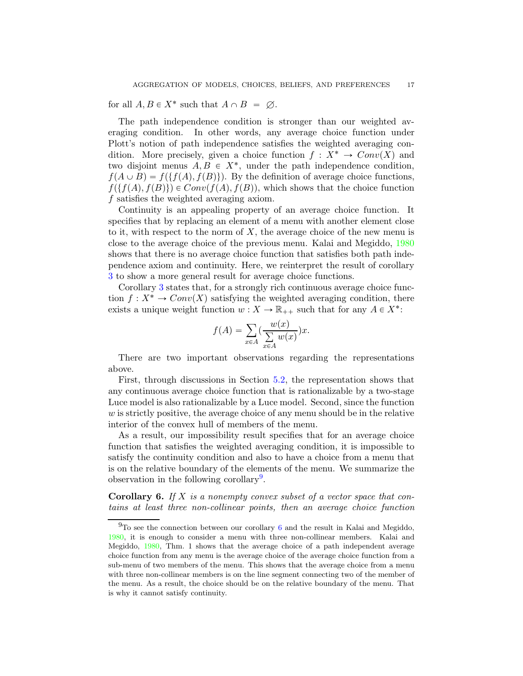for all  $A, B \in X^*$  such that  $A \cap B = \emptyset$ .

The path independence condition is stronger than our weighted averaging condition. In other words, any average choice function under Plott's notion of path independence satisfies the weighted averaging condition. More precisely, given a choice function  $f : X^* \to Conv(X)$  and two disjoint menus  $A, B \in X^*$ , under the path independence condition,  $f(A \cup B) = f(\{f(A), f(B)\})$ . By the definition of average choice functions,  $f(\{f(A), f(B)\}) \in Conv(f(A), f(B))$ , which shows that the choice function f satisfies the weighted averaging axiom.

Continuity is an appealing property of an average choice function. It specifies that by replacing an element of a menu with another element close to it, with respect to the norm of  $X$ , the average choice of the new menu is close to the average choice of the previous menu. Kalai and Megiddo, [1980](#page-31-4) shows that there is no average choice function that satisfies both path independence axiom and continuity. Here, we reinterpret the result of corollary [3](#page-13-0) to show a more general result for average choice functions.

Corollary [3](#page-13-0) states that, for a strongly rich continuous average choice function  $f: X^* \to Conv(X)$  satisfying the weighted averaging condition, there exists a unique weight function  $w: X \to \mathbb{R}_{++}$  such that for any  $A \in X^*$ :

$$
f(A) = \sum_{x \in A} \left(\frac{w(x)}{\sum_{x \in A} w(x)}\right) x.
$$

There are two important observations regarding the representations above.

First, through discussions in Section [5.2,](#page-14-0) the representation shows that any continuous average choice function that is rationalizable by a two-stage Luce model is also rationalizable by a Luce model. Second, since the function  $w$  is strictly positive, the average choice of any menu should be in the relative interior of the convex hull of members of the menu.

As a result, our impossibility result specifies that for an average choice function that satisfies the weighted averaging condition, it is impossible to satisfy the continuity condition and also to have a choice from a menu that is on the relative boundary of the elements of the menu. We summarize the observation in the following corollary<sup>[9](#page-16-0)</sup>.

<span id="page-16-1"></span>**Corollary 6.** If X is a nonempty convex subset of a vector space that contains at least three non-collinear points, then an average choice function

<span id="page-16-0"></span> $9$ To see the connection between our corollary [6](#page-16-1) and the result in Kalai and Megiddo, [1980](#page-31-4), it is enough to consider a menu with three non-collinear members. Kalai and Megiddo, [1980,](#page-31-4) Thm. 1 shows that the average choice of a path independent average choice function from any menu is the average choice of the average choice function from a sub-menu of two members of the menu. This shows that the average choice from a menu with three non-collinear members is on the line segment connecting two of the member of the menu. As a result, the choice should be on the relative boundary of the menu. That is why it cannot satisfy continuity.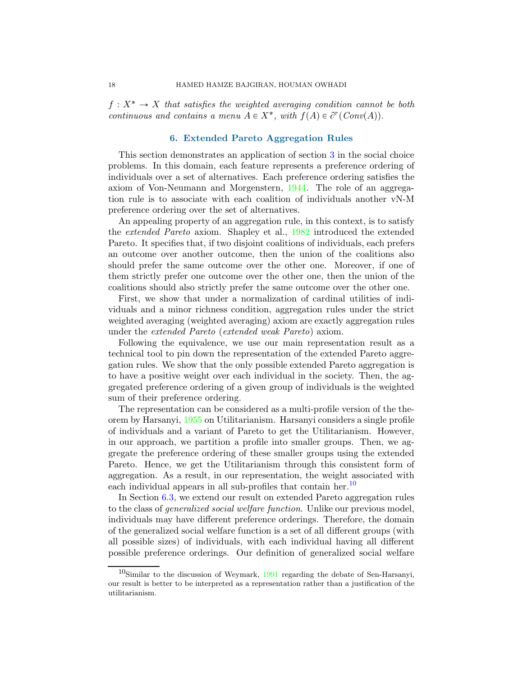<span id="page-17-0"></span> $f: X^* \to X$  that satisfies the weighted averaging condition cannot be both continuous and contains a menu  $A \in X^*$ , with  $f(A) \in \partial^r(\text{Conv}(A))$ .

## 6. Extended Pareto Aggregation Rules

This section demonstrates an application of section [3](#page-6-4) in the social choice problems. In this domain, each feature represents a preference ordering of individuals over a set of alternatives. Each preference ordering satisfies the axiom of Von-Neumann and Morgenstern, [1944](#page-32-3). The role of an aggregation rule is to associate with each coalition of individuals another vN-M preference ordering over the set of alternatives.

An appealing property of an aggregation rule, in this context, is to satisfy the extended Pareto axiom. Shapley et al., [1982](#page-32-0) introduced the extended Pareto. It specifies that, if two disjoint coalitions of individuals, each prefers an outcome over another outcome, then the union of the coalitions also should prefer the same outcome over the other one. Moreover, if one of them strictly prefer one outcome over the other one, then the union of the coalitions should also strictly prefer the same outcome over the other one.

First, we show that under a normalization of cardinal utilities of individuals and a minor richness condition, aggregation rules under the strict weighted averaging (weighted averaging) axiom are exactly aggregation rules under the extended Pareto (extended weak Pareto) axiom.

Following the equivalence, we use our main representation result as a technical tool to pin down the representation of the extended Pareto aggregation rules. We show that the only possible extended Pareto aggregation is to have a positive weight over each individual in the society. Then, the aggregated preference ordering of a given group of individuals is the weighted sum of their preference ordering.

The representation can be considered as a multi-profile version of the theorem by Harsanyi, [1955](#page-31-5) on Utilitarianism. Harsanyi considers a single profile of individuals and a variant of Pareto to get the Utilitarianism. However, in our approach, we partition a profile into smaller groups. Then, we aggregate the preference ordering of these smaller groups using the extended Pareto. Hence, we get the Utilitarianism through this consistent form of aggregation. As a result, in our representation, the weight associated with each individual appears in all sub-profiles that contain her.<sup>[10](#page-17-1)</sup>

In Section [6.3,](#page-21-0) we extend our result on extended Pareto aggregation rules to the class of generalized social welfare function. Unlike our previous model, individuals may have different preference orderings. Therefore, the domain of the generalized social welfare function is a set of all different groups (with all possible sizes) of individuals, with each individual having all different possible preference orderings. Our definition of generalized social welfare

<span id="page-17-1"></span> $10$ Similar to the discussion of Weymark, [1991](#page-32-4) regarding the debate of Sen-Harsanyi, our result is better to be interpreted as a representation rather than a justification of the utilitarianism.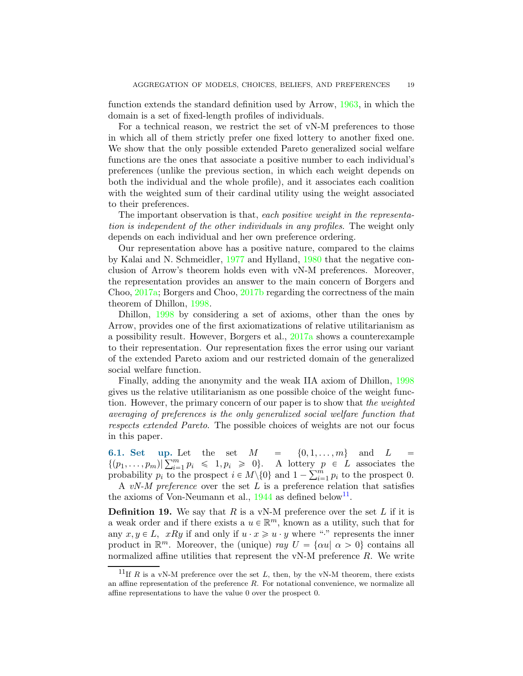function extends the standard definition used by Arrow, [1963,](#page-30-2) in which the domain is a set of fixed-length profiles of individuals.

For a technical reason, we restrict the set of vN-M preferences to those in which all of them strictly prefer one fixed lottery to another fixed one. We show that the only possible extended Pareto generalized social welfare functions are the ones that associate a positive number to each individual's preferences (unlike the previous section, in which each weight depends on both the individual and the whole profile), and it associates each coalition with the weighted sum of their cardinal utility using the weight associated to their preferences.

The important observation is that, each positive weight in the representation is independent of the other individuals in any profiles. The weight only depends on each individual and her own preference ordering.

Our representation above has a positive nature, compared to the claims by Kalai and N. Schmeidler, [1977](#page-31-6) and Hylland, [1980](#page-31-7) that the negative conclusion of Arrow's theorem holds even with vN-M preferences. Moreover, the representation provides an answer to the main concern of Borgers and Choo, [2017a](#page-30-3); Borgers and Choo, [2017b](#page-30-4) regarding the correctness of the main theorem of Dhillon, [1998](#page-31-8).

Dhillon, [1998](#page-31-8) by considering a set of axioms, other than the ones by Arrow, provides one of the first axiomatizations of relative utilitarianism as a possibility result. However, Borgers et al., [2017a](#page-30-3) shows a counterexample to their representation. Our representation fixes the error using our variant of the extended Pareto axiom and our restricted domain of the generalized social welfare function.

Finally, adding the anonymity and the weak IIA axiom of Dhillon, [1998](#page-31-8) gives us the relative utilitarianism as one possible choice of the weight function. However, the primary concern of our paper is to show that the weighted averaging of preferences is the only generalized social welfare function that respects extended Pareto. The possible choices of weights are not our focus in this paper.

6.1. Set up. Let the set  $M = \{0, 1, \ldots, m\}$  and  $L =$  $\{(p_1,\ldots,p_m)|\sum_{i=1}^m p_i \leq 1, p_i \geq 0\}.$  A lottery  $p \in L$  associates the probability  $p_i$  to the prospect  $i \in M \setminus \{0\}$  and  $1 - \sum_{i=1}^m p_i$  to the prospect 0.

A vN-M preference over the set  $L$  is a preference relation that satisfies the axioms of Von-Neumann et al.,  $1944$  as defined below<sup>[11](#page-18-0)</sup>.

<span id="page-18-1"></span>**Definition 19.** We say that  $R$  is a vN-M preference over the set  $L$  if it is a weak order and if there exists a  $u \in \mathbb{R}^m$ , known as a utility, such that for any  $x, y \in L$ ,  $xRy$  if and only if  $u \cdot x \geqslant u \cdot y$  where "" represents the inner product in  $\mathbb{R}^m$ . Moreover, the (unique) ray  $U = {\alpha u | \alpha > 0}$  contains all normalized affine utilities that represent the  $vN-M$  preference  $R$ . We write

<span id="page-18-0"></span><sup>&</sup>lt;sup>11</sup>If R is a vN-M preference over the set L, then, by the vN-M theorem, there exists an affine representation of the preference R. For notational convenience, we normalize all affine representations to have the value 0 over the prospect 0.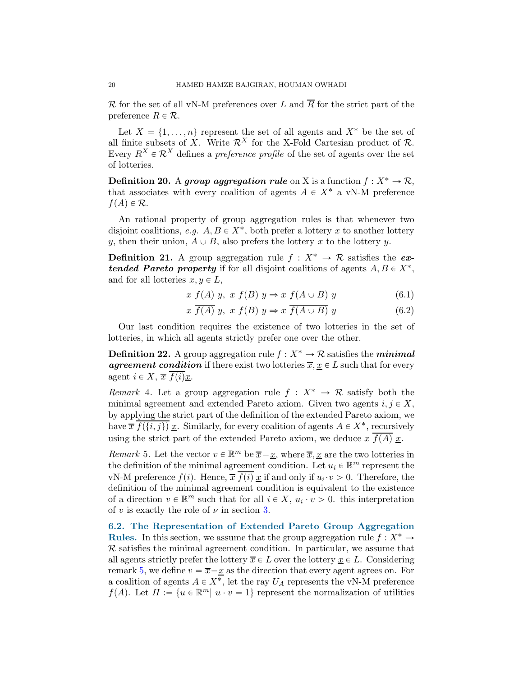R for the set of all vN-M preferences over L and  $\overline{R}$  for the strict part of the preference  $R \in \mathcal{R}$ .

Let  $X = \{1, \ldots, n\}$  represent the set of all agents and  $X^*$  be the set of all finite subsets of X. Write  $\mathcal{R}^X$  for the X-Fold Cartesian product of  $\mathcal{R}$ . Every  $R^X \in \mathcal{R}^X$  defines a *preference profile* of the set of agents over the set of lotteries.

**Definition 20.** A group aggregation rule on X is a function  $f: X^* \to \mathcal{R}$ , that associates with every coalition of agents  $A \in X^*$  a vN-M preference  $f(A) \in \mathcal{R}$ .

An rational property of group aggregation rules is that whenever two disjoint coalitions, e.g.  $A, B \in X^*$ , both prefer a lottery x to another lottery y, then their union,  $A \cup B$ , also prefers the lottery x to the lottery y.

**Definition 21.** A group aggregation rule  $f: X^* \to \mathcal{R}$  satisfies the extended Pareto property if for all disjoint coalitions of agents  $A, B \in X^*$ , and for all lotteries  $x, y \in L$ ,

$$
x f(A) y, x f(B) y \Rightarrow x f(A \cup B) y \tag{6.1}
$$

$$
x \overline{f(A)} y, x f(B) y \Rightarrow x \overline{f(A \cup B)} y \tag{6.2}
$$

Our last condition requires the existence of two lotteries in the set of lotteries, in which all agents strictly prefer one over the other.

**Definition 22.** A group aggregation rule  $f : X^* \to \mathcal{R}$  satisfies the *minimal* agreement condition if there exist two lotteries  $\overline{x}, \underline{x} \in L$  such that for every agent  $i \in X$ ,  $\overline{x}$   $f(i)\underline{x}$ .

Remark 4. Let a group aggregation rule  $f: X^* \to \mathcal{R}$  satisfy both the minimal agreement and extended Pareto axiom. Given two agents  $i, j \in X$ , by applying the strict part of the definition of the extended Pareto axiom, we have  $\overline{x}$   $\overline{f(\{i,j\})}$   $\underline{x}$ . Similarly, for every coalition of agents  $A \in X^*$ , recursively using the strict part of the extended Pareto axiom, we deduce  $\overline{x}$   $\overline{f(A)}$  x.

<span id="page-19-0"></span>*Remark* 5. Let the vector  $v \in \mathbb{R}^m$  be  $\overline{x} - \underline{x}$ , where  $\overline{x}, \underline{x}$  are the two lotteries in the definition of the minimal agreement condition. Let  $u_i \in \mathbb{R}^m$  represent the vN-M preference  $f(i)$ . Hence,  $\overline{x} f(i) \underline{x}$  if and only if  $u_i \cdot v > 0$ . Therefore, the definition of the minimal agreement condition is equivalent to the existence of a direction  $v \in \mathbb{R}^m$  such that for all  $i \in X$ ,  $u_i \cdot v > 0$ . this interpretation of v is exactly the role of  $\nu$  in section [3.](#page-6-4)

<span id="page-19-1"></span>6.2. The Representation of Extended Pareto Group Aggregation Rules. In this section, we assume that the group aggregation rule  $f: X^* \to Y$  $\mathcal R$  satisfies the minimal agreement condition. In particular, we assume that all agents strictly prefer the lottery  $\overline{x} \in L$  over the lottery  $x \in L$ . Considering remark [5,](#page-19-0) we define  $v = \overline{x} - \underline{x}$  as the direction that every agent agrees on. For a coalition of agents  $A \in X^*$ , let the ray  $U_A$  represents the vN-M preference  $f(A)$ . Let  $H := \{u \in \mathbb{R}^m | u \cdot v = 1\}$  represent the normalization of utilities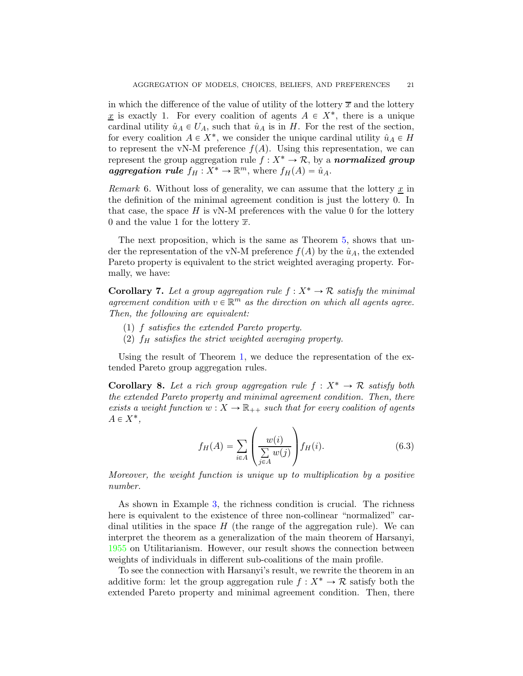in which the difference of the value of utility of the lottery  $\bar{x}$  and the lottery x is exactly 1. For every coalition of agents  $A \in X^*$ , there is a unique cardinal utility  $\hat{u}_A \in U_A$ , such that  $\hat{u}_A$  is in H. For the rest of the section, for every coalition  $A \in X^*$ , we consider the unique cardinal utility  $\hat{u}_A \in H$ to represent the vN-M preference  $f(A)$ . Using this representation, we can represent the group aggregation rule  $f : X^* \to \mathcal{R}$ , by a normalized group aggregation rule  $f_H: X^* \to \mathbb{R}^m$ , where  $f_H(A) = \hat{u}_A$ .

*Remark* 6. Without loss of generality, we can assume that the lottery  $\underline{x}$  in the definition of the minimal agreement condition is just the lottery 0. In that case, the space  $H$  is vN-M preferences with the value 0 for the lottery 0 and the value 1 for the lottery  $\overline{x}$ .

The next proposition, which is the same as Theorem [5,](#page-7-1) shows that under the representation of the vN-M preference  $f(A)$  by the  $\hat{u}_A$ , the extended Pareto property is equivalent to the strict weighted averaging property. Formally, we have:

<span id="page-20-1"></span>**Corollary 7.** Let a group aggregation rule  $f: X^* \to \mathcal{R}$  satisfy the minimal agreement condition with  $v \in \mathbb{R}^m$  as the direction on which all agents agree. Then, the following are equivalent:

- (1) f satisfies the extended Pareto property.
- (2)  $f_H$  satisfies the strict weighted averaging property.

Using the result of Theorem [1,](#page-4-3) we deduce the representation of the extended Pareto group aggregation rules.

<span id="page-20-0"></span>**Corollary 8.** Let a rich group aggregation rule  $f: X^* \to \mathcal{R}$  satisfy both the extended Pareto property and minimal agreement condition. Then, there exists a weight function  $w: X \to \mathbb{R}_{++}$  such that for every coalition of agents  $A \in X^*$ ,

$$
f_H(A) = \sum_{i \in A} \left( \frac{w(i)}{\sum\limits_{j \in A} w(j)} \right) f_H(i). \tag{6.3}
$$

Moreover, the weight function is unique up to multiplication by a positive number.

As shown in Example [3,](#page-5-1) the richness condition is crucial. The richness here is equivalent to the existence of three non-collinear "normalized" cardinal utilities in the space  $H$  (the range of the aggregation rule). We can interpret the theorem as a generalization of the main theorem of Harsanyi, [1955](#page-31-5) on Utilitarianism. However, our result shows the connection between weights of individuals in different sub-coalitions of the main profile.

To see the connection with Harsanyi's result, we rewrite the theorem in an additive form: let the group aggregation rule  $f: X^* \to \mathcal{R}$  satisfy both the extended Pareto property and minimal agreement condition. Then, there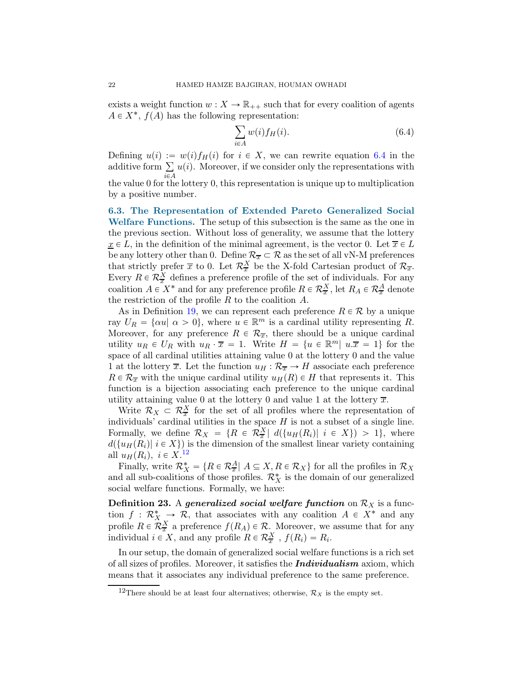exists a weight function  $w: X \to \mathbb{R}_{++}$  such that for every coalition of agents  $A \in X^*$ ,  $f(A)$  has the following representation:

<span id="page-21-1"></span>
$$
\sum_{i \in A} w(i) f_H(i). \tag{6.4}
$$

Defining  $u(i) := w(i) f_H(i)$  for  $i \in X$ , we can rewrite equation [6.4](#page-21-1) in the additive form  $\sum u(i)$ . Moreover, if we consider only the representations with the value 0 for the lottery 0, this representation is unique up to multiplication by a positive number.

<span id="page-21-0"></span>6.3. The Representation of Extended Pareto Generalized Social Welfare Functions. The setup of this subsection is the same as the one in the previous section. Without loss of generality, we assume that the lottery  $\underline{x} \in L$ , in the definition of the minimal agreement, is the vector 0. Let  $\overline{x} \in L$ be any lottery other than 0. Define  $\mathcal{R}_{\overline{x}} \subset \mathcal{R}$  as the set of all vN-M preferences that strictly prefer  $\bar{x}$  to 0. Let  $\mathcal{R}^X_{\bar{x}}$  be the X-fold Cartesian product of  $\mathcal{R}_{\bar{x}}$ . Every  $R \in \mathcal{R}^X_{\overline{x}}$  defines a preference profile of the set of individuals. For any coalition  $A \in X^*$  and for any preference profile  $R \in \mathcal{R}^X_{\overline{x}}$ , let  $R_A \in \mathcal{R}^A_{\overline{x}}$  denote the restriction of the profile  $R$  to the coalition  $A$ .

As in Definition [19,](#page-18-1) we can represent each preference  $R \in \mathcal{R}$  by a unique ray  $U_R = \{\alpha u \mid \alpha > 0\}$ , where  $u \in \mathbb{R}^m$  is a cardinal utility representing R. Moreover, for any preference  $R \in \mathcal{R}_{\overline{x}}$ , there should be a unique cardinal utility  $u_R \in U_R$  with  $u_R \cdot \overline{x} = 1$ . Write  $H = \{u \in \mathbb{R}^m | u.\overline{x} = 1\}$  for the space of all cardinal utilities attaining value 0 at the lottery 0 and the value 1 at the lottery  $\overline{x}$ . Let the function  $u_H : \mathcal{R}_{\overline{x}} \to H$  associate each preference  $R \in \mathcal{R}_{\overline{x}}$  with the unique cardinal utility  $u_H(R) \in H$  that represents it. This function is a bijection associating each preference to the unique cardinal utility attaining value 0 at the lottery 0 and value 1 at the lottery  $\overline{x}$ .

Write  $\mathcal{R}_X \subset \mathcal{R}_{\overline{x}}^X$  for the set of all profiles where the representation of individuals' cardinal utilities in the space  $H$  is not a subset of a single line. Formally, we define  $\mathcal{R}_X = \{R \in \mathcal{R}^X_{\overline{x}} \mid d(\{u_H(R_i) \mid i \in X\}) > 1\}$ , where  $d({u_H(R_i)| i \in X})$  is the dimension of the smallest linear variety containing all  $u_H(R_i)$ ,  $i \in X$ .<sup>[12](#page-21-2)</sup>

Finally, write  $\mathcal{R}_X^* = \{ R \in \mathcal{R}_\overline{x} \mid A \subseteq X, R \in \mathcal{R}_X \}$  for all the profiles in  $\mathcal{R}_X$ and all sub-coalitions of those profiles.  $\mathcal{R}_X^*$  is the domain of our generalized social welfare functions. Formally, we have:

**Definition 23.** A generalized social welfare function on  $\mathcal{R}_X$  is a function  $f: \mathcal{R}_X^* \longrightarrow \mathcal{R}$ , that associates with any coalition  $A \in X^*$  and any profile  $R \in \mathcal{R}_{\overline{x}}^X$  a preference  $f(R_A) \in \mathcal{R}$ . Moreover, we assume that for any individual  $i \in X$ , and any profile  $R \in \mathcal{R}_{\overline{x}}^X$ ,  $f(R_i) = R_i$ .

In our setup, the domain of generalized social welfare functions is a rich set of all sizes of profiles. Moreover, it satisfies the **Individualism** axiom, which means that it associates any individual preference to the same preference.

<span id="page-21-2"></span><sup>&</sup>lt;sup>12</sup>There should be at least four alternatives; otherwise,  $\mathcal{R}_X$  is the empty set.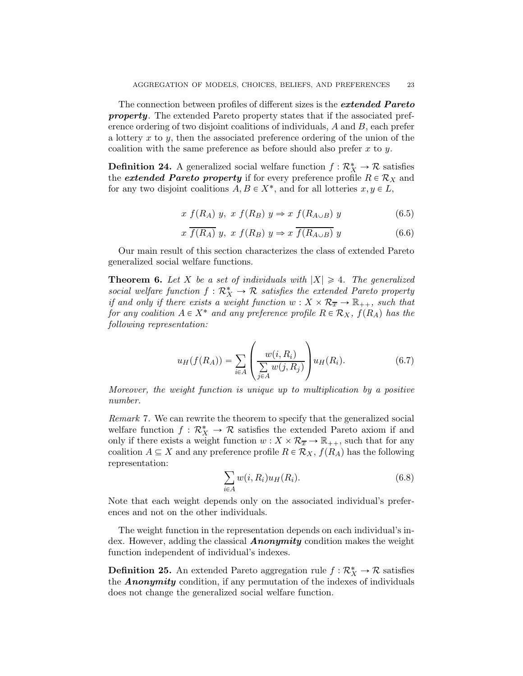The connection between profiles of different sizes is the *extended Pareto* property. The extended Pareto property states that if the associated preference ordering of two disjoint coalitions of individuals, A and B, each prefer a lottery  $x$  to  $y$ , then the associated preference ordering of the union of the coalition with the same preference as before should also prefer  $x$  to  $y$ .

**Definition 24.** A generalized social welfare function  $f: \mathcal{R}_X^* \to \mathcal{R}$  satisfies the *extended Pareto property* if for every preference profile  $R \in \mathcal{R}_X$  and for any two disjoint coalitions  $A, B \in X^*$ , and for all lotteries  $x, y \in L$ ,

$$
x f(R_A) y, x f(R_B) y \Rightarrow x f(R_{A \cup B}) y \tag{6.5}
$$

$$
x \overline{f(R_A)} y, x f(R_B) y \Rightarrow x \overline{f(R_{A \cup B})} y \tag{6.6}
$$

Our main result of this section characterizes the class of extended Pareto generalized social welfare functions.

<span id="page-22-0"></span>**Theorem 6.** Let X be a set of individuals with  $|X| \geq 4$ . The generalized social welfare function  $f: \mathcal{R}_X^* \to \mathcal{R}$  satisfies the extended Pareto property if and only if there exists a weight function  $w: X \times \mathcal{R}_{\overline{x}} \to \mathbb{R}_{++}$ , such that for any coalition  $A \in X^*$  and any preference profile  $R \in \mathcal{R}_X$ ,  $f(R_A)$  has the following representation:

$$
u_H(f(R_A)) = \sum_{i \in A} \left( \frac{w(i, R_i)}{\sum_{j \in A} w(j, R_j)} \right) u_H(R_i).
$$
 (6.7)

Moreover, the weight function is unique up to multiplication by a positive number.

Remark 7. We can rewrite the theorem to specify that the generalized social welfare function  $f: \mathcal{R}_X^* \to \mathcal{R}$  satisfies the extended Pareto axiom if and only if there exists a weight function  $w : X \times \mathcal{R}_{\overline{x}} \to \mathbb{R}_{++}$ , such that for any coalition  $A \subseteq X$  and any preference profile  $R \in \mathcal{R}_X$ ,  $f(R_A)$  has the following representation:

$$
\sum_{i \in A} w(i, R_i) u_H(R_i). \tag{6.8}
$$

Note that each weight depends only on the associated individual's preferences and not on the other individuals.

The weight function in the representation depends on each individual's index. However, adding the classical **Anonymity** condition makes the weight function independent of individual's indexes.

**Definition 25.** An extended Pareto aggregation rule  $f: \mathcal{R}_X^* \to \mathcal{R}$  satisfies the **Anonymity** condition, if any permutation of the indexes of individuals does not change the generalized social welfare function.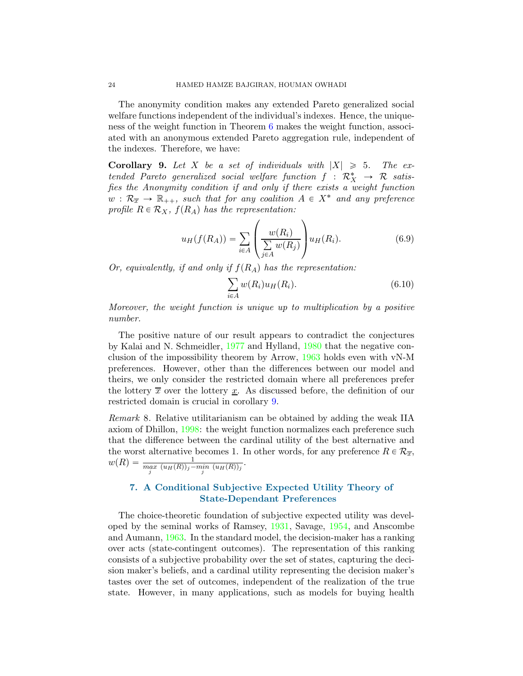The anonymity condition makes any extended Pareto generalized social welfare functions independent of the individual's indexes. Hence, the uniqueness of the weight function in Theorem [6](#page-22-0) makes the weight function, associated with an anonymous extended Pareto aggregation rule, independent of the indexes. Therefore, we have:

<span id="page-23-1"></span>**Corollary 9.** Let X be a set of individuals with  $|X| \ge 5$ . The extended Pareto generalized social welfare function  $f: \mathcal{R}_X^* \to \mathcal{R}$  satisfies the Anonymity condition if and only if there exists a weight function  $w : \mathcal{R}_{\overline{x}} \to \mathbb{R}_{++}$ , such that for any coalition  $A \in X^*$  and any preference profile  $R \in \mathcal{R}_X$ ,  $f(R_A)$  has the representation:

$$
u_H(f(R_A)) = \sum_{i \in A} \left( \frac{w(R_i)}{\sum\limits_{j \in A} w(R_j)} \right) u_H(R_i). \tag{6.9}
$$

Or, equivalently, if and only if  $f(R_A)$  has the representation:

$$
\sum_{i \in A} w(R_i) u_H(R_i). \tag{6.10}
$$

Moreover, the weight function is unique up to multiplication by a positive number.

The positive nature of our result appears to contradict the conjectures by Kalai and N. Schmeidler, [1977](#page-31-6) and Hylland, [1980](#page-31-7) that the negative conclusion of the impossibility theorem by Arrow, [1963](#page-30-2) holds even with vN-M preferences. However, other than the differences between our model and theirs, we only consider the restricted domain where all preferences prefer the lottery  $\bar{x}$  over the lottery x. As discussed before, the definition of our restricted domain is crucial in corollary [9.](#page-23-1)

Remark 8. Relative utilitarianism can be obtained by adding the weak IIA axiom of Dhillon, [1998](#page-31-8): the weight function normalizes each preference such that the difference between the cardinal utility of the best alternative and the worst alternative becomes 1. In other words, for any preference  $R \in \mathcal{R}_{\overline{x}}$ ,  $w(R) = \frac{1}{\max_{j} (u_H(R))_j - \min_{j} (u_H(R))_j}.$ 

# <span id="page-23-0"></span>7. A Conditional Subjective Expected Utility Theory of State-Dependant Preferences

The choice-theoretic foundation of subjective expected utility was developed by the seminal works of Ramsey, [1931,](#page-32-5) Savage, [1954](#page-32-6), and Anscombe and Aumann, [1963](#page-30-5). In the standard model, the decision-maker has a ranking over acts (state-contingent outcomes). The representation of this ranking consists of a subjective probability over the set of states, capturing the decision maker's beliefs, and a cardinal utility representing the decision maker's tastes over the set of outcomes, independent of the realization of the true state. However, in many applications, such as models for buying health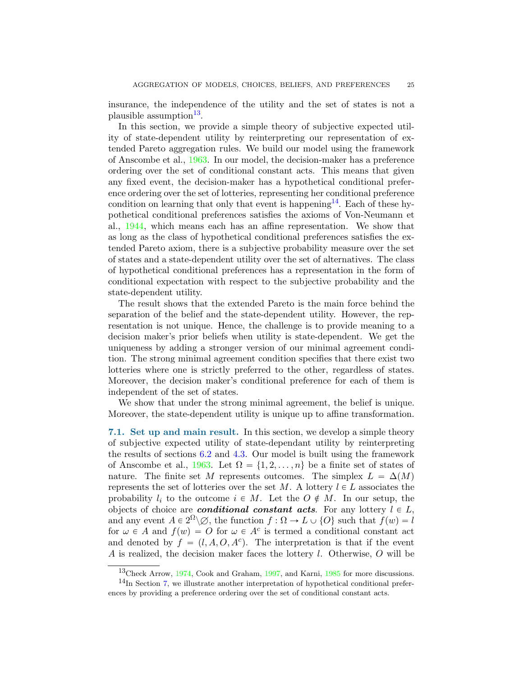insurance, the independence of the utility and the set of states is not a plausible assumption<sup>[13](#page-24-0)</sup>.

In this section, we provide a simple theory of subjective expected utility of state-dependent utility by reinterpreting our representation of extended Pareto aggregation rules. We build our model using the framework of Anscombe et al., [1963](#page-30-5). In our model, the decision-maker has a preference ordering over the set of conditional constant acts. This means that given any fixed event, the decision-maker has a hypothetical conditional preference ordering over the set of lotteries, representing her conditional preference condition on learning that only that event is happening<sup>[14](#page-24-1)</sup>. Each of these hypothetical conditional preferences satisfies the axioms of Von-Neumann et al., [1944](#page-32-3), which means each has an affine representation. We show that as long as the class of hypothetical conditional preferences satisfies the extended Pareto axiom, there is a subjective probability measure over the set of states and a state-dependent utility over the set of alternatives. The class of hypothetical conditional preferences has a representation in the form of conditional expectation with respect to the subjective probability and the state-dependent utility.

The result shows that the extended Pareto is the main force behind the separation of the belief and the state-dependent utility. However, the representation is not unique. Hence, the challenge is to provide meaning to a decision maker's prior beliefs when utility is state-dependent. We get the uniqueness by adding a stronger version of our minimal agreement condition. The strong minimal agreement condition specifies that there exist two lotteries where one is strictly preferred to the other, regardless of states. Moreover, the decision maker's conditional preference for each of them is independent of the set of states.

We show that under the strong minimal agreement, the belief is unique. Moreover, the state-dependent utility is unique up to affine transformation.

7.1. Set up and main result. In this section, we develop a simple theory of subjective expected utility of state-dependant utility by reinterpreting the results of sections [6.2](#page-19-1) and [4.3.](#page-10-0) Our model is built using the framework of Anscombe et al., [1963](#page-30-5). Let  $\Omega = \{1, 2, \ldots, n\}$  be a finite set of states of nature. The finite set M represents outcomes. The simplex  $L = \Delta(M)$ represents the set of lotteries over the set M. A lottery  $l \in L$  associates the probability  $l_i$  to the outcome  $i \in M$ . Let the  $O \notin M$ . In our setup, the objects of choice are **conditional constant acts**. For any lottery  $l \in L$ , and any event  $A \in 2^{\Omega} \backslash \emptyset$ , the function  $f : \Omega \to L \cup \{O\}$  such that  $f(w) = l$ for  $\omega \in A$  and  $f(w) = O$  for  $\omega \in A^c$  is termed a conditional constant act and denoted by  $f = (l, A, O, A^c)$ . The interpretation is that if the event A is realized, the decision maker faces the lottery l. Otherwise, O will be

<span id="page-24-0"></span><sup>13</sup>Check Arrow, [1974,](#page-30-6) Cook and Graham, [1997](#page-30-7), and Karni, [1985](#page-31-9) for more discussions.

<span id="page-24-1"></span> $14$ In Section [7,](#page-23-0) we illustrate another interpretation of hypothetical conditional preferences by providing a preference ordering over the set of conditional constant acts.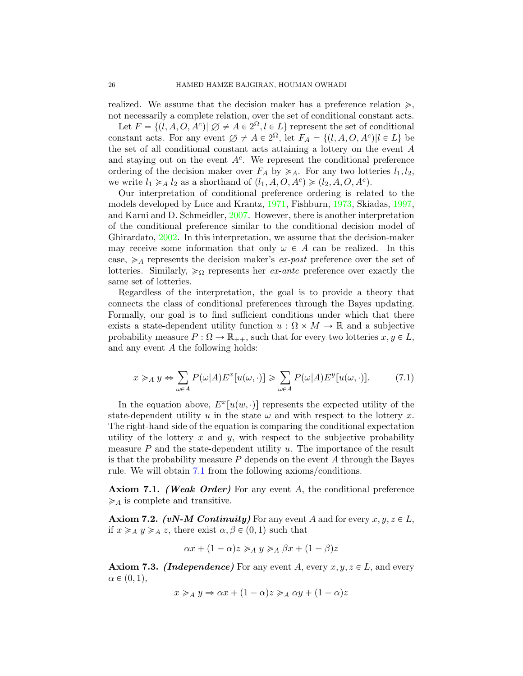realized. We assume that the decision maker has a preference relation  $\geq$ , not necessarily a complete relation, over the set of conditional constant acts.

Let  $F = \{(l, A, O, A^c) | \emptyset \neq A \in 2^{\Omega}, l \in L\}$  represent the set of conditional constant acts. For any event  $\emptyset \neq A \in 2^{\Omega}$ , let  $F_A = \{(l, A, O, A^c) | l \in L\}$  be the set of all conditional constant acts attaining a lottery on the event A and staying out on the event  $A<sup>c</sup>$ . We represent the conditional preference ordering of the decision maker over  $F_A$  by  $\geq A$ . For any two lotteries  $l_1, l_2$ , we write  $l_1 \geq A$  l<sub>2</sub> as a shorthand of  $(l_1, A, O, A^c) \geq (l_2, A, O, A^c)$ .

Our interpretation of conditional preference ordering is related to the models developed by Luce and Krantz, [1971,](#page-32-7) Fishburn, [1973,](#page-31-10) Skiadas, [1997](#page-32-8), and Karni and D. Schmeidler, [2007](#page-31-11). However, there is another interpretation of the conditional preference similar to the conditional decision model of Ghirardato, [2002](#page-31-12). In this interpretation, we assume that the decision-maker may receive some information that only  $\omega \in A$  can be realized. In this case,  $\geq A$  represents the decision maker's *ex-post* preference over the set of lotteries. Similarly,  $\geqslant_{\Omega}$  represents her *ex-ante* preference over exactly the same set of lotteries.

Regardless of the interpretation, the goal is to provide a theory that connects the class of conditional preferences through the Bayes updating. Formally, our goal is to find sufficient conditions under which that there exists a state-dependent utility function  $u : \Omega \times M \to \mathbb{R}$  and a subjective probability measure  $P : \Omega \to \mathbb{R}_{++}$ , such that for every two lotteries  $x, y \in L$ , and any event A the following holds:

<span id="page-25-0"></span>
$$
x \geq_A y \Leftrightarrow \sum_{\omega \in A} P(\omega | A) E^x[u(\omega, \cdot)] \geq \sum_{\omega \in A} P(\omega | A) E^y[u(\omega, \cdot)]. \tag{7.1}
$$

In the equation above,  $E^x[u(w, \cdot)]$  represents the expected utility of the state-dependent utility u in the state  $\omega$  and with respect to the lottery x. The right-hand side of the equation is comparing the conditional expectation utility of the lottery  $x$  and  $y$ , with respect to the subjective probability measure  $P$  and the state-dependent utility  $u$ . The importance of the result is that the probability measure  $P$  depends on the event  $A$  through the Bayes rule. We will obtain [7.1](#page-25-0) from the following axioms/conditions.

Axiom 7.1. (Weak Order) For any event A, the conditional preference  $\geqslant_A$  is complete and transitive.

**Axiom 7.2.** (vN-M Continuity) For any event A and for every  $x, y, z \in L$ , if  $x \geq A$   $y \geq A$  z, there exist  $\alpha, \beta \in (0, 1)$  such that

$$
\alpha x + (1 - \alpha)z \geq A \ y \geq_A \beta x + (1 - \beta)z
$$

**Axiom 7.3.** *(Independence)* For any event A, every  $x, y, z \in L$ , and every  $\alpha \in (0, 1),$ 

$$
x \geq_A y \Rightarrow \alpha x + (1 - \alpha)z \geq_A \alpha y + (1 - \alpha)z
$$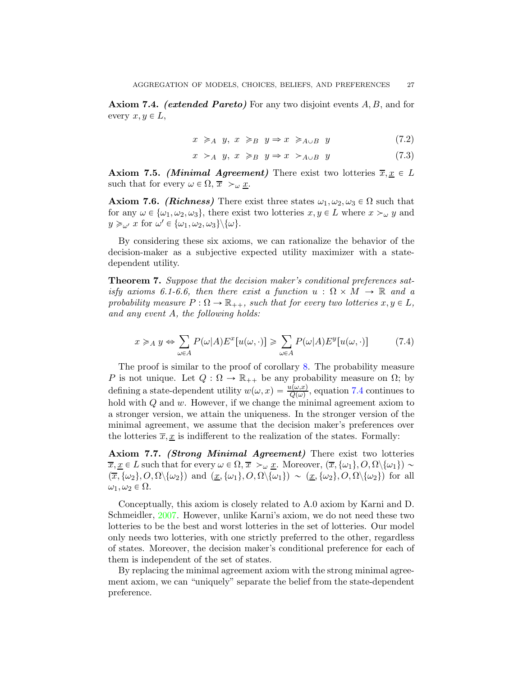**Axiom 7.4.** (extended Pareto) For any two disjoint events  $A, B$ , and for every  $x, y \in L$ ,

$$
x \geq_{A} y, x \geq_{B} y \Rightarrow x \geq_{A \cup B} y \tag{7.2}
$$

$$
x \succ_A y, \ x \geq_B y \Rightarrow x \succ_{A \cup B} y \tag{7.3}
$$

**Axiom 7.5.** (*Minimal Agreement*) There exist two lotteries  $\overline{x}, \underline{x} \in L$ such that for every  $\omega \in \Omega$ ,  $\overline{x} >_{\omega} \underline{x}$ .

**Axiom 7.6.** (*Richness*) There exist three states  $\omega_1, \omega_2, \omega_3 \in \Omega$  such that for any  $\omega \in {\{\omega_1, \omega_2, \omega_3\}}$ , there exist two lotteries  $x, y \in L$  where  $x >_{\omega} y$  and  $y \geqslant_{\omega'} x$  for  $\omega' \in {\{\omega_1, \omega_2, \omega_3\}} \setminus {\{\omega\}}$ .

By considering these six axioms, we can rationalize the behavior of the decision-maker as a subjective expected utility maximizer with a statedependent utility.

<span id="page-26-1"></span>Theorem 7. Suppose that the decision maker's conditional preferences satisfy axioms 6.1-6.6, then there exist a function  $u : \Omega \times M \to \mathbb{R}$  and a probability measure  $P: \Omega \to \mathbb{R}_{++}$ , such that for every two lotteries  $x, y \in L$ , and any event A, the following holds:

<span id="page-26-0"></span>
$$
x \geq_A y \Leftrightarrow \sum_{\omega \in A} P(\omega|A) E^x[u(\omega, \cdot)] \geq \sum_{\omega \in A} P(\omega|A) E^y[u(\omega, \cdot)] \tag{7.4}
$$

The proof is similar to the proof of corollary [8.](#page-20-0) The probability measure P is not unique. Let  $Q: \Omega \to \mathbb{R}_{++}$  be any probability measure on  $\Omega$ ; by defining a state-dependent utility  $w(\omega, x) = \frac{u(\omega, x)}{Q(\omega)}$ , equation [7.4](#page-26-0) continues to hold with  $Q$  and  $w$ . However, if we change the minimal agreement axiom to a stronger version, we attain the uniqueness. In the stronger version of the minimal agreement, we assume that the decision maker's preferences over the lotteries  $\overline{x}, \underline{x}$  is indifferent to the realization of the states. Formally:

Axiom 7.7. *(Strong Minimal Agreement)* There exist two lotteries  $\overline{x}, \underline{x} \in L$  such that for every  $\omega \in \Omega$ ,  $\overline{x} >_{\omega} \underline{x}$ . Moreover,  $(\overline{x}, {\omega_1}, O, \Omega \setminus {\omega_1}) \sim$  $(\overline{x}, {\omega_2}, O, \Omega \setminus {\omega_2})$  and  $(\underline{x}, {\omega_1}, O, \Omega \setminus {\omega_1}) \sim (\underline{x}, {\omega_2}, O, \Omega \setminus {\omega_2})$  for all  $\omega_1, \omega_2 \in \Omega$ .

Conceptually, this axiom is closely related to A.0 axiom by Karni and D. Schmeidler, [2007.](#page-31-11) However, unlike Karni's axiom, we do not need these two lotteries to be the best and worst lotteries in the set of lotteries. Our model only needs two lotteries, with one strictly preferred to the other, regardless of states. Moreover, the decision maker's conditional preference for each of them is independent of the set of states.

By replacing the minimal agreement axiom with the strong minimal agreement axiom, we can "uniquely" separate the belief from the state-dependent preference.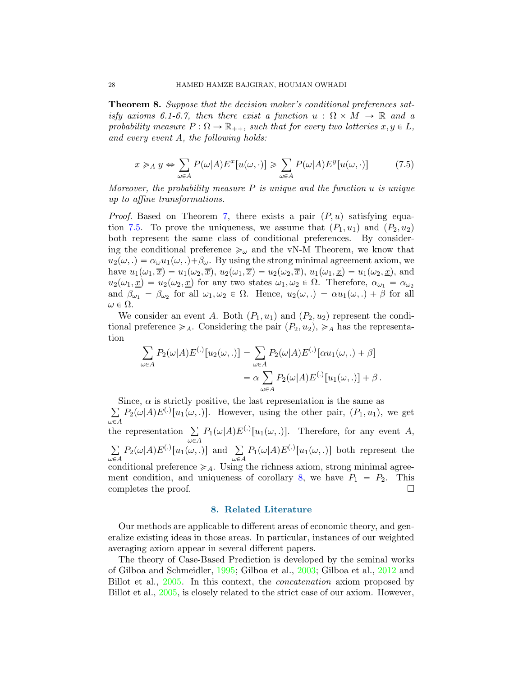Theorem 8. Suppose that the decision maker's conditional preferences satisfy axioms 6.1-6.7, then there exist a function  $u : \Omega \times M \to \mathbb{R}$  and a probability measure  $P: \Omega \to \mathbb{R}_{++}$ , such that for every two lotteries  $x, y \in L$ , and every event A, the following holds:

<span id="page-27-0"></span>
$$
x \geq_A y \Leftrightarrow \sum_{\omega \in A} P(\omega|A) E^x[u(\omega, \cdot)] \geq \sum_{\omega \in A} P(\omega|A) E^y[u(\omega, \cdot)] \tag{7.5}
$$

Moreover, the probability measure  $P$  is unique and the function  $u$  is unique up to affine transformations.

*Proof.* Based on Theorem [7,](#page-26-1) there exists a pair  $(P, u)$  satisfying equa-tion [7.5.](#page-27-0) To prove the uniqueness, we assume that  $(P_1, u_1)$  and  $(P_2, u_2)$ both represent the same class of conditional preferences. By considering the conditional preference  $\geqslant_{\omega}$  and the vN-M Theorem, we know that  $u_2(\omega,.) = \alpha_\omega u_1(\omega,.) + \beta_\omega$ . By using the strong minimal agreement axiom, we have  $u_1(\omega_1, \overline{x}) = u_1(\omega_2, \overline{x}), u_2(\omega_1, \overline{x}) = u_2(\omega_2, \overline{x}), u_1(\omega_1, \underline{x}) = u_1(\omega_2, \underline{x}),$  and  $u_2(\omega_1, \underline{x}) = u_2(\omega_2, \underline{x})$  for any two states  $\omega_1, \omega_2 \in \Omega$ . Therefore,  $\alpha_{\omega_1} = \alpha_{\omega_2}$ and  $\beta_{\omega_1} = \beta_{\omega_2}$  for all  $\omega_1, \omega_2 \in \Omega$ . Hence,  $u_2(\omega,.) = \alpha u_1(\omega,.) + \beta$  for all  $\omega \in \Omega$ .

We consider an event A. Both  $(P_1, u_1)$  and  $(P_2, u_2)$  represent the conditional preference  $\geq A$ . Considering the pair  $(P_2, u_2)$ ,  $\geq A$  has the representation

$$
\sum_{\omega \in A} P_2(\omega|A) E^{(.)}[u_2(\omega, .)] = \sum_{\omega \in A} P_2(\omega|A) E^{(.)}[\alpha u_1(\omega, .) + \beta]
$$
  
=  $\alpha \sum_{\omega \in A} P_2(\omega|A) E^{(.)}[u_1(\omega, .)] + \beta$ .

 $\sum$ Since,  $\alpha$  is strictly positive, the last representation is the same as  $\omega \in A$  $P_2(\omega|A)E^{(.)}[u_1(\omega,.)]$ . However, using the other pair,  $(P_1, u_1)$ , we get the representation  $\Sigma$  $\omega \in A$  $P_1(\omega|A)E^{(.)}[u_1(\omega,.)]$ . Therefore, for any event A,  $\sum$  $\omega \in A$  $P_2(\omega|A)E^{(.)}[u_1(\omega, .)]$  and  $\Sigma$  $\omega \in A$  $P_1(\omega|A)E^{(.)}[u_1(\omega, .)]$  both represent the conditional preference  $\geq A$ . Using the richness axiom, strong minimal agree-ment condition, and uniqueness of corollary [8,](#page-20-0) we have  $P_1 = P_2$ . This completes the proof.

# 8. Related Literature

Our methods are applicable to different areas of economic theory, and generalize existing ideas in those areas. In particular, instances of our weighted averaging axiom appear in several different papers.

The theory of Case-Based Prediction is developed by the seminal works of Gilboa and Schmeidler, [1995](#page-31-13); Gilboa et al., [2003;](#page-31-0) Gilboa et al., [2012](#page-31-1) and Billot et al., [2005](#page-30-0). In this context, the concatenation axiom proposed by Billot et al., [2005](#page-30-0), is closely related to the strict case of our axiom. However,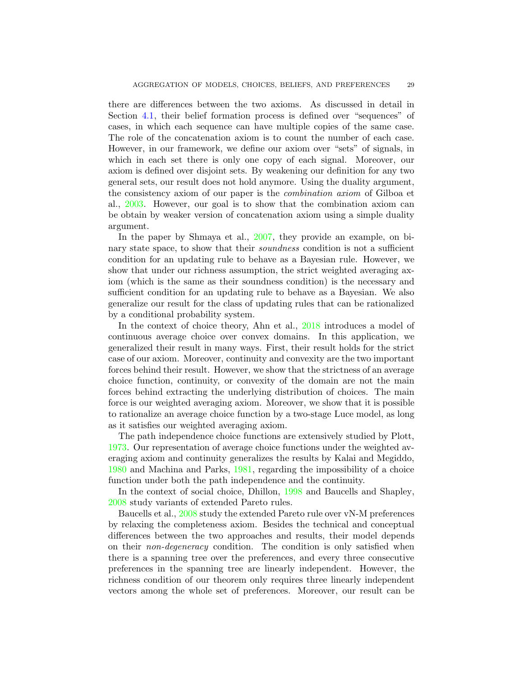there are differences between the two axioms. As discussed in detail in Section [4.1,](#page-8-1) their belief formation process is defined over "sequences" of cases, in which each sequence can have multiple copies of the same case. The role of the concatenation axiom is to count the number of each case. However, in our framework, we define our axiom over "sets" of signals, in which in each set there is only one copy of each signal. Moreover, our axiom is defined over disjoint sets. By weakening our definition for any two general sets, our result does not hold anymore. Using the duality argument, the consistency axiom of our paper is the combination axiom of Gilboa et al., [2003](#page-31-0). However, our goal is to show that the combination axiom can be obtain by weaker version of concatenation axiom using a simple duality argument.

In the paper by Shmaya et al., [2007,](#page-32-1) they provide an example, on binary state space, to show that their *soundness* condition is not a sufficient condition for an updating rule to behave as a Bayesian rule. However, we show that under our richness assumption, the strict weighted averaging axiom (which is the same as their soundness condition) is the necessary and sufficient condition for an updating rule to behave as a Bayesian. We also generalize our result for the class of updating rules that can be rationalized by a conditional probability system.

In the context of choice theory, Ahn et al., [2018](#page-30-1) introduces a model of continuous average choice over convex domains. In this application, we generalized their result in many ways. First, their result holds for the strict case of our axiom. Moreover, continuity and convexity are the two important forces behind their result. However, we show that the strictness of an average choice function, continuity, or convexity of the domain are not the main forces behind extracting the underlying distribution of choices. The main force is our weighted averaging axiom. Moreover, we show that it is possible to rationalize an average choice function by a two-stage Luce model, as long as it satisfies our weighted averaging axiom.

The path independence choice functions are extensively studied by Plott, [1973](#page-32-2). Our representation of average choice functions under the weighted averaging axiom and continuity generalizes the results by Kalai and Megiddo, [1980](#page-31-4) and Machina and Parks, [1981](#page-32-9), regarding the impossibility of a choice function under both the path independence and the continuity.

In the context of social choice, Dhillon, [1998](#page-31-8) and Baucells and Shapley, [2008](#page-30-8) study variants of extended Pareto rules.

Baucells et al., [2008](#page-30-8) study the extended Pareto rule over vN-M preferences by relaxing the completeness axiom. Besides the technical and conceptual differences between the two approaches and results, their model depends on their non-degeneracy condition. The condition is only satisfied when there is a spanning tree over the preferences, and every three consecutive preferences in the spanning tree are linearly independent. However, the richness condition of our theorem only requires three linearly independent vectors among the whole set of preferences. Moreover, our result can be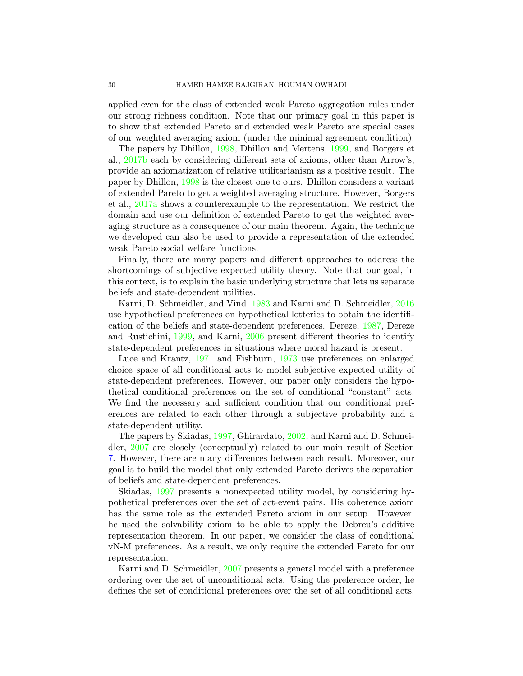applied even for the class of extended weak Pareto aggregation rules under our strong richness condition. Note that our primary goal in this paper is to show that extended Pareto and extended weak Pareto are special cases of our weighted averaging axiom (under the minimal agreement condition).

The papers by Dhillon, [1998](#page-31-8), Dhillon and Mertens, [1999](#page-31-14), and Borgers et al., [2017b](#page-30-4) each by considering different sets of axioms, other than Arrow's, provide an axiomatization of relative utilitarianism as a positive result. The paper by Dhillon, [1998](#page-31-8) is the closest one to ours. Dhillon considers a variant of extended Pareto to get a weighted averaging structure. However, Borgers et al., [2017a](#page-30-3) shows a counterexample to the representation. We restrict the domain and use our definition of extended Pareto to get the weighted averaging structure as a consequence of our main theorem. Again, the technique we developed can also be used to provide a representation of the extended weak Pareto social welfare functions.

Finally, there are many papers and different approaches to address the shortcomings of subjective expected utility theory. Note that our goal, in this context, is to explain the basic underlying structure that lets us separate beliefs and state-dependent utilities.

Karni, D. Schmeidler, and Vind, [1983](#page-31-15) and Karni and D. Schmeidler, [2016](#page-31-16) use hypothetical preferences on hypothetical lotteries to obtain the identification of the beliefs and state-dependent preferences. Dereze, [1987](#page-31-17), Dereze and Rustichini, [1999](#page-31-18), and Karni, [2006](#page-31-19) present different theories to identify state-dependent preferences in situations where moral hazard is present.

Luce and Krantz, [1971](#page-32-7) and Fishburn, [1973](#page-31-10) use preferences on enlarged choice space of all conditional acts to model subjective expected utility of state-dependent preferences. However, our paper only considers the hypothetical conditional preferences on the set of conditional "constant" acts. We find the necessary and sufficient condition that our conditional preferences are related to each other through a subjective probability and a state-dependent utility.

The papers by Skiadas, [1997,](#page-32-8) Ghirardato, [2002](#page-31-12), and Karni and D. Schmeidler, [2007](#page-31-11) are closely (conceptually) related to our main result of Section [7.](#page-23-0) However, there are many differences between each result. Moreover, our goal is to build the model that only extended Pareto derives the separation of beliefs and state-dependent preferences.

Skiadas, [1997](#page-32-8) presents a nonexpected utility model, by considering hypothetical preferences over the set of act-event pairs. His coherence axiom has the same role as the extended Pareto axiom in our setup. However, he used the solvability axiom to be able to apply the Debreu's additive representation theorem. In our paper, we consider the class of conditional vN-M preferences. As a result, we only require the extended Pareto for our representation.

Karni and D. Schmeidler, [2007](#page-31-11) presents a general model with a preference ordering over the set of unconditional acts. Using the preference order, he defines the set of conditional preferences over the set of all conditional acts.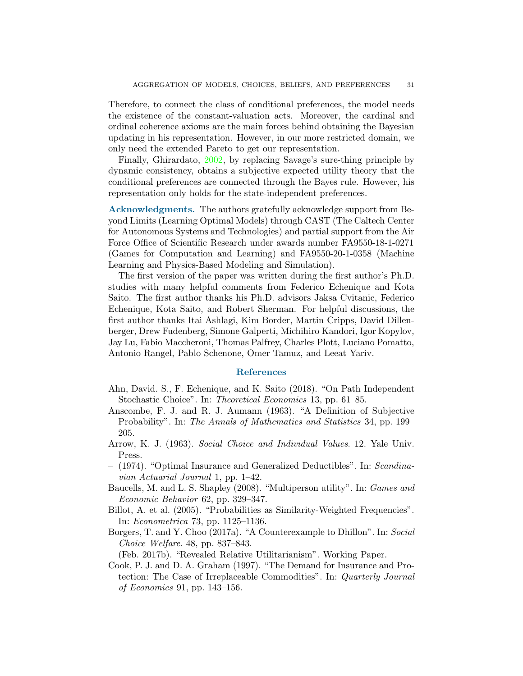Therefore, to connect the class of conditional preferences, the model needs the existence of the constant-valuation acts. Moreover, the cardinal and ordinal coherence axioms are the main forces behind obtaining the Bayesian updating in his representation. However, in our more restricted domain, we only need the extended Pareto to get our representation.

Finally, Ghirardato, [2002](#page-31-12), by replacing Savage's sure-thing principle by dynamic consistency, obtains a subjective expected utility theory that the conditional preferences are connected through the Bayes rule. However, his representation only holds for the state-independent preferences.

Acknowledgments. The authors gratefully acknowledge support from Beyond Limits (Learning Optimal Models) through CAST (The Caltech Center for Autonomous Systems and Technologies) and partial support from the Air Force Office of Scientific Research under awards number FA9550-18-1-0271 (Games for Computation and Learning) and FA9550-20-1-0358 (Machine Learning and Physics-Based Modeling and Simulation).

The first version of the paper was written during the first author's Ph.D. studies with many helpful comments from Federico Echenique and Kota Saito. The first author thanks his Ph.D. advisors Jaksa Cvitanic, Federico Echenique, Kota Saito, and Robert Sherman. For helpful discussions, the first author thanks Itai Ashlagi, Kim Border, Martin Cripps, David Dillenberger, Drew Fudenberg, Simone Galperti, Michihiro Kandori, Igor Kopylov, Jay Lu, Fabio Maccheroni, Thomas Palfrey, Charles Plott, Luciano Pomatto, Antonio Rangel, Pablo Schenone, Omer Tamuz, and Leeat Yariv.

### References

- <span id="page-30-5"></span><span id="page-30-1"></span>Ahn, David. S., F. Echenique, and K. Saito (2018). "On Path Independent Stochastic Choice". In: Theoretical Economics 13, pp. 61–85.
- Anscombe, F. J. and R. J. Aumann (1963). "A Definition of Subjective Probability". In: The Annals of Mathematics and Statistics 34, pp. 199– 205.
- <span id="page-30-6"></span><span id="page-30-2"></span>Arrow, K. J. (1963). Social Choice and Individual Values. 12. Yale Univ. Press.
- (1974). "Optimal Insurance and Generalized Deductibles". In: Scandinavian Actuarial Journal 1, pp. 1–42.
- <span id="page-30-8"></span>Baucells, M. and L. S. Shapley (2008). "Multiperson utility". In: Games and Economic Behavior 62, pp. 329–347.
- <span id="page-30-3"></span><span id="page-30-0"></span>Billot, A. et al. (2005). "Probabilities as Similarity-Weighted Frequencies". In: Econometrica 73, pp. 1125–1136.
- Borgers, T. and Y. Choo (2017a). "A Counterexample to Dhillon". In: Social Choice Welfare. 48, pp. 837–843.
- <span id="page-30-7"></span><span id="page-30-4"></span>– (Feb. 2017b). "Revealed Relative Utilitarianism". Working Paper.
- Cook, P. J. and D. A. Graham (1997). "The Demand for Insurance and Protection: The Case of Irreplaceable Commodities". In: Quarterly Journal of Economics 91, pp. 143–156.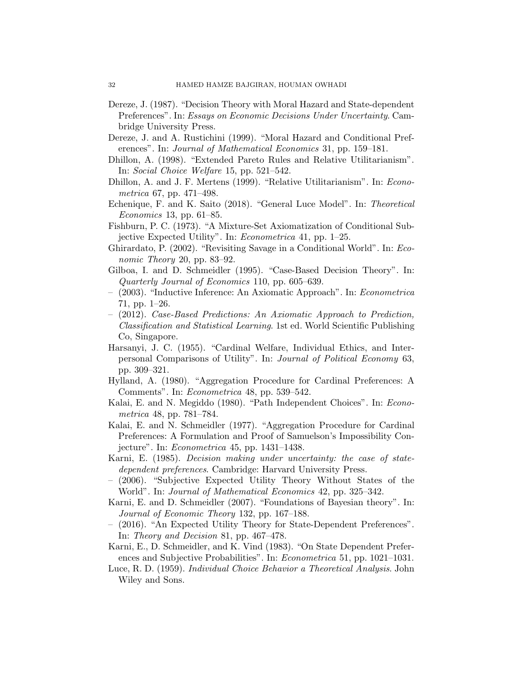- <span id="page-31-17"></span>Dereze, J. (1987). "Decision Theory with Moral Hazard and State-dependent Preferences". In: Essays on Economic Decisions Under Uncertainty. Cambridge University Press.
- <span id="page-31-18"></span><span id="page-31-8"></span>Dereze, J. and A. Rustichini (1999). "Moral Hazard and Conditional Preferences". In: Journal of Mathematical Economics 31, pp. 159–181.
- <span id="page-31-14"></span>Dhillon, A. (1998). "Extended Pareto Rules and Relative Utilitarianism". In: Social Choice Welfare 15, pp. 521–542.
- <span id="page-31-3"></span>Dhillon, A. and J. F. Mertens (1999). "Relative Utilitarianism". In: Econometrica 67, pp. 471–498.
- <span id="page-31-10"></span>Echenique, F. and K. Saito (2018). "General Luce Model". In: Theoretical Economics 13, pp. 61–85.
- <span id="page-31-12"></span>Fishburn, P. C. (1973). "A Mixture-Set Axiomatization of Conditional Subjective Expected Utility". In: Econometrica 41, pp. 1–25.
- <span id="page-31-13"></span>Ghirardato, P. (2002). "Revisiting Savage in a Conditional World". In: Economic Theory 20, pp. 83–92.
- <span id="page-31-0"></span>Gilboa, I. and D. Schmeidler (1995). "Case-Based Decision Theory". In: Quarterly Journal of Economics 110, pp. 605–639.
- <span id="page-31-1"></span>– (2003). "Inductive Inference: An Axiomatic Approach". In: Econometrica 71, pp. 1–26.
- (2012). Case-Based Predictions: An Axiomatic Approach to Prediction, Classification and Statistical Learning. 1st ed. World Scientific Publishing Co, Singapore.
- <span id="page-31-5"></span>Harsanyi, J. C. (1955). "Cardinal Welfare, Individual Ethics, and Interpersonal Comparisons of Utility". In: Journal of Political Economy 63, pp. 309–321.
- <span id="page-31-7"></span><span id="page-31-4"></span>Hylland, A. (1980). "Aggregation Procedure for Cardinal Preferences: A Comments". In: Econometrica 48, pp. 539–542.
- <span id="page-31-6"></span>Kalai, E. and N. Megiddo (1980). "Path Independent Choices". In: Econometrica 48, pp. 781–784.
- Kalai, E. and N. Schmeidler (1977). "Aggregation Procedure for Cardinal Preferences: A Formulation and Proof of Samuelson's Impossibility Conjecture". In: Econometrica 45, pp. 1431–1438.
- <span id="page-31-19"></span><span id="page-31-9"></span>Karni, E. (1985). Decision making under uncertainty: the case of statedependent preferences. Cambridge: Harvard University Press.
- (2006). "Subjective Expected Utility Theory Without States of the World". In: Journal of Mathematical Economics 42, pp. 325–342.
- <span id="page-31-11"></span>Karni, E. and D. Schmeidler (2007). "Foundations of Bayesian theory". In: Journal of Economic Theory 132, pp. 167–188.
- <span id="page-31-16"></span>– (2016). "An Expected Utility Theory for State-Dependent Preferences". In: Theory and Decision 81, pp. 467–478.
- <span id="page-31-15"></span>Karni, E., D. Schmeidler, and K. Vind (1983). "On State Dependent Preferences and Subjective Probabilities". In: *Econometrica* 51, pp. 1021–1031.
- <span id="page-31-2"></span>Luce, R. D. (1959). Individual Choice Behavior a Theoretical Analysis. John Wiley and Sons.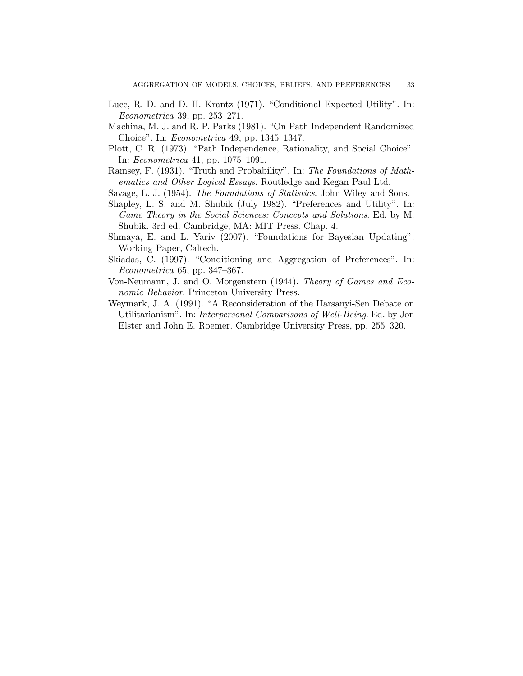- <span id="page-32-9"></span><span id="page-32-7"></span>Luce, R. D. and D. H. Krantz (1971). "Conditional Expected Utility". In: Econometrica 39, pp. 253–271.
- <span id="page-32-2"></span>Machina, M. J. and R. P. Parks (1981). "On Path Independent Randomized Choice". In: Econometrica 49, pp. 1345–1347.
- <span id="page-32-5"></span>Plott, C. R. (1973). "Path Independence, Rationality, and Social Choice". In: Econometrica 41, pp. 1075–1091.
- <span id="page-32-6"></span>Ramsey, F. (1931). "Truth and Probability". In: The Foundations of Mathematics and Other Logical Essays. Routledge and Kegan Paul Ltd.
- <span id="page-32-0"></span>Savage, L. J. (1954). The Foundations of Statistics. John Wiley and Sons.
- Shapley, L. S. and M. Shubik (July 1982). "Preferences and Utility". In: Game Theory in the Social Sciences: Concepts and Solutions. Ed. by M. Shubik. 3rd ed. Cambridge, MA: MIT Press. Chap. 4.
- <span id="page-32-8"></span><span id="page-32-1"></span>Shmaya, E. and L. Yariv (2007). "Foundations for Bayesian Updating". Working Paper, Caltech.
- <span id="page-32-3"></span>Skiadas, C. (1997). "Conditioning and Aggregation of Preferences". In: Econometrica 65, pp. 347–367.
- <span id="page-32-4"></span>Von-Neumann, J. and O. Morgenstern (1944). Theory of Games and Economic Behavior. Princeton University Press.
- Weymark, J. A. (1991). "A Reconsideration of the Harsanyi-Sen Debate on Utilitarianism". In: Interpersonal Comparisons of Well-Being. Ed. by Jon Elster and John E. Roemer. Cambridge University Press, pp. 255–320.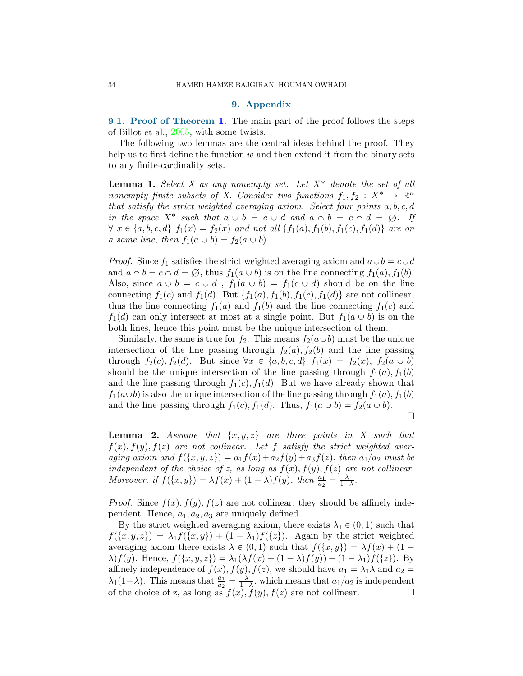#### 9. Appendix

9.[1.](#page-4-3) Proof of Theorem 1. The main part of the proof follows the steps of Billot et al., [2005](#page-30-0), with some twists.

The following two lemmas are the central ideas behind the proof. They help us to first define the function  $w$  and then extend it from the binary sets to any finite-cardinality sets.

<span id="page-33-1"></span>**Lemma 1.** Select X as any nonempty set. Let  $X^*$  denote the set of all nonempty finite subsets of X. Consider two functions  $f_1, f_2 : X^* \to \mathbb{R}^n$ that satisfy the strict weighted averaging axiom. Select four points  $a, b, c, d$ in the space  $X^*$  such that  $a \cup b = c \cup d$  and  $a \cap b = c \cap d = \emptyset$ . If  $\forall x \in \{a, b, c, d\}$   $f_1(x) = f_2(x)$  and not all  $\{f_1(a), f_1(b), f_1(c), f_1(d)\}$  are on a same line, then  $f_1(a \cup b) = f_2(a \cup b)$ .

*Proof.* Since  $f_1$  satisfies the strict weighted averaging axiom and  $a \cup b = c \cup d$ and  $a \cap b = c \cap d = \emptyset$ , thus  $f_1(a \cup b)$  is on the line connecting  $f_1(a), f_1(b)$ . Also, since  $a \cup b = c \cup d$ ,  $f_1(a \cup b) = f_1(c \cup d)$  should be on the line connecting  $f_1(c)$  and  $f_1(d)$ . But  $\{f_1(a), f_1(b), f_1(c), f_1(d)\}\)$  are not collinear, thus the line connecting  $f_1(a)$  and  $f_1(b)$  and the line connecting  $f_1(c)$  and  $f_1(d)$  can only intersect at most at a single point. But  $f_1(a \cup b)$  is on the both lines, hence this point must be the unique intersection of them.

Similarly, the same is true for  $f_2$ . This means  $f_2(a\cup b)$  must be the unique intersection of the line passing through  $f_2(a)$ ,  $f_2(b)$  and the line passing through  $f_2(c), f_2(d)$ . But since  $\forall x \in \{a, b, c, d\}$   $f_1(x) = f_2(x), f_2(a \cup b)$ should be the unique intersection of the line passing through  $f_1(a)$ ,  $f_1(b)$ and the line passing through  $f_1(c)$ ,  $f_1(d)$ . But we have already shown that  $f_1(a\cup b)$  is also the unique intersection of the line passing through  $f_1(a), f_1(b)$ and the line passing through  $f_1(c), f_1(d)$ . Thus,  $f_1(a \cup b) = f_2(a \cup b)$ .

 $\Box$ 

<span id="page-33-0"></span>**Lemma 2.** Assume that  $\{x, y, z\}$  are three points in X such that  $f(x), f(y), f(z)$  are not collinear. Let f satisfy the strict weighted averaging axiom and  $f(\lbrace x, y, z \rbrace) = a_1f(x) + a_2f(y) + a_3f(z)$ , then  $a_1/a_2$  must be independent of the choice of z, as long as  $f(x)$ ,  $f(y)$ ,  $f(z)$  are not collinear. Moreover, if  $f(\lbrace x, y \rbrace) = \lambda f(x) + (1 - \lambda)f(y)$ , then  $\frac{a_1}{a_2} = \frac{\lambda}{1 - \lambda}$ .

*Proof.* Since  $f(x)$ ,  $f(y)$ ,  $f(z)$  are not collinear, they should be affinely independent. Hence,  $a_1, a_2, a_3$  are uniquely defined.

By the strict weighted averaging axiom, there exists  $\lambda_1 \in (0, 1)$  such that  $f(\{x, y, z\}) = \lambda_1 f(\{x, y\}) + (1 - \lambda_1)f(\{z\})$ . Again by the strict weighted averaging axiom there exists  $\lambda \in (0, 1)$  such that  $f(\lbrace x, y \rbrace) = \lambda f(x) + (1 \lambda$ )  $f(y)$ . Hence,  $f(\{x, y, z\}) = \lambda_1(\lambda f(x) + (1 - \lambda)f(y)) + (1 - \lambda_1)f(\{z\})$ . By affinely independence of  $f(x)$ ,  $f(y)$ ,  $f(z)$ , we should have  $a_1 = \lambda_1 \lambda$  and  $a_2 =$  $\lambda_1(1-\lambda)$ . This means that  $\frac{a_1}{a_2} = \frac{\lambda}{1-\lambda}$ , which means that  $a_1/a_2$  is independent of the choice of z, as long as  $f(x)$ ,  $f(y)$ ,  $f(z)$  are not collinear.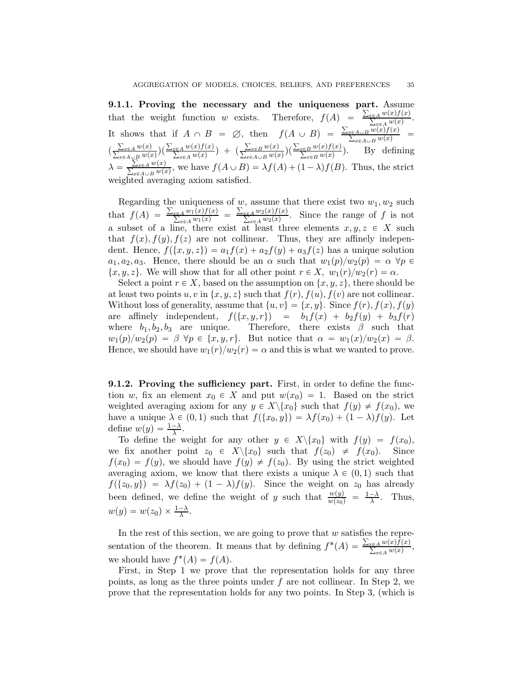9.1.1. Proving the necessary and the uniqueness part. Assume that the weight function w exists. Therefore,  $f(A) = \frac{\sum_{x \in A} w(x) f(x)}{\sum_{x \in A} w(x)}$ . It shows that if  $A \cap B = \emptyset$ , then  $f(A \cup B) = \frac{\sum_{x \in A \cup B} w(x) f(x)}{\sum_{x \in A \cup B} w(x)}$  $\left(\frac{\sum_{x\in A} w(x)}{\sum_{x\in A\cup B} w(x)}\right)\left(\frac{\sum_{x\in A} w(x)f(x)}{\sum_{x\in A\cup B} w(x)}\right) + \left(\frac{\sum_{x\in B} w(x)}{\sum_{x\in A\cup B} w(x)}\right)\left(\frac{\sum_{x\in B} w(x)f(x)}{\sum_{x\in B} w(x)}\right).$  By defining  $\lambda = \frac{\sum_{x \in A} w(x)}{\sum_{x \in A \cup B} w(x)}$ , we have  $f(A \cup B) = \lambda f(A) + (1 - \lambda)f(B)$ . Thus, the strict weighted averaging axiom satisfied.

Regarding the uniqueness of  $w$ , assume that there exist two  $w_1, w_2$  such that  $f(A) = \frac{\sum_{x \in A} w_1(x) f(x)}{\sum_{x \in A} w_1(x)} = \frac{\sum_{x \in A} w_2(x) f(x)}{\sum_{x \in A} w_2(x)}$ . Since the range of f is not a subset of a line, there exist at least three elements  $x, y, z \in X$  such that  $f(x)$ ,  $f(y)$ ,  $f(z)$  are not collinear. Thus, they are affinely independent. Hence,  $f({x, y, z}) = a_1f(x) + a_2f(y) + a_3f(z)$  has a unique solution  $a_1, a_2, a_3$ . Hence, there should be an  $\alpha$  such that  $w_1(p)/w_2(p) = \alpha \ \forall p \in$  $\{x, y, z\}$ . We will show that for all other point  $r \in X$ ,  $w_1(r)/w_2(r) = \alpha$ .

Select a point  $r \in X$ , based on the assumption on  $\{x, y, z\}$ , there should be at least two points  $u, v$  in  $\{x, y, z\}$  such that  $f(r), f(u), f(v)$  are not collinear. Without loss of generality, assume that  $\{u, v\} = \{x, y\}$ . Since  $f(r)$ ,  $f(x)$ ,  $f(y)$ are affinely independent,  $f(\lbrace x, y, r \rbrace) = b_1f(x) + b_2f(y) + b_3f(r)$ where  $b_1, b_2, b_3$  are unique. Therefore, there exists  $\beta$  such that  $w_1(p)/w_2(p) = \beta \ \forall p \in \{x, y, r\}.$  But notice that  $\alpha = w_1(x)/w_2(x) = \beta$ . Hence, we should have  $w_1(r)/w_2(r) = \alpha$  and this is what we wanted to prove.

**9.1.2. Proving the sufficiency part.** First, in order to define the function w, fix an element  $x_0 \in X$  and put  $w(x_0) = 1$ . Based on the strict weighted averaging axiom for any  $y \in X \setminus \{x_0\}$  such that  $f(y) \neq f(x_0)$ , we have a unique  $\lambda \in (0, 1)$  such that  $f(\lbrace x_0, y \rbrace) = \lambda f(x_0) + (1 - \lambda)f(y)$ . Let define  $w(y) = \frac{1-\lambda}{\lambda}$ .

To define the weight for any other  $y \in X \setminus \{x_0\}$  with  $f(y) = f(x_0)$ , we fix another point  $z_0 \in X \setminus \{x_0\}$  such that  $f(z_0) \neq f(x_0)$ . Since  $f(x_0) = f(y)$ , we should have  $f(y) \neq f(z_0)$ . By using the strict weighted averaging axiom, we know that there exists a unique  $\lambda \in (0, 1)$  such that  $f({z_0, y}) = \lambda f(z_0) + (1 - \lambda)f(y)$ . Since the weight on  $z_0$  has already been defined, we define the weight of y such that  $\frac{w(y)}{w(z_0)} = \frac{1-\lambda}{\lambda}$ . Thus,  $w(y) = w(z_0) \times \frac{1-\lambda}{\lambda}$ .

In the rest of this section, we are going to prove that  $w$  satisfies the representation of the theorem. It means that by defining  $f^*(A) = \frac{\sum_{x \in A} w(x) f(x)}{\sum_{x \in A} w(x)}$ , we should have  $f^*(A) = f(A)$ .

First, in Step 1 we prove that the representation holds for any three points, as long as the three points under  $f$  are not collinear. In Step 2, we prove that the representation holds for any two points. In Step 3, (which is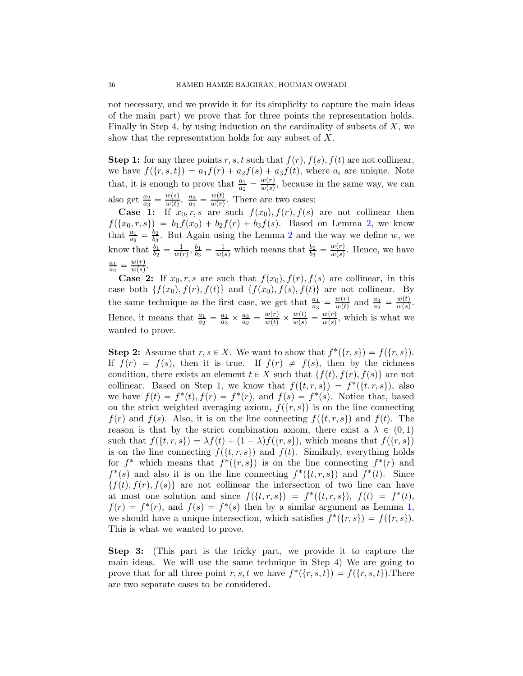not necessary, and we provide it for its simplicity to capture the main ideas of the main part) we prove that for three points the representation holds. Finally in Step 4, by using induction on the cardinality of subsets of  $X$ , we show that the representation holds for any subset of X.

**Step 1:** for any three points r, s, t such that  $f(r)$ ,  $f(s)$ ,  $f(t)$  are not collinear, we have  $f(\lbrace r, s, t \rbrace) = a_1f(r) + a_2f(s) + a_3f(t)$ , where  $a_i$  are unique. Note that, it is enough to prove that  $\frac{a_1}{a_2} = \frac{w(r)}{w(s)}$  $\frac{w(r)}{w(s)}$ , because in the same way, we can also get  $\frac{a_2}{a_3} = \frac{w(s)}{w(t)}$  $\frac{w(s)}{w(t)}, \frac{a_3}{a_1}$  $\frac{a_3}{a_1} = \frac{w(t)}{w(r)}$  $\frac{w(t)}{w(r)}$ . There are two cases:

**Case 1:** If  $x_0, r, s$  are such  $f(x_0), f(r), f(s)$  are not collinear then  $f({x_0, r, s}) = b_1f(x_0) + b_2f(r) + b_3f(s)$ . Based on Lemma [2,](#page-33-0) we know that  $\frac{a_1}{a_2} = \frac{b_2}{b_3}$  $\frac{b_2}{b_3}$  $\frac{b_2}{b_3}$  $\frac{b_2}{b_3}$ . But Again using the Lemma 2 and the way we define w, we know that  $\frac{b_1}{b_2} = \frac{1}{w(x)}$  $\frac{1}{w(r)}, \frac{b_1}{b_3}$  $\frac{b_1}{b_3} = \frac{1}{w(s)}$  which means that  $\frac{b_2}{b_3} = \frac{w(r)}{w(s)}$  $\frac{w(r)}{w(s)}$ . Hence, we have  $a_1$  $\frac{a_1}{a_2} = \frac{w(r)}{w(s)}$  $\frac{w(r)}{w(s)}$ .

**Case 2:** If  $x_0, r, s$  are such that  $f(x_0), f(r), f(s)$  are collinear, in this case both  $\{f(x_0), f(r), f(t)\}\$  and  $\{f(x_0), f(s), f(t)\}\$  are not collinear. By the same technique as the first case, we get that  $\frac{a_1}{a_3} = \frac{w(r)}{w(t)}$  $\frac{w(r)}{w(t)}$  and  $\frac{a_3}{a_2} = \frac{w(t)}{w(s)}$  $\frac{w(t)}{w(s)}$ . Hence, it means that  $\frac{a_1}{a_2} = \frac{a_1}{a_3}$  $\frac{a_1}{a_3} \times \frac{a_3}{a_2}$  $\frac{a_3}{a_2} = \frac{w(r)}{w(t)} \times \frac{w(t)}{w(s)} = \frac{w(r)}{w(s)}$  $\frac{w(r)}{w(s)}$ , which is what we wanted to prove.

**Step 2:** Assume that  $r, s \in X$ . We want to show that  $f^*(\{r, s\}) = f(\{r, s\})$ . If  $f(r) = f(s)$ , then it is true. If  $f(r) \neq f(s)$ , then by the richness condition, there exists an element  $t \in X$  such that  $\{f(t), f(r), f(s)\}\$  are not collinear. Based on Step 1, we know that  $f({t, r, s}) = f^{*}({t, r, s})$ , also we have  $f(t) = f^*(t)$ ,  $f(r) = f^*(r)$ , and  $f(s) = f^*(s)$ . Notice that, based on the strict weighted averaging axiom,  $f(\lbrace r, s \rbrace)$  is on the line connecting  $f(r)$  and  $f(s)$ . Also, it is on the line connecting  $f(\{t, r, s\})$  and  $f(t)$ . The reason is that by the strict combination axiom, there exist a  $\lambda \in (0, 1)$ such that  $f({t, r, s}) = \lambda f(t) + (1 - \lambda)f({r, s})$ , which means that  $f({r, s})$ is on the line connecting  $f({t, r, s})$  and  $f(t)$ . Similarly, everything holds for  $f^*$  which means that  $f^*(\{r,s\})$  is on the line connecting  $f^*(r)$  and  $f^*(s)$  and also it is on the line connecting  $f^*(\{t,r,s\})$  and  $f^*(t)$ . Since  $\{f(t), f(r), f(s)\}\$ are not collinear the intersection of two line can have at most one solution and since  $f({t, r, s}) = f^{*}({t, r, s}), f(t) = f^{*}(t)$ ,  $f(r) = f^{*}(r)$ , and  $f(s) = f^{*}(s)$  then by a similar argument as Lemma [1,](#page-33-1) we should have a unique intersection, which satisfies  $f^*(\{r, s\}) = f(\{r, s\}).$ This is what we wanted to prove.

Step 3: (This part is the tricky part, we provide it to capture the main ideas. We will use the same technique in Step 4) We are going to prove that for all three point r, s, t we have  $f^*(\{r, s, t\}) = f(\{r, s, t\})$ . There are two separate cases to be considered.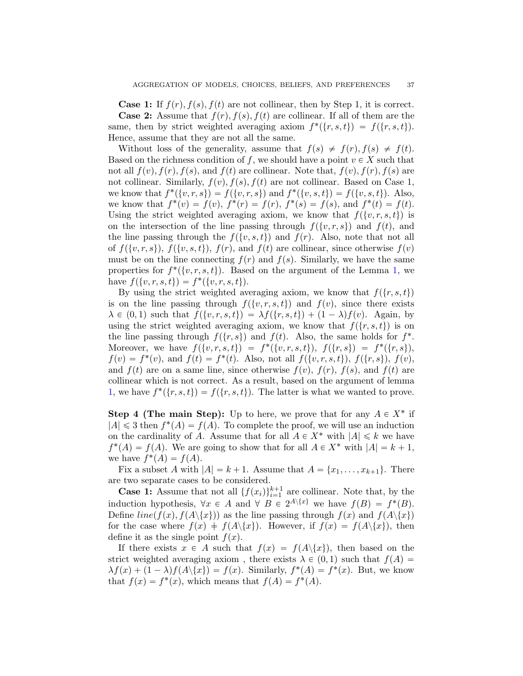**Case 1:** If  $f(r)$ ,  $f(s)$ ,  $f(t)$  are not collinear, then by Step 1, it is correct. **Case 2:** Assume that  $f(r)$ ,  $f(s)$ ,  $f(t)$  are collinear. If all of them are the same, then by strict weighted averaging axiom  $f^*(\{r, s, t\}) = f(\{r, s, t\}).$ Hence, assume that they are not all the same.

Without loss of the generality, assume that  $f(s) \neq f(r)$ ,  $f(s) \neq f(t)$ . Based on the richness condition of f, we should have a point  $v \in X$  such that not all  $f(v)$ ,  $f(r)$ ,  $f(s)$ , and  $f(t)$  are collinear. Note that,  $f(v)$ ,  $f(r)$ ,  $f(s)$  are not collinear. Similarly,  $f(v)$ ,  $f(s)$ ,  $f(t)$  are not collinear. Based on Case 1, we know that  $f^*(\{v, r, s\}) = f(\{v, r, s\})$  and  $f^*(\{v, s, t\}) = f(\{v, s, t\})$ . Also, we know that  $f^*(v) = f(v)$ ,  $f^*(r) = f(r)$ ,  $f^*(s) = f(s)$ , and  $f^*(t) = f(t)$ . Using the strict weighted averaging axiom, we know that  $f(\{v, r, s, t\})$  is on the intersection of the line passing through  $f(\{v, r, s\})$  and  $f(t)$ , and the line passing through the  $f({v, s, t})$  and  $f(r)$ . Also, note that not all of  $f(\{v, r, s\})$ ,  $f(\{v, s, t\})$ ,  $f(r)$ , and  $f(t)$  are collinear, since otherwise  $f(v)$ must be on the line connecting  $f(r)$  and  $f(s)$ . Similarly, we have the same properties for  $f^*(\{v, r, s, t\})$ . Based on the argument of the Lemma [1,](#page-33-1) we have  $f({v, r, s, t}) = f^{*}({v, r, s, t}).$ 

By using the strict weighted averaging axiom, we know that  $f(\{r, s, t\})$ is on the line passing through  $f(\{v, r, s, t\})$  and  $f(v)$ , since there exists  $\lambda \in (0, 1)$  such that  $f({v, r, s, t}) = \lambda f({r, s, t}) + (1 - \lambda)f(v)$ . Again, by using the strict weighted averaging axiom, we know that  $f(\lbrace r, s, t \rbrace)$  is on the line passing through  $f({r, s})$  and  $f(t)$ . Also, the same holds for  $f^*$ . Moreover, we have  $f({v, r, s, t}) = f^{*}({v, r, s, t}), f({r, s}) = f^{*}({r, s}),$  $f(v) = f^*(v)$ , and  $f(t) = f^*(t)$ . Also, not all  $f(\{v, r, s, t\})$ ,  $f(\{r, s\})$ ,  $f(v)$ , and  $f(t)$  are on a same line, since otherwise  $f(v)$ ,  $f(r)$ ,  $f(s)$ , and  $f(t)$  are collinear which is not correct. As a result, based on the argument of lemma [1,](#page-33-1) we have  $f^*(\{r, s, t\}) = f(\{r, s, t\})$ . The latter is what we wanted to prove.

**Step 4 (The main Step):** Up to here, we prove that for any  $A \in X^*$  if  $|A| \leq 3$  then  $f^*(A) = f(A)$ . To complete the proof, we will use an induction on the cardinality of A. Assume that for all  $A \in X^*$  with  $|A| \leq k$  we have  $f^*(A) = f(A)$ . We are going to show that for all  $A \in X^*$  with  $|A| = k + 1$ , we have  $f^*(A) = f(A)$ .

Fix a subset A with  $|A| = k + 1$ . Assume that  $A = \{x_1, \ldots, x_{k+1}\}.$  There are two separate cases to be considered.

**Case 1:** Assume that not all  $\{f(x_i)\}_{i=1}^{k+1}$  are collinear. Note that, by the induction hypothesis,  $\forall x \in A$  and  $\forall B \in 2^{A \setminus \{x\}}$  we have  $f(B) = f^*(B)$ . Define  $line(f(x), f(A\langle \{x\}\rangle))$  as the line passing through  $f(x)$  and  $f(A\langle \{x\}\rangle)$ for the case where  $f(x) \doteq f(A \setminus \{x\})$ . However, if  $f(x) = f(A \setminus \{x\})$ , then define it as the single point  $f(x)$ .

If there exists  $x \in A$  such that  $f(x) = f(A\{\{x\}\})$ , then based on the strict weighted averaging axiom, there exists  $\lambda \in (0, 1)$  such that  $f(A) =$  $\lambda f(x) + (1 - \lambda)f(A\langle x \rangle) = f(x)$ . Similarly,  $f^*(A) = f^*(x)$ . But, we know that  $f(x) = f^*(x)$ , which means that  $f(A) = f^*(A)$ .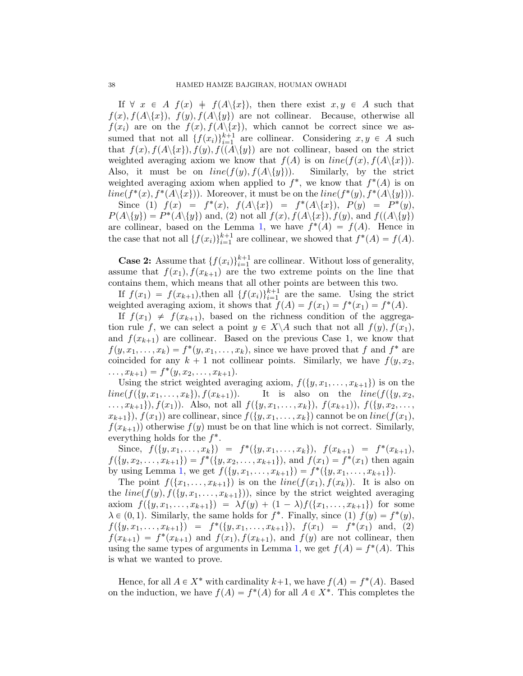If  $\forall x \in A$   $f(x) \neq f(A \setminus \{x\})$ , then there exist  $x, y \in A$  such that  $f(x), f(A\langle x\rangle), f(y), f(A\langle y\rangle)$  are not collinear. Because, otherwise all  $f(x_i)$  are on the  $f(x), f(A\langle x\rangle)$ , which cannot be correct since we assumed that not all  $\{f(x_i)\}_{i=1}^{k+1}$  are collinear. Considering  $x, y \in A$  such that  $f(x), f(A\{x\}), f(y), f(A\{y\})$  are not collinear, based on the strict weighted averaging axiom we know that  $f(A)$  is on  $line(f(x), f(A\setminus\{x\})).$ Also, it must be on  $line(f(y), f(A\{y\}))$ . Similarly, by the strict weighted averaging axiom when applied to  $f^*$ , we know that  $f^*(A)$  is on  $line(f^*(x), f^*(A \setminus \{x\}))$ . Moreover, it must be on the  $line(f^*(y), f^*(A \setminus \{y\}))$ . Since (1)  $f(x) = f^{*}(x), f(A\{\{x\}) = f^{*}(A\{\{x\}), P(y) = P^{*}(y),$  $P(A \setminus \{y\}) = P^*(A \setminus \{y\})$  and, (2) not all  $f(x)$ ,  $f(A \setminus \{x\})$ ,  $f(y)$ , and  $f((A \setminus \{y\})$ 

are collinear, based on the Lemma [1,](#page-33-1) we have  $f^*(A) = f(A)$ . Hence in the case that not all  $\{f(x_i)\}_{i=1}^{k+1}$  are collinear, we showed that  $f^*(A) = f(A)$ .

**Case 2:** Assume that  $\{f(x_i)\}_{i=1}^{k+1}$  are collinear. Without loss of generality, assume that  $f(x_1), f(x_{k+1})$  are the two extreme points on the line that contains them, which means that all other points are between this two.

If  $f(x_1) = f(x_{k+1})$ , then all  $\{f(x_i)\}_{i=1}^{k+1}$  are the same. Using the strict weighted averaging axiom, it shows that  $f(A) = f(x_1) = f^*(x_1) = f^*(A)$ .

If  $f(x_1) \neq f(x_{k+1})$ , based on the richness condition of the aggregation rule f, we can select a point  $y \in X \backslash A$  such that not all  $f(y), f(x_1)$ , and  $f(x_{k+1})$  are collinear. Based on the previous Case 1, we know that  $f(y, x_1, \ldots, x_k) = f^*(y, x_1, \ldots, x_k)$ , since we have proved that f and  $f^*$  are coincided for any  $k + 1$  not collinear points. Similarly, we have  $f(y, x_2, y_1)$  $\dots, x_{k+1}$  =  $f^*(y, x_2, \dots, x_{k+1}).$ 

Using the strict weighted averaging axiom,  $f({y, x_1, \ldots, x_{k+1}})$  is on the  $line(f(\{y, x_1, \ldots, x_k\}), f(x_{k+1}))$ . It is also on the line(f( $\{y, x_2,$  $\dots, x_{k+1}\}, f(x_1)$ . Also, not all  $f(\{y, x_1, \dots, x_k\}), f(x_{k+1}), f(\{y, x_2, \dots, y_k\})$  $x_{k+1}$ ,  $f(x_1)$  are collinear, since  $f({y, x_1, \ldots, x_k})$  cannot be on line( $f(x_1)$ ,  $f(x_{k+1})$  otherwise  $f(y)$  must be on that line which is not correct. Similarly, everything holds for the  $f^*$ .

Since,  $f(\{y, x_1, \ldots, x_k\}) = f^*(\{y, x_1, \ldots, x_k\}), f(x_{k+1}) = f^*(x_{k+1}),$  $f({y, x_2, \ldots, x_{k+1}}) = f^{*}({y, x_2, \ldots, x_{k+1}})$ , and  $f(x_1) = f^{*}(x_1)$  then again by using Lemma [1,](#page-33-1) we get  $f({y, x_1, \ldots, x_{k+1}}) = f^*({y, x_1, \ldots, x_{k+1}}).$ 

The point  $f(\{x_1, \ldots, x_{k+1}\})$  is on the  $line(f(x_1), f(x_k))$ . It is also on the  $line(f(y), f({y, x_1, \ldots, x_{k+1}}))$ , since by the strict weighted averaging axiom  $f(\{y, x_1, \ldots, x_{k+1}\}) = \lambda f(y) + (1 - \lambda)f(\{x_1, \ldots, x_{k+1}\})$  for some  $\lambda \in (0, 1)$ . Similarly, the same holds for  $f^*$ . Finally, since (1)  $f(y) = f^*(y)$ ,  $f({y, x_1, \ldots, x_{k+1}}) = f^{*}({y, x_1, \ldots, x_{k+1}}), f(x_1) = f^{*}(x_1) \text{ and, (2)}$  $f(x_{k+1}) = f^*(x_{k+1})$  and  $f(x_1), f(x_{k+1})$ , and  $f(y)$  are not collinear, then using the same types of arguments in Lemma [1,](#page-33-1) we get  $f(A) = f^*(A)$ . This is what we wanted to prove.

Hence, for all  $A \in X^*$  with cardinality  $k+1$ , we have  $f(A) = f^*(A)$ . Based on the induction, we have  $f(A) = f^*(A)$  for all  $A \in X^*$ . This completes the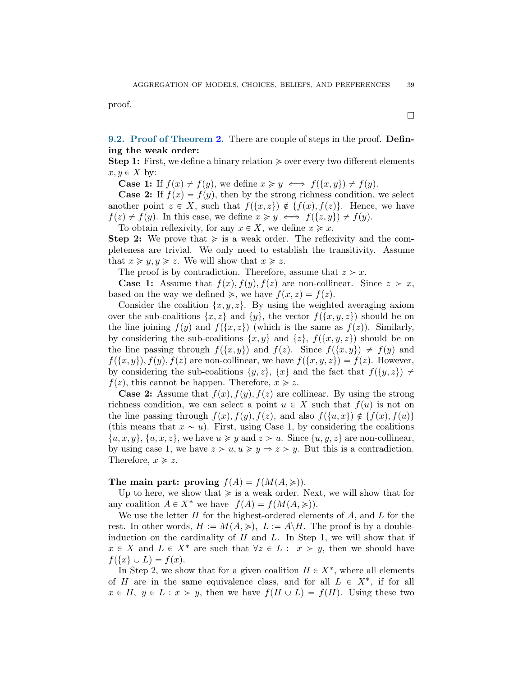proof.

9.2. Proof of Theorem [2.](#page-4-4) There are couple of steps in the proof. Defining the weak order:

**Step 1:** First, we define a binary relation  $\geq$  over every two different elements  $x, y \in X$  by:

**Case 1:** If  $f(x) \neq f(y)$ , we define  $x \geq y \iff f(\lbrace x, y \rbrace) \neq f(y)$ .

**Case 2:** If  $f(x) = f(y)$ , then by the strong richness condition, we select another point  $z \in X$ , such that  $f(\{x, z\}) \notin \{f(x), f(z)\}.$  Hence, we have  $f(z) \neq f(y)$ . In this case, we define  $x \geq y \iff f(\{z, y\}) \neq f(y)$ .

To obtain reflexivity, for any  $x \in X$ , we define  $x \geq x$ .

**Step 2:** We prove that  $\geq$  is a weak order. The reflexivity and the completeness are trivial. We only need to establish the transitivity. Assume that  $x \geq y, y \geq z$ . We will show that  $x \geq z$ .

The proof is by contradiction. Therefore, assume that  $z > x$ .

**Case 1:** Assume that  $f(x)$ ,  $f(y)$ ,  $f(z)$  are non-collinear. Since  $z > x$ , based on the way we defined  $\geq$ , we have  $f(x, z) = f(z)$ .

Consider the coalition  $\{x, y, z\}$ . By using the weighted averaging axiom over the sub-coalitions  $\{x, z\}$  and  $\{y\}$ , the vector  $f(\{x, y, z\})$  should be on the line joining  $f(y)$  and  $f(\lbrace x, z \rbrace)$  (which is the same as  $f(z)$ ). Similarly, by considering the sub-coalitions  $\{x, y\}$  and  $\{z\}$ ,  $f(\{x, y, z\})$  should be on the line passing through  $f(\{x, y\})$  and  $f(z)$ . Since  $f(\{x, y\}) \neq f(y)$  and  $f(\lbrace x, y \rbrace), f(y), f(z)$  are non-collinear, we have  $f(\lbrace x, y, z \rbrace) = f(z)$ . However, by considering the sub-coalitions  $\{y, z\}$ ,  $\{x\}$  and the fact that  $f(\{y, z\}) \neq$  $f(z)$ , this cannot be happen. Therefore,  $x \ge z$ .

**Case 2:** Assume that  $f(x)$ ,  $f(y)$ ,  $f(z)$  are collinear. By using the strong richness condition, we can select a point  $u \in X$  such that  $f(u)$  is not on the line passing through  $f(x)$ ,  $f(y)$ ,  $f(z)$ , and also  $f(\{u, x\}) \notin \{f(x), f(u)\}\$ (this means that  $x \sim u$ ). First, using Case 1, by considering the coalitions  $\{u, x, y\}, \{u, x, z\},$  we have  $u \geq y$  and  $z > u$ . Since  $\{u, y, z\}$  are non-collinear, by using case 1, we have  $z > u, u \geq y \Rightarrow z > y$ . But this is a contradiction. Therefore,  $x \geqslant z$ .

The main part: proving  $f(A) = f(M(A, \geq)).$ 

Up to here, we show that  $\geq$  is a weak order. Next, we will show that for any coalition  $A \in X^*$  we have  $f(A) = f(M(A, \geq)).$ 

We use the letter  $H$  for the highest-ordered elements of  $A$ , and  $L$  for the rest. In other words,  $H := M(A, \geqslant), L := A\backslash H$ . The proof is by a doubleinduction on the cardinality of  $H$  and  $L$ . In Step 1, we will show that if  $x \in X$  and  $L \in X^*$  are such that  $\forall z \in L : x > y$ , then we should have  $f(\lbrace x \rbrace \cup L) = f(x).$ 

In Step 2, we show that for a given coalition  $H \in X^*$ , where all elements of H are in the same equivalence class, and for all  $L \in X^*$ , if for all  $x \in H$ ,  $y \in L : x > y$ , then we have  $f(H \cup L) = f(H)$ . Using these two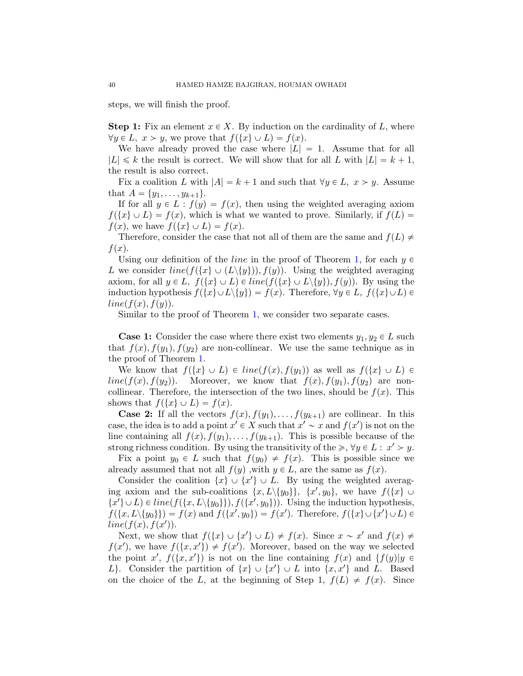steps, we will finish the proof.

**Step 1:** Fix an element  $x \in X$ . By induction on the cardinality of L, where  $\forall y \in L, x > y$ , we prove that  $f(\lbrace x \rbrace \cup L) = f(x)$ .

We have already proved the case where  $|L| = 1$ . Assume that for all  $|L| \leq k$  the result is correct. We will show that for all L with  $|L| = k + 1$ , the result is also correct.

Fix a coalition L with  $|A| = k + 1$  and such that  $\forall y \in L, x > y$ . Assume that  $A = \{y_1, \ldots, y_{k+1}\}.$ 

If for all  $y \in L : f(y) = f(x)$ , then using the weighted averaging axiom  $f(\lbrace x \rbrace \cup L) = f(x)$ , which is what we wanted to prove. Similarly, if  $f(L)$  $f(x)$ , we have  $f(\lbrace x \rbrace \cup L) = f(x)$ .

Therefore, consider the case that not all of them are the same and  $f(L) \neq$  $f(x)$ .

Using our definition of the *line* in the proof of Theorem [1,](#page-4-3) for each  $y \in \mathbb{R}$ L we consider  $line(f(\lbrace x \rbrace \cup (L\lbrace y \rbrace)), f(y))$ . Using the weighted averaging axiom, for all  $y \in L$ ,  $f(\lbrace x \rbrace \cup L) \in line(f(\lbrace x \rbrace \cup L \setminus \lbrace y \rbrace), f(y))$ . By using the induction hypothesis  $f(\lbrace x \rbrace \cup L \setminus \lbrace y \rbrace) = f(x)$ . Therefore,  $\forall y \in L$ ,  $f(\lbrace x \rbrace \cup L) \in$  $line(f(x), f(y)).$ 

Similar to the proof of Theorem [1,](#page-4-3) we consider two separate cases.

**Case 1:** Consider the case where there exist two elements  $y_1, y_2 \in L$  such that  $f(x)$ ,  $f(y_1)$ ,  $f(y_2)$  are non-collinear. We use the same technique as in the proof of Theorem [1.](#page-4-3)

We know that  $f(\lbrace x \rbrace \cup L) \in line(f(x), f(y_1))$  as well as  $f(\lbrace x \rbrace \cup L) \in$  $line(f(x), f(y_2))$ . Moreover, we know that  $f(x), f(y_1), f(y_2)$  are noncollinear. Therefore, the intersection of the two lines, should be  $f(x)$ . This shows that  $f(\lbrace x \rbrace \cup L) = f(x)$ .

**Case 2:** If all the vectors  $f(x), f(y_1), \ldots, f(y_{k+1})$  are collinear. In this case, the idea is to add a point  $x' \in X$  such that  $x' \sim x$  and  $f(x')$  is not on the line containing all  $f(x), f(y_1), \ldots, f(y_{k+1})$ . This is possible because of the strong richness condition. By using the transitivity of the  $\geq, \forall y \in L : x' > y$ .

Fix a point  $y_0 \in L$  such that  $f(y_0) \neq f(x)$ . This is possible since we already assumed that not all  $f(y)$ , with  $y \in L$ , are the same as  $f(x)$ .

Consider the coalition  $\{x\} \cup \{x'\} \cup L$ . By using the weighted averaging axiom and the sub-coalitions  $\{x, L\langle y_0\rangle\}, \{x', y_0\},\$ we have  $f(\{x\} \cup$  $\{x'\}\cup L$ )  $\in line(f(\{x, L\setminus\{y_0\}\}), f(\{x', y_0\})).$  Using the induction hypothesis,  $f(\lbrace x, L \setminus \lbrace y_0 \rbrace \rbrace) = f(x)$  and  $f(\lbrace x', y_0 \rbrace) = f(x')$ . Therefore,  $f(\lbrace x \rbrace \cup \lbrace x' \rbrace \cup L) \in$  $line(f(x), f(x'))$ .

Next, we show that  $f(\lbrace x \rbrace \cup \lbrace x' \rbrace \cup L) \neq f(x)$ . Since  $x \sim x'$  and  $f(x) \neq$  $f(x')$ , we have  $f(\lbrace x, x' \rbrace) \neq f(x')$ . Moreover, based on the way we selected the point x',  $f(\lbrace x, x' \rbrace)$  is not on the line containing  $f(x)$  and  $\lbrace f(y) | y \rbrace$ L}. Consider the partition of  $\{x\} \cup \{x'\} \cup L$  into  $\{x, x'\}$  and L. Based on the choice of the L, at the beginning of Step 1,  $f(L) \neq f(x)$ . Since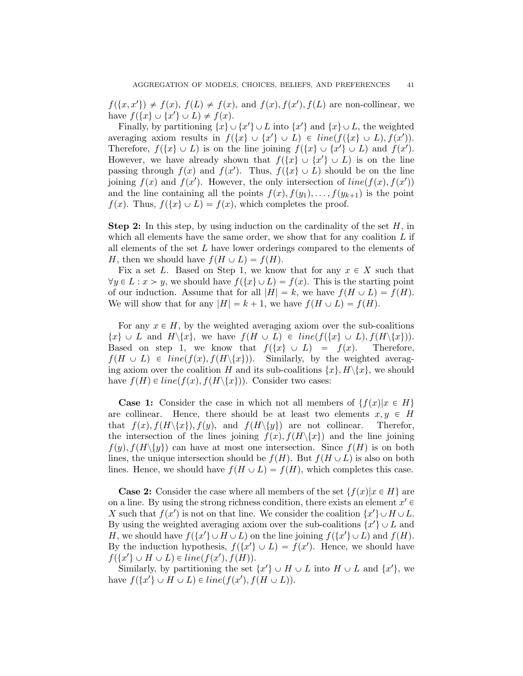$f(\lbrace x, x' \rbrace) \neq f(x), f(L) \neq f(x),$  and  $f(x), f(x')$ ,  $f(L)$  are non-collinear, we have  $f({x} \cup {x'} \cup L) \neq f(x)$ .

Finally, by partitioning  $\{x\} \cup \{x'\} \cup L$  into  $\{x'\}$  and  $\{x\} \cup L$ , the weighted averaging axiom results in  $f({x} \cup {x}' \cup L) \in line(f({x} \cup L), f(x')).$ Therefore,  $f(\lbrace x \rbrace \cup L)$  is on the line joining  $f(\lbrace x \rbrace \cup \lbrace x' \rbrace \cup L)$  and  $f(x')$ . However, we have already shown that  $f(\lbrace x \rbrace \cup \lbrace x' \rbrace \cup L)$  is on the line passing through  $f(x)$  and  $f(x')$ . Thus,  $f(\lbrace x \rbrace \cup L)$  should be on the line joining  $f(x)$  and  $f(x')$ . However, the only intersection of  $line(f(x), f(x'))$ and the line containing all the points  $f(x), f(y_1), \ldots, f(y_{k+1})$  is the point  $f(x)$ . Thus,  $f(\lbrace x \rbrace \cup L) = f(x)$ , which completes the proof.

**Step 2:** In this step, by using induction on the cardinality of the set  $H$ , in which all elements have the same order, we show that for any coalition  $L$  if all elements of the set  $L$  have lower orderings compared to the elements of H, then we should have  $f(H \cup L) = f(H)$ .

Fix a set L. Based on Step 1, we know that for any  $x \in X$  such that  $\forall y \in L : x > y$ , we should have  $f(\lbrace x \rbrace \cup L) = f(x)$ . This is the starting point of our induction. Assume that for all  $|H| = k$ , we have  $f(H \cup L) = f(H)$ . We will show that for any  $|H| = k + 1$ , we have  $f(H \cup L) = f(H)$ .

For any  $x \in H$ , by the weighted averaging axiom over the sub-coalitions  $\{x\} \cup L$  and  $H \setminus \{x\}$ , we have  $f(H \cup L) \in line(f(\{x\} \cup L), f(H \setminus \{x\})).$ Based on step 1, we know that  $f(\lbrace x \rbrace \cup L) = f(x)$ . Therefore,  $f(H \cup L) \in line(f(x), f(H\backslash\{x\}))$ . Similarly, by the weighted averaging axiom over the coalition H and its sub-coalitions  $\{x\}, H\setminus\{x\}$ , we should have  $f(H) \in line(f(x), f(H\backslash \{x\}))$ . Consider two cases:

**Case 1:** Consider the case in which not all members of  $\{f(x)|x \in H\}$ are collinear. Hence, there should be at least two elements  $x, y \in H$ that  $f(x), f(H\backslash\{x\}), f(y),$  and  $f(H\backslash\{y\})$  are not collinear. Therefor, the intersection of the lines joining  $f(x)$ ,  $f(H\setminus\{x\})$  and the line joining  $f(y), f(H\setminus\{y\})$  can have at most one intersection. Since  $f(H)$  is on both lines, the unique intersection should be  $f(H)$ . But  $f(H \cup L)$  is also on both lines. Hence, we should have  $f(H \cup L) = f(H)$ , which completes this case.

**Case 2:** Consider the case where all members of the set  $\{f(x)|x \in H\}$  are on a line. By using the strong richness condition, there exists an element  $x' \in$ X such that  $f(x')$  is not on that line. We consider the coalition  $\{x'\}\cup H\cup L$ . By using the weighted averaging axiom over the sub-coalitions  $\{x'\} \cup L$  and H, we should have  $f(\lbrace x' \rbrace \cup H \cup L)$  on the line joining  $f(\lbrace x' \rbrace \cup L)$  and  $f(H)$ . By the induction hypothesis,  $f({x \rangle \cup L}) = f(x')$ . Hence, we should have  $f({x \nbrace \cup H \cup L) \in line(f(x'), f(H))}.$ 

Similarly, by partitioning the set  $\{x'\} \cup H \cup L$  into  $H \cup L$  and  $\{x'\}$ , we have  $f({x \in \cup H \cup L}) \in line(f(x'), f(H \cup L)).$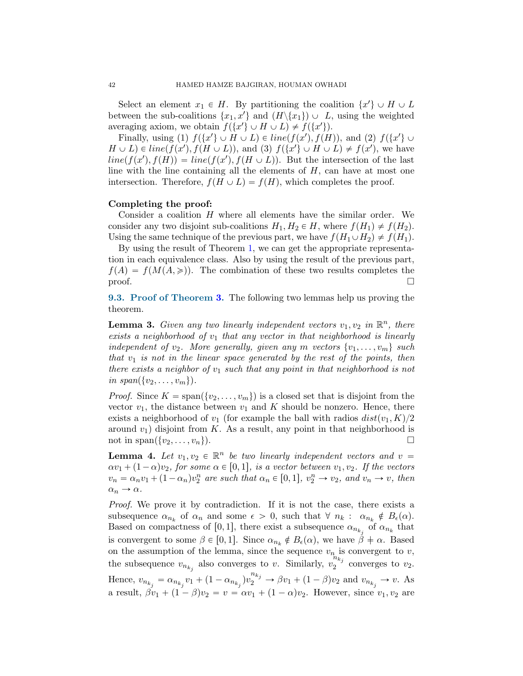Select an element  $x_1 \in H$ . By partitioning the coalition  $\{x'\} \cup H \cup L$ between the sub-coalitions  $\{x_1, x'\}$  and  $(H \setminus \{x_1\}) \cup L$ , using the weighted averaging axiom, we obtain  $f({x \rangle \cup H \cup L}) \neq f({x \rangle}).$ 

Finally, using (1)  $f({x \nbrace \cup H \cup L) \in line(f(x'), f(H))$ , and (2)  $f({x \nbrace \cup L \cup H \cup L}) =$  $H \cup L$ )  $\in$  line(f(x'),  $f(H \cup L)$ ), and (3)  $f({x \in \{x' \} \cup H \cup L}) \neq f(x')$ , we have  $line(f(x'), f(H)) = line(f(x'), f(H \cup L))$ . But the intersection of the last line with the line containing all the elements of H, can have at most one intersection. Therefore,  $f(H \cup L) = f(H)$ , which completes the proof.

#### Completing the proof:

Consider a coalition  $H$  where all elements have the similar order. We consider any two disjoint sub-coalitions  $H_1, H_2 \in H$ , where  $f(H_1) \neq f(H_2)$ . Using the same technique of the previous part, we have  $f(H_1 \cup H_2) \neq f(H_1)$ .

By using the result of Theorem [1,](#page-4-3) we can get the appropriate representation in each equivalence class. Also by using the result of the previous part,  $f(A) = f(M(A, \geq))$ . The combination of these two results completes the  $\Box$ 

9.3. Proof of Theorem [3.](#page-6-5) The following two lemmas help us proving the theorem.

**Lemma 3.** Given any two linearly independent vectors  $v_1, v_2$  in  $\mathbb{R}^n$ , there exists a neighborhood of  $v_1$  that any vector in that neighborhood is linearly independent of  $v_2$ . More generally, given any m vectors  $\{v_1, \ldots, v_m\}$  such that  $v_1$  is not in the linear space generated by the rest of the points, then there exists a neighbor of  $v_1$  such that any point in that neighborhood is not in  $span({v_2, \ldots, v_m})$ .

*Proof.* Since  $K = \text{span}(\{v_2, \ldots, v_m\})$  is a closed set that is disjoint from the vector  $v_1$ , the distance between  $v_1$  and K should be nonzero. Hence, there exists a neighborhood of  $v_1$  (for example the ball with radios  $dist(v_1, K)/2$ around  $v_1$ ) disjoint from K. As a result, any point in that neighborhood is not in span $({v_2}, \ldots, v_n)$ .

<span id="page-41-0"></span>**Lemma 4.** Let  $v_1, v_2 \in \mathbb{R}^n$  be two linearly independent vectors and  $v =$  $\alpha v_1 + (1 - \alpha)v_2$ , for some  $\alpha \in [0, 1]$ , is a vector between  $v_1, v_2$ . If the vectors  $v_n = \alpha_n v_1 + (1 - \alpha_n) v_2^n$  are such that  $\alpha_n \in [0, 1], v_2^n \to v_2$ , and  $v_n \to v$ , then  $\alpha_n \to \alpha$ .

Proof. We prove it by contradiction. If it is not the case, there exists a subsequence  $\alpha_{n_k}$  of  $\alpha_n$  and some  $\epsilon > 0$ , such that  $\forall n_k : \alpha_{n_k} \notin B_{\epsilon}(\alpha)$ . Based on compactness of [0,1], there exist a subsequence  $\alpha_{n_{k_j}}$  of  $\alpha_{n_k}$  that is convergent to some  $\beta \in [0, 1]$ . Since  $\alpha_{n_k} \notin B_{\epsilon}(\alpha)$ , we have  $\beta \neq \alpha$ . Based on the assumption of the lemma, since the sequence  $v_n$  is convergent to v, the subsequence  $v_{n_{k_j}}$  also converges to v. Similarly,  $v_2^{n_{k_j}}$  $\sum_{2}^{n}$  converges to  $v_2$ . Hence,  $v_{n_{k_j}} = \alpha_{n_{k_j}} v_1 + (1 - \alpha_{n_{k_j}}) v_2^{n_{k_j}} \to \beta v_1 + (1 - \beta) v_2$  and  $v_{n_{k_j}} \to v$ . As a result,  $\beta v_1 + (1 - \beta)v_2 = v = \alpha v_1 + (1 - \alpha)v_2$ . However, since  $v_1, v_2$  are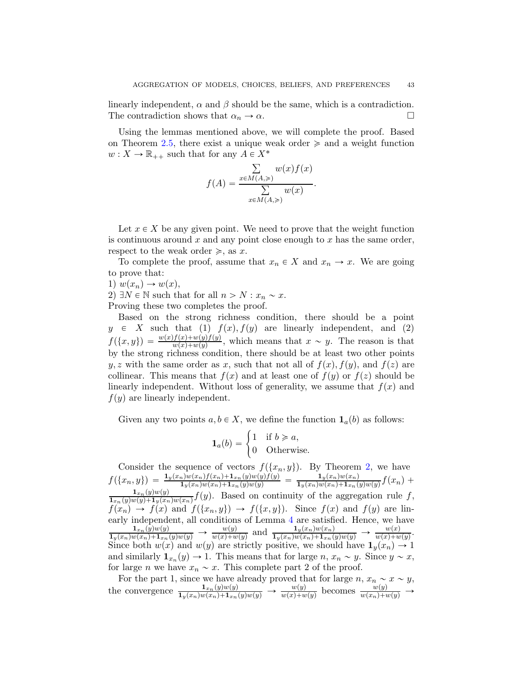linearly independent,  $\alpha$  and  $\beta$  should be the same, which is a contradiction. The contradiction shows that  $\alpha_n \to \alpha$ .

Using the lemmas mentioned above, we will complete the proof. Based on Theorem [2.5,](#page-5-0) there exist a unique weak order  $\geq$  and a weight function  $w: X \to \mathbb{R}_{++}$  such that for any  $A \in X^*$ 

$$
f(A) = \frac{\sum_{x \in M(A, \geq)} w(x) f(x)}{\sum_{x \in M(A, \geq)} w(x)}.
$$

Let  $x \in X$  be any given point. We need to prove that the weight function is continuous around  $x$  and any point close enough to  $x$  has the same order, respect to the weak order  $\geq$ , as x.

To complete the proof, assume that  $x_n \in X$  and  $x_n \to x$ . We are going to prove that:

1)  $w(x_n) \rightarrow w(x)$ ,

2)  $\exists N \in \mathbb{N}$  such that for all  $n > N : x_n \sim x$ .

Proving these two completes the proof.

Based on the strong richness condition, there should be a point  $y \in X$  such that (1)  $f(x)$ ,  $f(y)$  are linearly independent, and (2)  $f(\lbrace x, y \rbrace) = \frac{w(x)f(x)+w(y)f(y)}{w(x)+w(y)}$ , which means that  $x \sim y$ . The reason is that by the strong richness condition, there should be at least two other points y, z with the same order as x, such that not all of  $f(x)$ ,  $f(y)$ , and  $f(z)$  are collinear. This means that  $f(x)$  and at least one of  $f(y)$  or  $f(z)$  should be linearly independent. Without loss of generality, we assume that  $f(x)$  and  $f(y)$  are linearly independent.

Given any two points  $a, b \in X$ , we define the function  $\mathbf{1}_a(b)$  as follows:

$$
\mathbf{1}_a(b) = \begin{cases} 1 & \text{if } b \geqslant a, \\ 0 & \text{Otherwise.} \end{cases}
$$

Consider the sequence of vectors  $f(\lbrace x_n, y \rbrace)$ . By Theorem [2,](#page-4-4) we have  $f(\{x_n, y\}) = \frac{\mathbf{1}_y(x_n)w(x_n)f(x_n)+\mathbf{1}_{x_n}(y)w(y)f(y)}{\mathbf{1}_y(x_n)w(x_n)+\mathbf{1}_{x_n}(y)w(y)} = \frac{\mathbf{1}_y(x_n)w(x_n)}{\mathbf{1}_y(x_n)w(x_n)+\mathbf{1}_{x_n}(y)}$  $\frac{\mathbf{1}_y(x_n)w(x_n)}{\mathbf{1}_y(x_n)w(x_n)+\mathbf{1}_{x_n}(y)w(y)}f(x_n) +$  $\mathbf{1}_{x_n}(y)w(y)$  $\frac{\mathbf{1}_{x_n}(y)w(y)}{\mathbf{1}_{x_n}(y)w(y)+\mathbf{1}_y(x_n)w(x_n)}f(y)$ . Based on continuity of the aggregation rule f,  $f(x_n) \to f(x)$  and  $f(\{x_n, y\}) \to f(\{x, y\})$ . Since  $f(x)$  and  $f(y)$  are linearly independent, all conditions of Lemma [4](#page-41-0) are satisfied. Hence, we have  $\frac{1_{x_n}(\hat{y})w(y)}{1_y(x_n)w(x_n)+1_{x_n}(y)w(y)} \to \frac{w(y)}{w(x)+w(y)}$  and  $\frac{1_y(x_n)w(x_n)}{1_y(x_n)w(x_n)+1_{x_n}(y)w(y)} \to \frac{w(x)}{w(x)+w(y)}$ . Since both  $w(x)$  and  $w(y)$  are strictly positive, we should have  $\mathbf{1}_y(x_n) \to 1$ and similarly  $\mathbf{1}_{x_n}(y) \to 1$ . This means that for large  $n, x_n \sim y$ . Since  $y \sim x$ , for large *n* we have  $x_n \sim x$ . This complete part 2 of the proof.

For the part 1, since we have already proved that for large  $n, x_n \sim x \sim y$ , the convergence  $\frac{1_{x_n}(y)w(y)}{1_y(x_n)w(x_n)+1_{x_n}(y)w(y)} \rightarrow w(y)$  becomes  $\frac{w(y)}{w(x_n)+w(y)} \rightarrow w(y)$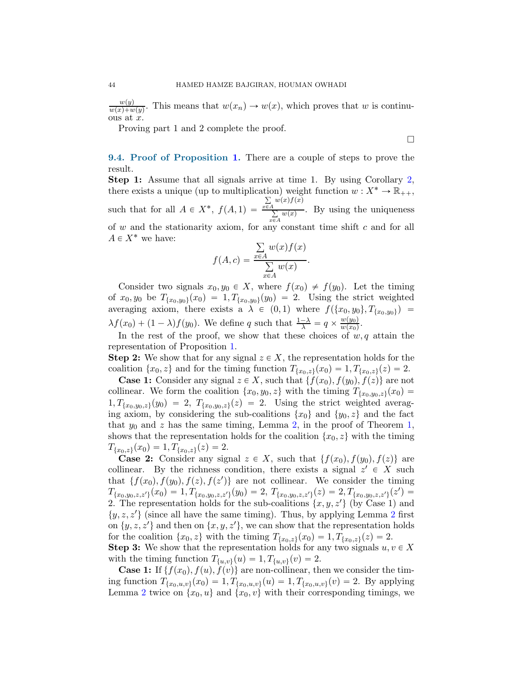$w(y)$  $\frac{w(y)}{w(x)+w(y)}$ . This means that  $w(x_n) \to w(x)$ , which proves that w is continuous at  $x$ .

Proving part 1 and 2 complete the proof.

 $\Box$ 

9.4. Proof of Proposition [1.](#page-10-1) There are a couple of steps to prove the result.

Step 1: Assume that all signals arrive at time 1. By using Corollary [2,](#page-9-1) there exists a unique (up to multiplication) weight function  $w: X^* \to \mathbb{R}_{++}$ , such that for all  $A \in X^*$ ,  $f(A, 1) =$  $\sum_{x\in A} w(x) f(x)$  $\sum_{x \in A}^{A} w(x)$ . By using the uniqueness of  $w$  and the stationarity axiom, for any constant time shift  $c$  and for all  $A \in X^*$  we have:

$$
f(A, c) = \frac{\sum_{x \in A} w(x) f(x)}{\sum_{x \in A} w(x)}.
$$

Consider two signals  $x_0, y_0 \in X$ , where  $f(x_0) \neq f(y_0)$ . Let the timing of  $x_0, y_0$  be  $T_{\{x_0, y_0\}}(x_0) = 1, T_{\{x_0, y_0\}}(y_0) = 2$ . Using the strict weighted averaging axiom, there exists a  $\lambda \in (0, 1)$  where  $f(\{x_0, y_0\}, T_{\{x_0, y_0\}})$  =  $\lambda f(x_0) + (1 - \lambda)f(y_0)$ . We define q such that  $\frac{1-\lambda}{\lambda} = q \times \frac{w(y_0)}{w(x_0)}$  $\frac{w(y_0)}{w(x_0)}$ .

In the rest of the proof, we show that these choices of  $w, q$  attain the representation of Proposition [1.](#page-10-1)

**Step 2:** We show that for any signal  $z \in X$ , the representation holds for the coalition  $\{x_0, z\}$  and for the timing function  $T_{\{x_0, z\}}(x_0) = 1, T_{\{x_0, z\}}(z) = 2$ .

**Case 1:** Consider any signal  $z \in X$ , such that  $\{f(x_0), f(y_0), f(z)\}\)$  are not collinear. We form the coalition  $\{x_0, y_0, z\}$  with the timing  $T_{\{x_0, y_0, z\}}(x_0) =$  $1, T_{\{x_0, y_0, z\}}(y_0) = 2, T_{\{x_0, y_0, z\}}(z) = 2.$  Using the strict weighted averaging axiom, by considering the sub-coalitions  $\{x_0\}$  and  $\{y_0, z\}$  and the fact that  $y_0$  and z has the same timing, Lemma [2,](#page-33-0) in the proof of Theorem [1,](#page-4-3) shows that the representation holds for the coalition  $\{x_0, z\}$  with the timing  $T_{\{x_0,z\}}(x_0) = 1, T_{\{x_0,z\}}(z) = 2.$ 

**Case 2:** Consider any signal  $z \in X$ , such that  $\{f(x_0), f(y_0), f(z)\}\)$  are collinear. By the richness condition, there exists a signal  $z' \in X$  such that  $\{f(x_0), f(y_0), f(z), f(z')\}$  are not collinear. We consider the timing  $T_{\{x_0,y_0,z,z'\}}(x_0) = 1, T_{\{x_0,y_0,z,z'\}}(y_0) = 2, T_{\{x_0,y_0,z,z'\}}(z) = 2, T_{\{x_0,y_0,z,z'\}}(z') =$ 2. The representation holds for the sub-coalitions  $\{x, y, z'\}$  (by Case 1) and  $\{y, z, z'\}$  (since all have the same timing). Thus, by applying Lemma [2](#page-33-0) first on  $\{y, z, z'\}$  and then on  $\{x, y, z'\}$ , we can show that the representation holds for the coalition  $\{x_0, z\}$  with the timing  $T_{\{x_0, z\}}(x_0) = 1, T_{\{x_0, z\}}(z) = 2$ . **Step 3:** We show that the representation holds for any two signals  $u, v \in X$ with the timing function  $T_{\{u,v\}}(u) = 1, T_{\{u,v\}}(v) = 2.$ 

**Case 1:** If  $\{f(x_0), f(u), f(v)\}\$  are non-collinear, then we consider the timing function  $T_{\{x_0, u, v\}}(x_0) = 1, T_{\{x_0, u, v\}}(u) = 1, T_{\{x_0, u, v\}}(v) = 2$ . By applying Lemma [2](#page-33-0) twice on  $\{x_0, u\}$  and  $\{x_0, v\}$  with their corresponding timings, we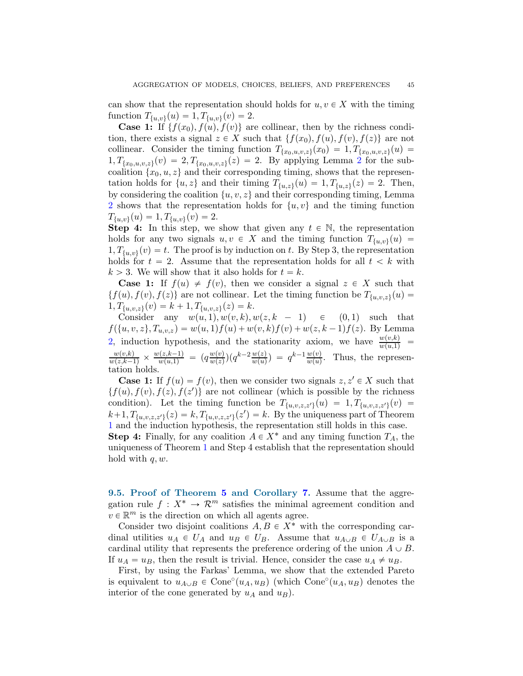can show that the representation should holds for  $u, v \in X$  with the timing function  $T_{\{u,v\}}(u) = 1, T_{\{u,v\}}(v) = 2.$ 

**Case 1:** If  $\{f(x_0), f(u), f(v)\}\)$  are collinear, then by the richness condition, there exists a signal  $z \in X$  such that  $\{f(x_0), f(u), f(v), f(z)\}\)$  are not collinear. Consider the timing function  $T_{\{x_0, u, v, z\}}(x_0) = 1, T_{\{x_0, u, v, z\}}(u)$  $1, T_{\{x_0, u, v, z\}}(v) = 2, T_{\{x_0, u, v, z\}}(z) = 2$  $1, T_{\{x_0, u, v, z\}}(v) = 2, T_{\{x_0, u, v, z\}}(z) = 2$  $1, T_{\{x_0, u, v, z\}}(v) = 2, T_{\{x_0, u, v, z\}}(z) = 2$ . By applying Lemma 2 for the subcoalition  $\{x_0, u, z\}$  and their corresponding timing, shows that the representation holds for  $\{u, z\}$  and their timing  $T_{\{u, z\}}(u) = 1, T_{\{u, z\}}(z) = 2$ . Then, by considering the coalition  $\{u, v, z\}$  and their corresponding timing, Lemma [2](#page-33-0) shows that the representation holds for  $\{u, v\}$  and the timing function  $T_{\{u,v\}}(u) = 1, T_{\{u,v\}}(v) = 2.$ 

**Step 4:** In this step, we show that given any  $t \in \mathbb{N}$ , the representation holds for any two signals  $u, v \in X$  and the timing function  $T_{\{u,v\}}(u) =$  $1, T_{\{u,v\}}(v) = t$ . The proof is by induction on t. By Step 3, the representation holds for  $t = 2$ . Assume that the representation holds for all  $t < k$  with  $k > 3$ . We will show that it also holds for  $t = k$ .

**Case 1:** If  $f(u) \neq f(v)$ , then we consider a signal  $z \in X$  such that  $\{f(u), f(v), f(z)\}\$ are not collinear. Let the timing function be  $T_{\{u,v,z\}}(u) =$  $1, T_{\{u,v,z\}}(v) = k + 1, T_{\{u,v,z\}}(z) = k.$ 

Consider any  $w(u, 1), w(v, k), w(z, k - 1) \in (0, 1)$  such that  $f({u, v, z}, T_{u,v,z}) = w(u, 1)f(u) + w(v, k)f(v) + w(z, k - 1)f(z)$ . By Lemma [2,](#page-33-0) induction hypothesis, and the stationarity axiom, we have  $\frac{w(v,k)}{w(u,1)}$  =  $\frac{w(v,k)}{w(z,k-1)} \times \frac{w(z,k-1)}{w(u,1)} = (q \frac{w(v)}{w(z)})$  $\frac{w(v)}{w(z)}$  $(q^{k-2} \frac{w(z)}{w(u)}) = q^{k-1} \frac{w(v)}{w(u)}$ . Thus, the representation holds.

**Case 1:** If  $f(u) = f(v)$ , then we consider two signals  $z, z' \in X$  such that  $\{f(u), f(v), f(z), f(z')\}$  are not collinear (which is possible by the richness condition). Let the timing function be  $T_{\{u,v,z,z'\}}(u) = 1, T_{\{u,v,z,z'\}}(v)$  $k+1, T_{\{u,v,z,z'\}}(z) = k, T_{\{u,v,z,z'\}}(z') = k.$  By the uniqueness part of Theorem [1](#page-4-3) and the induction hypothesis, the representation still holds in this case. **Step 4:** Finally, for any coalition  $A \in X^*$  and any timing function  $T_A$ , the uniqueness of Theorem [1](#page-4-3) and Step 4 establish that the representation should

9.[5](#page-7-1). Proof of Theorem 5 and Corollary [7.](#page-20-1) Assume that the aggregation rule  $f: X^* \to \mathcal{R}^m$  satisfies the minimal agreement condition and  $v \in \mathbb{R}^m$  is the direction on which all agents agree.

hold with  $q, w$ .

Consider two disjoint coalitions  $A, B \in X^*$  with the corresponding cardinal utilities  $u_A \in U_A$  and  $u_B \in U_B$ . Assume that  $u_{A \cup B} \in U_{A \cup B}$  is a cardinal utility that represents the preference ordering of the union  $A \cup B$ . If  $u_A = u_B$ , then the result is trivial. Hence, consider the case  $u_A \neq u_B$ .

First, by using the Farkas' Lemma, we show that the extended Pareto is equivalent to  $u_{A\cup B} \in \text{Cone}^{\circ}(u_A, u_B)$  (which  $\text{Cone}^{\circ}(u_A, u_B)$ ) denotes the interior of the cone generated by  $u_A$  and  $u_B$ ).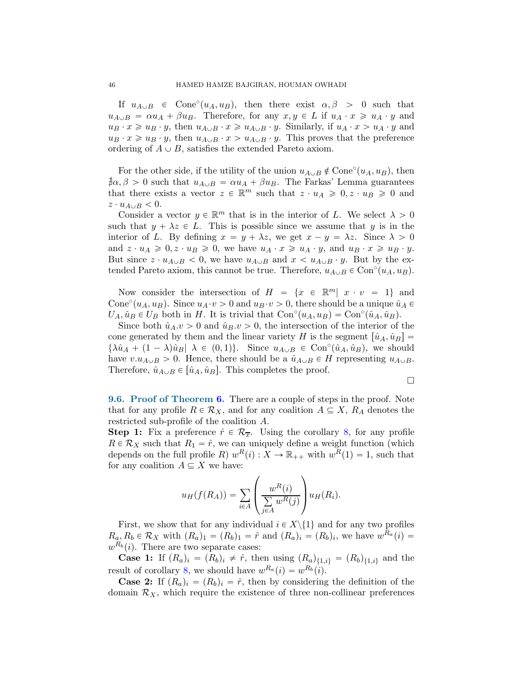If  $u_{A\cup B} \in \text{Cone}^{\circ}(u_A, u_B)$ , then there exist  $\alpha, \beta > 0$  such that  $u_{A\cup B} = \alpha u_A + \beta u_B$ . Therefore, for any  $x, y \in L$  if  $u_A \cdot x \geq u_A \cdot y$  and  $u_B \cdot x \geq u_B \cdot y$ , then  $u_{A\cup B} \cdot x \geq u_{A\cup B} \cdot y$ . Similarly, if  $u_A \cdot x > u_A \cdot y$  and  $u_B \cdot x \geq u_B \cdot y$ , then  $u_{A\cup B} \cdot x > u_{A\cup B} \cdot y$ . This proves that the preference ordering of  $A \cup B$ , satisfies the extended Pareto axiom.

For the other side, if the utility of the union  $u_{A\cup B} \notin \text{Cone}^{\circ}(u_A, u_B)$ , then  $\sharp \alpha, \beta > 0$  such that  $u_{A \cup B} = \alpha u_A + \beta u_B$ . The Farkas' Lemma guarantees that there exists a vector  $z \in \mathbb{R}^m$  such that  $z \cdot u_A \geqslant 0, z \cdot u_B \geqslant 0$  and  $z \cdot u_{A \cup B} < 0.$ 

Consider a vector  $y \in \mathbb{R}^m$  that is in the interior of L. We select  $\lambda > 0$ such that  $y + \lambda z \in L$ . This is possible since we assume that y is in the interior of L. By defining  $x = y + \lambda z$ , we get  $x - y = \lambda z$ . Since  $\lambda > 0$ and  $z \cdot u_A \geq 0, z \cdot u_B \geq 0$ , we have  $u_A \cdot x \geq u_A \cdot y$ , and  $u_B \cdot x \geq u_B \cdot y$ . But since  $z \cdot u_{A\cup B} < 0$ , we have  $u_{A\cup B}$  and  $x < u_{A\cup B} \cdot y$ . But by the extended Pareto axiom, this cannot be true. Therefore,  $u_{A\cup B} \in \text{Con}^{\circ}(u_A, u_B)$ .

Now consider the intersection of  $H = \{x \in \mathbb{R}^m | x \cdot v = 1\}$  and Cone<sup>°</sup>( $u_A, u_B$ ). Since  $u_A \cdot v > 0$  and  $u_B \cdot v > 0$ , there should be a unique  $\hat{u}_A \in$  $U_A, \hat{u}_B \in U_B$  both in H. It is trivial that  $Con^{\circ}(u_A, u_B) = Con^{\circ}(\hat{u}_A, \hat{u}_B)$ .

Since both  $\hat{u}_A \cdot v > 0$  and  $\hat{u}_B \cdot v > 0$ , the intersection of the interior of the cone generated by them and the linear variety H is the segment  $[\hat{u}_A, \hat{u}_B] =$  $\{\lambda \hat{u}_A + (1 - \lambda)\hat{u}_B | \lambda \in (0, 1)\}\$ . Since  $u_{A \cup B} \in \text{Con}^{\circ}(\hat{u}_A, \hat{u}_B)$ , we should have  $v.u_{A\cup B} > 0$ . Hence, there should be a  $\hat{u}_{A\cup B} \in H$  representing  $u_{A\cup B}$ . Therefore,  $\hat{u}_{A\cup B} \in [\hat{u}_A, \hat{u}_B]$ . This completes the proof.

 $\Box$ 

9.6. Proof of Theorem [6.](#page-22-0) There are a couple of steps in the proof. Note that for any profile  $R \in \mathcal{R}_X$ , and for any coalition  $A \subseteq X$ ,  $R_A$  denotes the restricted sub-profile of the coalition A.

**Step 1:** Fix a preference  $\hat{r} \in \mathcal{R}_{\overline{x}}$ . Using the corollary [8,](#page-20-0) for any profile  $R \in \mathcal{R}_X$  such that  $R_1 = \hat{r}$ , we can uniquely define a weight function (which depends on the full profile R)  $w^R(i) : X \to \mathbb{R}_{++}$  with  $w^R(1) = 1$ , such that for any coalition  $A \subseteq X$  we have:

$$
u_H(f(R_A)) = \sum_{i \in A} \left( \frac{w^R(i)}{\sum_{j \in A} w^R(j)} \right) u_H(R_i).
$$

First, we show that for any individual  $i \in X \setminus \{1\}$  and for any two profiles  $R_a, R_b \in \mathcal{R}_X$  with  $(R_a)_1 = (R_b)_1 = \hat{r}$  and  $(R_a)_i = (R_b)_i$ , we have  $w^{R_a}(i) =$  $w^{R_b}(i)$ . There are two separate cases:

**Case 1:** If  $(R_a)_i = (R_b)_i \neq \hat{r}$ , then using  $(R_a)_{\{1,i\}} = (R_b)_{\{1,i\}}$  and the result of corollary [8,](#page-20-0) we should have  $w^{R_a}(i) = w^{R_b}(i)$ .

**Case 2:** If  $(R_a)_i = (R_b)_i = \hat{r}$ , then by considering the definition of the domain  $\mathcal{R}_X$ , which require the existence of three non-collinear preferences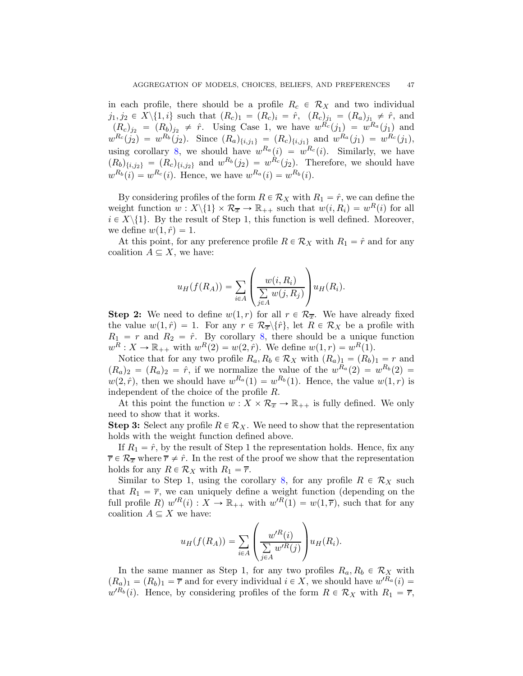in each profile, there should be a profile  $R_c \in \mathcal{R}_X$  and two individual  $j_1, j_2 \in X \setminus \{1, i\}$  such that  $(R_c)_1 = (R_c)_i = \hat{r}$ ,  $(R_c)_{j_1} = (R_a)_{j_1} \neq \hat{r}$ , and  $(R_c)_{j_2} = (R_b)_{j_2} \neq \hat{r}$ . Using Case 1, we have  $w^{R_c}(j_1) = w^{R_a}(j_1)$  and  $w^{R_c}(j_2) = w^{R_b}(j_2)$ . Since  $(R_a)_{\{i,j_1\}} = (R_c)_{\{i,j_1\}}$  and  $w^{R_a}(j_1) = w^{R_c}(j_1)$ , using corollary [8,](#page-20-0) we should have  $w^{R_a}(i) = w^{R_c}(i)$ . Similarly, we have  $(R_b)_{\{i,j_2\}} = (R_c)_{\{i,j_2\}}$  and  $w^{R_b}(j_2) = w^{R_c}(j_2)$ . Therefore, we should have  $w^{R_b}(i) = w^{R_c}(i)$ . Hence, we have  $w^{R_a}(i) = w^{R_b}(i)$ .

By considering profiles of the form  $R \in \mathcal{R}_X$  with  $R_1 = \hat{r}$ , we can define the weight function  $w: X \backslash \{1\} \times \mathcal{R}_{\overline{x}} \to \mathbb{R}_{++}$  such that  $w(i, R_i) = w^R(i)$  for all  $i \in X \setminus \{1\}$ . By the result of Step 1, this function is well defined. Moreover, we define  $w(1, \hat{r}) = 1$ .

At this point, for any preference profile  $R \in \mathcal{R}_X$  with  $R_1 = \hat{r}$  and for any coalition  $A \subseteq X$ , we have:

$$
u_H(f(R_A)) = \sum_{i \in A} \left( \frac{w(i, R_i)}{\sum\limits_{j \in A} w(j, R_j)} \right) u_H(R_i).
$$

**Step 2:** We need to define  $w(1,r)$  for all  $r \in \mathcal{R}_{\overline{x}}$ . We have already fixed the value  $w(1, \hat{r}) = 1$ . For any  $r \in \mathcal{R}_{\overline{x}}\setminus{\{\hat{r}\}}$ , let  $R \in \mathcal{R}_X$  be a profile with  $R_1 = r$  and  $R_2 = \hat{r}$ . By corollary [8,](#page-20-0) there should be a unique function  $w^R: X \to \mathbb{R}_{++}$  with  $w^R(2) = w(2, \hat{r})$ . We define  $w(1, r) = w^R(1)$ .

Notice that for any two profile  $R_a, R_b \in \mathcal{R}_X$  with  $(R_a)_1 = (R_b)_1 = r$  and  $(R_a)_2 = (R_a)_2 = \hat{r}$ , if we normalize the value of the  $w^{R_a}(2) = w^{R_b}(2)$  $w(2,\hat{r})$ , then we should have  $w^{R_a}(1) = w^{R_b}(1)$ . Hence, the value  $w(1,r)$  is independent of the choice of the profile R.

At this point the function  $w: X \times \mathcal{R}_{\overline{x}} \to \mathbb{R}_{++}$  is fully defined. We only need to show that it works.

**Step 3:** Select any profile  $R \in \mathcal{R}_X$ . We need to show that the representation holds with the weight function defined above.

If  $R_1 = \hat{r}$ , by the result of Step 1 the representation holds. Hence, fix any  $\overline{r} \in \mathcal{R}_{\overline{x}}$  where  $\overline{r} \neq \hat{r}$ . In the rest of the proof we show that the representation holds for any  $R \in \mathcal{R}_X$  with  $R_1 = \overline{r}$ .

Similar to Step 1, using the corollary [8,](#page-20-0) for any profile  $R \in \mathcal{R}_X$  such that  $R_1 = \overline{r}$ , we can uniquely define a weight function (depending on the full profile R)  $w'^{R}(i) : X \to \mathbb{R}_{++}$  with  $w'^{R}(1) = w(1, \overline{r})$ , such that for any coalition  $A \subseteq X$  we have:

$$
u_H(f(R_A)) = \sum_{i \in A} \left( \frac{w'^R(i)}{\sum_{j \in A} w'^R(j)} \right) u_H(R_i).
$$

In the same manner as Step 1, for any two profiles  $R_a, R_b \in \mathcal{R}_X$  with  $(R_a)_1 = (R_b)_1 = \overline{r}$  and for every individual  $i \in X$ , we should have  $w'^{R_a}(i) =$  $w^{R_b}(i)$ . Hence, by considering profiles of the form  $R \in \mathcal{R}_X$  with  $R_1 = \overline{r}$ ,